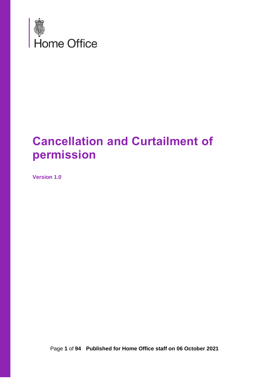

# **Cancellation and Curtailment of permission**

**Version 1.0**

Page **1** of **94 Published for Home Office staff on 06 October 2021**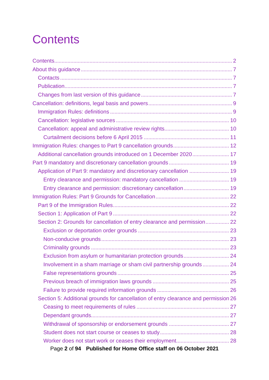# <span id="page-1-0"></span>**Contents**

| Additional cancellation grounds introduced on 1 December 2020 17                    |  |
|-------------------------------------------------------------------------------------|--|
|                                                                                     |  |
| Application of Part 9: mandatory and discretionary cancellation  19                 |  |
|                                                                                     |  |
|                                                                                     |  |
|                                                                                     |  |
|                                                                                     |  |
|                                                                                     |  |
| Section 2: Grounds for cancellation of entry clearance and permission 22            |  |
|                                                                                     |  |
|                                                                                     |  |
|                                                                                     |  |
| Exclusion from asylum or humanitarian protection grounds 24                         |  |
|                                                                                     |  |
|                                                                                     |  |
|                                                                                     |  |
|                                                                                     |  |
| Section 5: Additional grounds for cancellation of entry clearance and permission 26 |  |
|                                                                                     |  |
|                                                                                     |  |
|                                                                                     |  |
|                                                                                     |  |
|                                                                                     |  |
| Page 2 of 94 Published for Home Office staff on 06 October 2021                     |  |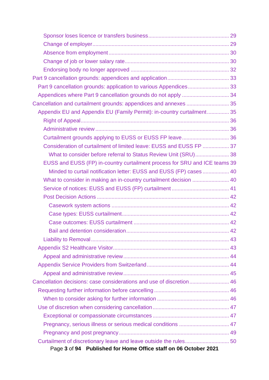| Part 9 cancellation grounds: application to various Appendices 33          |  |
|----------------------------------------------------------------------------|--|
|                                                                            |  |
| Cancellation and curtailment grounds: appendices and annexes  35           |  |
| Appendix EU and Appendix EU (Family Permit): in-country curtailment 35     |  |
|                                                                            |  |
|                                                                            |  |
| Curtailment grounds applying to EUSS or EUSS FP leave 36                   |  |
| Consideration of curtailment of limited leave: EUSS and EUSS FP  37        |  |
| What to consider before referral to Status Review Unit (SRU) 38            |  |
| EUSS and EUSS (FP) in-country curtailment process for SRU and ICE teams 39 |  |
| Minded to curtail notification letter: EUSS and EUSS (FP) cases  40        |  |
| What to consider in making an in-country curtailment decision  40          |  |
|                                                                            |  |
|                                                                            |  |
|                                                                            |  |
|                                                                            |  |
|                                                                            |  |
|                                                                            |  |
|                                                                            |  |
|                                                                            |  |
|                                                                            |  |
|                                                                            |  |
|                                                                            |  |
| Cancellation decisions: case considerations and use of discretion 46       |  |
|                                                                            |  |
|                                                                            |  |
|                                                                            |  |
|                                                                            |  |
| Pregnancy, serious illness or serious medical conditions  47               |  |
|                                                                            |  |
|                                                                            |  |
| Page 3 of 94 Published for Home Office staff on 06 October 2021            |  |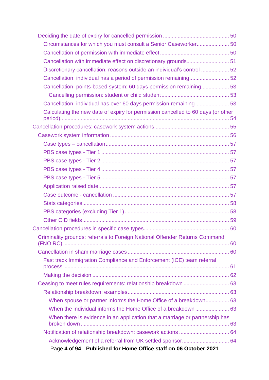| Circumstances for which you must consult a Senior Caseworker 50                  |  |
|----------------------------------------------------------------------------------|--|
|                                                                                  |  |
| Cancellation with immediate effect on discretionary grounds 51                   |  |
| Discretionary cancellation: reasons outside an individual's control  52          |  |
| Cancellation: individual has a period of permission remaining52                  |  |
| Cancellation: points-based system: 60 days permission remaining 53               |  |
|                                                                                  |  |
| Cancellation: individual has over 60 days permission remaining 53                |  |
| Calculating the new date of expiry for permission cancelled to 60 days (or other |  |
|                                                                                  |  |
|                                                                                  |  |
|                                                                                  |  |
|                                                                                  |  |
|                                                                                  |  |
|                                                                                  |  |
|                                                                                  |  |
|                                                                                  |  |
|                                                                                  |  |
|                                                                                  |  |
|                                                                                  |  |
|                                                                                  |  |
|                                                                                  |  |
| Criminality grounds: referrals to Foreign National Offender Returns Command      |  |
|                                                                                  |  |
| Fast track Immigration Compliance and Enforcement (ICE) team referral            |  |
|                                                                                  |  |
|                                                                                  |  |
| Ceasing to meet rules requirements: relationship breakdown  63                   |  |
|                                                                                  |  |
| When spouse or partner informs the Home Office of a breakdown 63                 |  |
|                                                                                  |  |
| When there is evidence in an application that a marriage or partnership has      |  |
|                                                                                  |  |
| Page 4 of 94 Published for Home Office staff on 06 October 2021                  |  |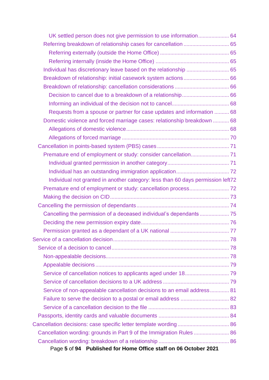| UK settled person does not give permission to use information 64                |  |
|---------------------------------------------------------------------------------|--|
|                                                                                 |  |
|                                                                                 |  |
|                                                                                 |  |
| Individual has discretionary leave based on the relationship  65                |  |
| Breakdown of relationship: initial casework system actions 66                   |  |
|                                                                                 |  |
|                                                                                 |  |
|                                                                                 |  |
| Requests from a spouse or partner for case updates and information  68          |  |
| Domestic violence and forced marriage cases: relationship breakdown  68         |  |
|                                                                                 |  |
|                                                                                 |  |
|                                                                                 |  |
|                                                                                 |  |
|                                                                                 |  |
|                                                                                 |  |
| Individual not granted in another category: less than 60 days permission left72 |  |
|                                                                                 |  |
|                                                                                 |  |
|                                                                                 |  |
|                                                                                 |  |
|                                                                                 |  |
|                                                                                 |  |
|                                                                                 |  |
|                                                                                 |  |
|                                                                                 |  |
|                                                                                 |  |
|                                                                                 |  |
|                                                                                 |  |
| Service of non-appealable cancellation decisions to an email address 81         |  |
|                                                                                 |  |
|                                                                                 |  |
|                                                                                 |  |
|                                                                                 |  |
| Cancellation wording: grounds in Part 9 of the Immigration Rules  86            |  |
|                                                                                 |  |
| Page 5 of 94 Published for Home Office staff on 06 October 2021                 |  |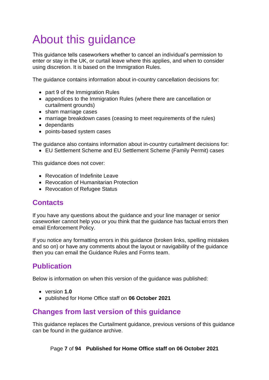# <span id="page-6-0"></span>About this guidance

This guidance tells caseworkers whether to cancel an individual's permission to enter or stay in the UK, or curtail leave where this applies, and when to consider using discretion. It is based on the Immigration Rules.

The guidance contains information about in-country cancellation decisions for:

- part 9 of the Immigration Rules
- appendices to the Immigration Rules (where there are cancellation or curtailment grounds)
- sham marriage cases
- marriage breakdown cases (ceasing to meet requirements of the rules)
- dependants
- points-based system cases

The guidance also contains information about in-country curtailment decisions for:

• EU Settlement Scheme and EU Settlement Scheme (Family Permit) cases

This guidance does not cover:

- Revocation of Indefinite Leave
- Revocation of Humanitarian Protection
- Revocation of Refugee Status

## <span id="page-6-1"></span>**Contacts**

If you have any questions about the guidance and your line manager or senior caseworker cannot help you or you think that the guidance has factual errors then email Enforcement Policy.

If you notice any formatting errors in this guidance (broken links, spelling mistakes and so on) or have any comments about the layout or navigability of the guidance then you can email the Guidance Rules and Forms team.

# <span id="page-6-2"></span>**Publication**

Below is information on when this version of the guidance was published:

- version **1.0**
- published for Home Office staff on **06 October 2021**

## <span id="page-6-3"></span>**Changes from last version of this guidance**

This guidance replaces the Curtailment guidance, previous versions of this guidance can be found in the guidance archive.

Page **7** of **94 Published for Home Office staff on 06 October 2021**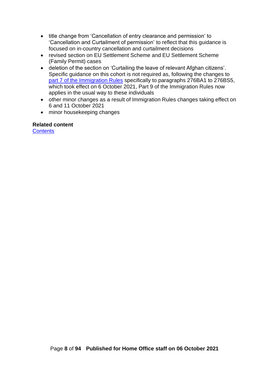- title change from 'Cancellation of entry clearance and permission' to 'Cancellation and Curtailment of permission' to reflect that this guidance is focused on in-country cancellation and curtailment decisions
- revised section on EU Settlement Scheme and EU Settlement Scheme (Family Permit) cases
- deletion of the section on 'Curtailing the leave of relevant Afghan citizens'. Specific guidance on this cohort is not required as, following the changes to [part 7 of the Immigration Rules](https://www.gov.uk/guidance/immigration-rules/immigration-rules-part-7-other-categories) specifically to paragraphs 276BA1 to 276BS5, which took effect on 6 October 2021, Part 9 of the Immigration Rules now applies in the usual way to these individuals
- other minor changes as a result of Immigration Rules changes taking effect on 6 and 11 October 2021
- minor housekeeping changes

#### **Related content**

**[Contents](#page-1-0)**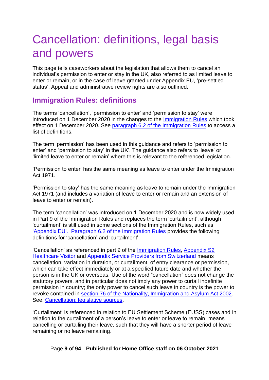# <span id="page-8-0"></span>Cancellation: definitions, legal basis and powers

This page tells caseworkers about the legislation that allows them to cancel an individual's permission to enter or stay in the UK, also referred to as limited leave to enter or remain, or in the case of leave granted under Appendix EU, 'pre-settled status'. Appeal and administrative review rights are also outlined.

## <span id="page-8-1"></span>**Immigration Rules: definitions**

The terms 'cancellation', 'permission to enter' and 'permission to stay' were introduced on 1 December 2020 in the changes to the [Immigration R](https://www.gov.uk/guidance/immigration-rules)ules which took effect on 1 December 2020. See [paragraph 6.2 of the Immigration Rules](https://www.gov.uk/guidance/immigration-rules/immigration-rules-introduction) to access a list of definitions.

The term 'permission' has been used in this guidance and refers to 'permission to enter' and 'permission to stay' in the UK'. The guidance also refers to 'leave' or 'limited leave to enter or remain' where this is relevant to the referenced legislation.

'Permission to enter' has the same meaning as leave to enter under the Immigration Act 1971.

'Permission to stay' has the same meaning as leave to remain under the Immigration Act 1971 (and includes a variation of leave to enter or remain and an extension of leave to enter or remain).

The term 'cancellation' was introduced on 1 December 2020 and is now widely used in Part 9 of the Immigration Rules and replaces the term 'curtailment', although 'curtailment' is still used in some sections of the Immigration Rules, such as ['Appendix EU'.](https://www.gov.uk/guidance/immigration-rules/immigration-rules-appendix-eu) [Paragraph 6.2 of the Immigration Rules](https://www.gov.uk/guidance/immigration-rules/immigration-rules-introduction) provides the following definitions for 'cancellation' and 'curtailment':

'Cancellation' as referenced in part 9 of the [Immigration Rules,](https://www.gov.uk/guidance/immigration-rules/immigration-rules-part-9-grounds-for-refusal) [Appendix S2](https://www.gov.uk/guidance/immigration-rules/immigration-rules-appendix-s2-healthcare-visitor)  [Healthcare Visitor](https://www.gov.uk/guidance/immigration-rules/immigration-rules-appendix-s2-healthcare-visitor) and [Appendix Service Providers from Switzerland](https://www.gov.uk/guidance/immigration-rules/immigration-rules-appendix-service-providers-from-switzerland) means cancellation, variation in duration, or curtailment, of entry clearance or permission, which can take effect immediately or at a specified future date and whether the person is in the UK or overseas. Use of the word "cancellation" does not change the statutory powers, and in particular does not imply any power to curtail indefinite permission in country; the only power to cancel such leave in country is the power to revoke contained in [section 76 of the Nationality, Immigration and Asylum Act 2002.](http://www.legislation.gov.uk/ukpga/2002/41/section/76) See: [Cancellation: legislative sources.](#page-9-0)

'Curtailment' is referenced in relation to EU Settlement Scheme (EUSS) cases and in relation to the curtailment of a person's leave to enter or leave to remain, means cancelling or curtailing their leave, such that they will have a shorter period of leave remaining or no leave remaining.

Page **9** of **94 Published for Home Office staff on 06 October 2021**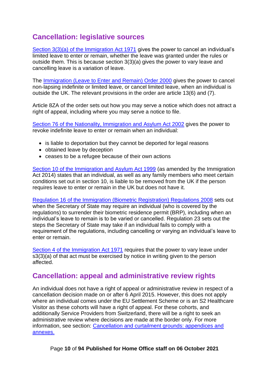# <span id="page-9-0"></span>**Cancellation: legislative sources**

[Section 3\(3\)\(a\) of the Immigration Act 1971](http://www.legislation.gov.uk/ukpga/1971/77/section/3) gives the power to cancel an individual's limited leave to enter or remain, whether the leave was granted under the rules or outside them. This is because section 3(3)(a) gives the power to vary leave and cancelling leave is a variation of leave.

The [Immigration \(Leave to Enter and Remain\) Order 2000](http://www.legislation.gov.uk/uksi/2000/1161/contents/made) gives the power to cancel non-lapsing indefinite or limited leave, or cancel limited leave, when an individual is outside the UK. The relevant provisions in the order are article 13(6) and (7).

Article 8ZA of the order sets out how you may serve a notice which does not attract a right of appeal, including where you may serve a notice to file.

[Section 76 of the Nationality, Immigration and](http://www.legislation.gov.uk/ukpga/2002/41/section/76) Asylum Act 2002 gives the power to revoke indefinite leave to enter or remain when an individual:

- is liable to deportation but they cannot be deported for legal reasons
- obtained leave by deception
- ceases to be a refugee because of their own actions

[Section 10 of the Immigration and Asylum Act 1999](http://www.legislation.gov.uk/ukpga/1999/33/section/10) (as amended by the Immigration Act 2014) states that an individual, as well as any family members who meet certain conditions set out in section 10, is liable to be removed from the UK if the person requires leave to enter or remain in the UK but does not have it.

[Regulation 16 of the Immigration \(Biometric Registration\) Regulations 2008](http://www.legislation.gov.uk/uksi/2008/3048/regulation/16/made) sets out when the Secretary of State may require an individual (who is covered by the regulations) to surrender their biometric residence permit (BRP), including when an individual's leave to remain is to be varied or cancelled. Regulation 23 sets out the steps the Secretary of State may take if an individual fails to comply with a requirement of the regulations, including cancelling or varying an individual's leave to enter or remain.

[Section 4 of the Immigration Act 1971](https://www.legislation.gov.uk/ukpga/1971/77/section/4) requires that the power to vary leave under s3(3)(a) of that act must be exercised by notice in writing given to the person affected.

#### <span id="page-9-1"></span>**Cancellation: appeal and administrative review rights**

An individual does not have a right of appeal or administrative review in respect of a cancellation decision made on or after 6 April 2015. However, this does not apply where an individual comes under the EU Settlement Scheme or is an S2 Healthcare Visitor as these cohorts will have a right of appeal. For these cohorts, and additionally Service Providers from Switzerland, there will be a right to seek an administrative review where decisions are made at the border only. For more information, see section: [Cancellation and curtailment grounds: appendices and](#page-34-0)  [annexes.](#page-34-0)

Page **10** of **94 Published for Home Office staff on 06 October 2021**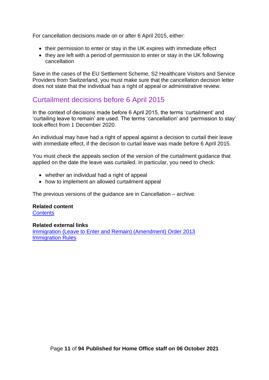For cancellation decisions made on or after 6 April 2015, either:

- their permission to enter or stay in the UK expires with immediate effect
- they are left with a period of permission to enter or stay in the UK following cancellation

Save in the cases of the EU Settlement Scheme, S2 Healthcare Visitors and Service Providers from Switzerland, you must make sure that the cancellation decision letter does not state that the individual has a right of appeal or administrative review.

## <span id="page-10-0"></span>Curtailment decisions before 6 April 2015

In the context of decisions made before 6 April 2015, the terms 'curtailment' and 'curtailing leave to remain' are used. The terms 'cancellation' and 'permission to stay' took effect from 1 December 2020.

An individual may have had a right of appeal against a decision to curtail their leave with immediate effect, if the decision to curtail leave was made before 6 April 2015.

You must check the appeals section of the version of the curtailment guidance that applied on the date the leave was curtailed. In particular, you need to check:

- whether an individual had a right of appeal
- how to implement an allowed curtailment appeal

The previous versions of the guidance are in Cancellation – archive.

#### **Related content**

**[Contents](#page-1-0)** 

#### **Related external links**

[Immigration \(Leave to Enter and Remain\) \(Amendment\) Order 2013](http://www.legislation.gov.uk/uksi/2013/1749/introduction/made) [Immigration Rules](https://www.gov.uk/guidance/immigration-rules)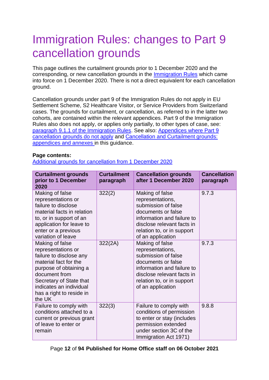# <span id="page-11-0"></span>Immigration Rules: changes to Part 9 cancellation grounds

This page outlines the curtailment grounds prior to 1 December 2020 and the corresponding, or new cancellation grounds in the [Immigration Rules](https://www.gov.uk/guidance/immigration-rules) which came into force on 1 December 2020. There is not a direct equivalent for each cancellation ground.

Cancellation grounds under part 9 of the Immigration Rules do not apply in EU Settlement Scheme, S2 Healthcare Visitor, or Service Providers from Switzerland cases. The grounds for curtailment, or cancellation, as referred to in the latter two cohorts, are contained within the relevant appendices. Part 9 of the Immigration Rules also does not apply, or applies only partially, to other types of case, see: [paragraph 9.1.1 of the Immigration Rules.](https://www.gov.uk/guidance/immigration-rules/immigration-rules-part-9-grounds-for-refusal) See also: [Appendices where Part 9](#page-33-0)  [cancellation grounds do not apply](#page-33-0) and [Cancellation and Curtailment grounds:](#page-34-0)  [appendices and annexes](#page-34-0) in this guidance.

#### **Page contents:**

[Additional grounds for cancellation from 1 December 2020](#page-16-1)

| <b>Curtailment grounds</b><br>prior to 1 December<br>2020                                                                                                                                                                        | <b>Curtailment</b><br>paragraph | <b>Cancellation grounds</b><br>after 1 December 2020                                                                                                                                            | <b>Cancellation</b><br>paragraph |
|----------------------------------------------------------------------------------------------------------------------------------------------------------------------------------------------------------------------------------|---------------------------------|-------------------------------------------------------------------------------------------------------------------------------------------------------------------------------------------------|----------------------------------|
| Making of false<br>representations or<br>failure to disclose<br>material facts in relation<br>to, or in support of an<br>application for leave to<br>enter or a previous<br>variation of leave                                   | 322(2)                          | Making of false<br>representations,<br>submission of false<br>documents or false<br>information and failure to<br>disclose relevant facts in<br>relation to, or in support<br>of an application | 9.7.3                            |
| Making of false<br>representations or<br>failure to disclose any<br>material fact for the<br>purpose of obtaining a<br>document from<br>Secretary of State that<br>indicates an individual<br>has a right to reside in<br>the UK | 322(2A)                         | Making of false<br>representations,<br>submission of false<br>documents or false<br>information and failure to<br>disclose relevant facts in<br>relation to, or in support<br>of an application | 9.7.3                            |
| Failure to comply with<br>conditions attached to a<br>current or previous grant<br>of leave to enter or<br>remain                                                                                                                | 322(3)                          | Failure to comply with<br>conditions of permission<br>to enter or stay (includes<br>permission extended<br>under section 3C of the<br>Immigration Act 1971)                                     | 9.8.8                            |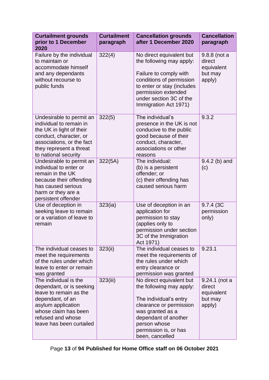| <b>Curtailment grounds</b><br>prior to 1 December<br>2020                                                                                                                                      | <b>Curtailment</b><br>paragraph | <b>Cancellation grounds</b><br>after 1 December 2020                                                                                                                                                                | <b>Cancellation</b><br>paragraph                           |
|------------------------------------------------------------------------------------------------------------------------------------------------------------------------------------------------|---------------------------------|---------------------------------------------------------------------------------------------------------------------------------------------------------------------------------------------------------------------|------------------------------------------------------------|
| Failure by the individual<br>to maintain or<br>accommodate himself<br>and any dependants<br>without recourse to<br>public funds                                                                | 322(4)                          | No direct equivalent but<br>the following may apply:<br>Failure to comply with<br>conditions of permission<br>to enter or stay (includes<br>permission extended<br>under section 3C of the<br>Immigration Act 1971) | 9.8.8 (not a<br>direct<br>equivalent<br>but may<br>apply)  |
| Undesirable to permit an<br>individual to remain in<br>the UK in light of their<br>conduct, character, or<br>associations, or the fact<br>they represent a threat<br>to national security      | 322(5)                          | The individual's<br>presence in the UK is not<br>conducive to the public<br>good because of their<br>conduct, character,<br>associations or other<br>reasons                                                        | 9.3.2                                                      |
| Undesirable to permit an<br>individual to enter or<br>remain in the UK<br>because their offending<br>has caused serious<br>harm or they are a<br>persistent offender                           | 322(5A)                         | The individual:<br>(b) is a persistent<br>offender; or<br>(c) their offending has<br>caused serious harm                                                                                                            | $9.4.2$ (b) and<br>(c)                                     |
| Use of deception in<br>seeking leave to remain<br>or a variation of leave to<br>remain                                                                                                         | 323(ia)                         | Use of deception in an<br>application for<br>permission to stay<br>(applies only to<br>permission under section<br>3C of the Immigration<br>Act 1971)                                                               | 9.7.4 (3C)<br>permission<br>only)                          |
| The individual ceases to<br>meet the requirements<br>of the rules under which<br>leave to enter or remain<br>was granted                                                                       | 323(ii)                         | The individual ceases to<br>meet the requirements of<br>the rules under which<br>entry clearance or<br>permission was granted                                                                                       | 9.23.1                                                     |
| The individual is the<br>dependant, or is seeking<br>leave to remain as the<br>dependant, of an<br>asylum application<br>whose claim has been<br>refused and whose<br>leave has been curtailed | 323(iii)                        | No direct equivalent but<br>the following may apply:<br>The individual's entry<br>clearance or permission<br>was granted as a<br>dependant of another<br>person whose<br>permission is, or has<br>been, cancelled   | 9.24.1 (not a<br>direct<br>equivalent<br>but may<br>apply) |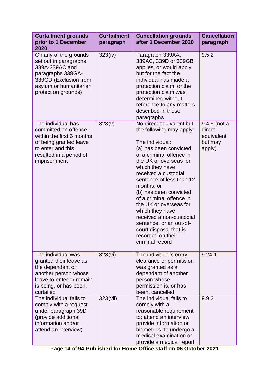| <b>Curtailment grounds</b><br>prior to 1 December<br>2020                                                                                                         | <b>Curtailment</b><br>paragraph | <b>Cancellation grounds</b><br>after 1 December 2020                                                                                                                                                                                                                                                                                                                                                                                                                     | <b>Cancellation</b><br>paragraph                          |
|-------------------------------------------------------------------------------------------------------------------------------------------------------------------|---------------------------------|--------------------------------------------------------------------------------------------------------------------------------------------------------------------------------------------------------------------------------------------------------------------------------------------------------------------------------------------------------------------------------------------------------------------------------------------------------------------------|-----------------------------------------------------------|
| On any of the grounds<br>set out in paragraphs<br>339A-339AC and<br>paragraphs 339GA-<br>339GD (Exclusion from<br>asylum or humanitarian<br>protection grounds)   | 323(iv)                         | Paragraph 339AA,<br>339AC, 339D or 339GB<br>applies, or would apply<br>but for the fact the<br>individual has made a<br>protection claim, or the<br>protection claim was<br>determined without<br>reference to any matters<br>described in those<br>paragraphs                                                                                                                                                                                                           | 9.5.2                                                     |
| The individual has<br>committed an offence<br>within the first 6 months<br>of being granted leave<br>to enter and this<br>resulted in a period of<br>imprisonment | 323(v)                          | No direct equivalent but<br>the following may apply:<br>The individual:<br>(a) has been convicted<br>of a criminal offence in<br>the UK or overseas for<br>which they have<br>received a custodial<br>sentence of less than 12<br>months; or<br>(b) has been convicted<br>of a criminal offence in<br>the UK or overseas for<br>which they have<br>received a non-custodial<br>sentence, or an out-of-<br>court disposal that is<br>recorded on their<br>criminal record | 9.4.5 (not a<br>direct<br>equivalent<br>but may<br>apply) |
| The individual was<br>granted their leave as<br>the dependant of<br>another person whose<br>leave to enter or remain<br>is being, or has been,<br>curtailed       | 323(vi)                         | The individual's entry<br>clearance or permission<br>was granted as a<br>dependant of another<br>person whose<br>permission is, or has<br>been, cancelled                                                                                                                                                                                                                                                                                                                | 9.24.1                                                    |
| The individual fails to<br>comply with a request<br>under paragraph 39D<br>(provide additional<br>information and/or<br>attend an interview)                      | 323(vii)                        | The individual fails to<br>comply with a<br>reasonable requirement<br>to: attend an interview,<br>provide information or<br>biometrics, to undergo a<br>medical examination or<br>provide a medical report                                                                                                                                                                                                                                                               | 9.9.2                                                     |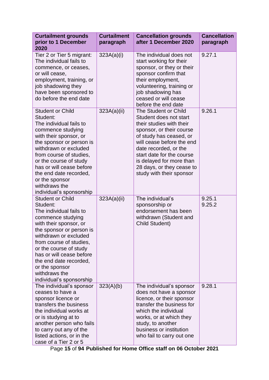| <b>Curtailment grounds</b><br>prior to 1 December<br>2020                                                                                                                                                                                                                                                                                    | <b>Curtailment</b><br>paragraph | <b>Cancellation grounds</b><br>after 1 December 2020                                                                                                                                                                                                                                                      | <b>Cancellation</b><br>paragraph |
|----------------------------------------------------------------------------------------------------------------------------------------------------------------------------------------------------------------------------------------------------------------------------------------------------------------------------------------------|---------------------------------|-----------------------------------------------------------------------------------------------------------------------------------------------------------------------------------------------------------------------------------------------------------------------------------------------------------|----------------------------------|
| Tier 2 or Tier 5 migrant:<br>The individual fails to<br>commence, or ceases,<br>or will cease,<br>employment, training, or<br>job shadowing they<br>have been sponsored to<br>do before the end date                                                                                                                                         | 323A(a)(i)                      | The individual does not<br>start working for their<br>sponsor, or they or their<br>sponsor confirm that<br>their employment,<br>volunteering, training or<br>job shadowing has<br>ceased or will cease<br>before the end date                                                                             | 9.27.1                           |
| <b>Student or Child</b><br>Student:<br>The individual fails to<br>commence studying<br>with their sponsor, or<br>the sponsor or person is<br>withdrawn or excluded<br>from course of studies,<br>or the course of study<br>has or will cease before<br>the end date recorded,<br>or the sponsor<br>withdraws the<br>individual's sponsorship | 323A(a)(ii)                     | The Student or Child<br>Student does not start<br>their studies with their<br>sponsor, or their course<br>of study has ceased, or<br>will cease before the end<br>date recorded, or the<br>start date for the course<br>is delayed for more than<br>28 days, or they cease to<br>study with their sponsor | 9.26.1                           |
| <b>Student or Child</b><br>Student:<br>The individual fails to<br>commence studying<br>with their sponsor, or<br>the sponsor or person is<br>withdrawn or excluded<br>from course of studies,<br>or the course of study<br>has or will cease before<br>the end date recorded,<br>or the sponsor<br>withdraws the<br>individual's sponsorship | 323A(a)(ii)                     | The individual's<br>sponsorship or<br>endorsement has been<br>withdrawn (Student and<br><b>Child Student)</b>                                                                                                                                                                                             | 9.25.1<br>9.25.2                 |
| The individual's sponsor<br>ceases to have a<br>sponsor licence or<br>transfers the business<br>the individual works at<br>or is studying at to<br>another person who fails<br>to carry out any of the<br>listed actions, or in the<br>case of a Tier 2 or 5                                                                                 | 323(A)(b)                       | The individual's sponsor<br>does not have a sponsor<br>licence, or their sponsor<br>transfer the business for<br>which the individual<br>works, or at which they<br>study, to another<br>business or institution<br>who fail to carry out one                                                             | 9.28.1                           |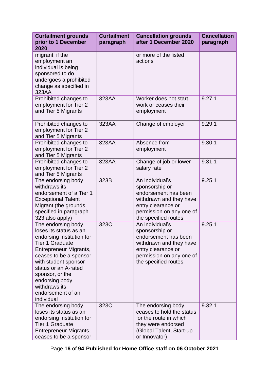| <b>Curtailment grounds</b><br>prior to 1 December<br>2020                                                                                                                                                                                                                                        | <b>Curtailment</b><br>paragraph | <b>Cancellation grounds</b><br>after 1 December 2020                                                                                                           | <b>Cancellation</b><br>paragraph |
|--------------------------------------------------------------------------------------------------------------------------------------------------------------------------------------------------------------------------------------------------------------------------------------------------|---------------------------------|----------------------------------------------------------------------------------------------------------------------------------------------------------------|----------------------------------|
| migrant, if the<br>employment an<br>individual is being<br>sponsored to do<br>undergoes a prohibited<br>change as specified in<br>323AA                                                                                                                                                          |                                 | or more of the listed<br>actions                                                                                                                               |                                  |
| Prohibited changes to<br>employment for Tier 2<br>and Tier 5 Migrants                                                                                                                                                                                                                            | 323AA                           | Worker does not start<br>work or ceases their<br>employment                                                                                                    | 9.27.1                           |
| Prohibited changes to<br>employment for Tier 2<br>and Tier 5 Migrants                                                                                                                                                                                                                            | 323AA                           | Change of employer                                                                                                                                             | 9.29.1                           |
| Prohibited changes to<br>employment for Tier 2<br>and Tier 5 Migrants                                                                                                                                                                                                                            | 323AA                           | Absence from<br>employment                                                                                                                                     | 9.30.1                           |
| Prohibited changes to<br>employment for Tier 2<br>and Tier 5 Migrants                                                                                                                                                                                                                            | 323AA                           | Change of job or lower<br>salary rate                                                                                                                          | 9.31.1                           |
| The endorsing body<br>withdraws its<br>endorsement of a Tier 1<br><b>Exceptional Talent</b><br>Migrant (the grounds<br>specified in paragraph<br>323 also apply)                                                                                                                                 | 323B                            | An individual's<br>sponsorship or<br>endorsement has been<br>withdrawn and they have<br>entry clearance or<br>permission on any one of<br>the specified routes | 9.25.1                           |
| The endorsing body<br>loses its status as an<br>endorsing institution for<br><b>Tier 1 Graduate</b><br>Entrepreneur Migrants,<br>ceases to be a sponsor<br>with student sponsor<br>status or an A-rated<br>sponsor, or the<br>endorsing body<br>withdraws its<br>endorsement of an<br>individual | 323C                            | An individual's<br>sponsorship or<br>endorsement has been<br>withdrawn and they have<br>entry clearance or<br>permission on any one of<br>the specified routes | 9.25.1                           |
| The endorsing body<br>loses its status as an<br>endorsing institution for<br><b>Tier 1 Graduate</b><br>Entrepreneur Migrants,<br>ceases to be a sponsor                                                                                                                                          | 323C                            | The endorsing body<br>ceases to hold the status<br>for the route in which<br>they were endorsed<br>(Global Talent, Start-up<br>or Innovator)                   | 9.32.1                           |

Page **16** of **94 Published for Home Office staff on 06 October 2021**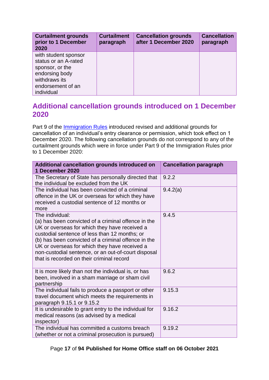| <b>Curtailment grounds</b><br>prior to 1 December<br>2020                                                                             | <b>Curtailment</b><br>paragraph | <b>Cancellation grounds</b><br>after 1 December 2020 | <b>Cancellation</b><br>paragraph |
|---------------------------------------------------------------------------------------------------------------------------------------|---------------------------------|------------------------------------------------------|----------------------------------|
| with student sponsor<br>status or an A-rated<br>sponsor, or the<br>endorsing body<br>withdraws its<br>endorsement of an<br>individual |                                 |                                                      |                                  |

## <span id="page-16-1"></span><span id="page-16-0"></span>**Additional cancellation grounds introduced on 1 December 2020**

Part 9 of the *Immigration Rules* introduced revised and additional grounds for cancellation of an individual's entry clearance or permission, which took effect on 1 December 2020. The following cancellation grounds do not correspond to any of the curtailment grounds which were in force under Part 9 of the Immigration Rules prior to 1 December 2020:

| Additional cancellation grounds introduced on<br>1 December 2020                                                                                                                                                                                                                                                                                                                     | <b>Cancellation paragraph</b> |
|--------------------------------------------------------------------------------------------------------------------------------------------------------------------------------------------------------------------------------------------------------------------------------------------------------------------------------------------------------------------------------------|-------------------------------|
| The Secretary of State has personally directed that<br>the individual be excluded from the UK                                                                                                                                                                                                                                                                                        | 9.2.2                         |
| The individual has been convicted of a criminal<br>offence in the UK or overseas for which they have<br>received a custodial sentence of 12 months or<br>more                                                                                                                                                                                                                        | 9.4.2(a)                      |
| The individual:<br>(a) has been convicted of a criminal offence in the<br>UK or overseas for which they have received a<br>custodial sentence of less than 12 months; or<br>(b) has been convicted of a criminal offence in the<br>UK or overseas for which they have received a<br>non-custodial sentence, or an out-of-court disposal<br>that is recorded on their criminal record | 9.4.5                         |
| It is more likely than not the individual is, or has<br>been, involved in a sham marriage or sham civil<br>partnership                                                                                                                                                                                                                                                               | 9.6.2                         |
| The individual fails to produce a passport or other<br>travel document which meets the requirements in<br>paragraph 9.15.1 or 9.15.2                                                                                                                                                                                                                                                 | 9.15.3                        |
| It is undesirable to grant entry to the individual for<br>medical reasons (as advised by a medical<br>inspector)                                                                                                                                                                                                                                                                     | 9.16.2                        |
| The individual has committed a customs breach<br>(whether or not a criminal prosecution is pursued)                                                                                                                                                                                                                                                                                  | 9.19.2                        |

Page **17** of **94 Published for Home Office staff on 06 October 2021**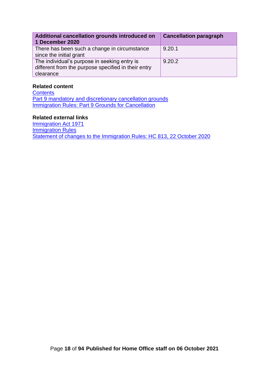| Additional cancellation grounds introduced on<br>1 December 2020                                                 | <b>Cancellation paragraph</b> |
|------------------------------------------------------------------------------------------------------------------|-------------------------------|
| There has been such a change in circumstance<br>since the initial grant                                          | 9.20.1                        |
| The individual's purpose in seeking entry is<br>different from the purpose specified in their entry<br>clearance | 9.20.2                        |

#### **Related content**

**[Contents](#page-1-0)** [Part 9 mandatory and discretionary cancellation grounds](#page-18-0) [Immigration Rules: Part 9 Grounds for Cancellation](#page-21-0)

#### **Related external links**

[Immigration Act 1971](https://www.legislation.gov.uk/ukpga/1971/77/contents) **[Immigration Rules](https://www.gov.uk/guidance/immigration-rules)** [Statement of changes to the Immigration Rules: HC 813, 22 October 2020](https://www.gov.uk/government/publications/statement-of-changes-to-the-immigration-rules-hc-813-22-october-2020)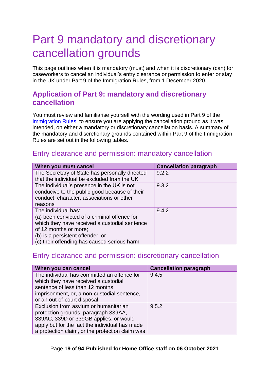# <span id="page-18-0"></span>Part 9 mandatory and discretionary cancellation grounds

This page outlines when it is mandatory (must) and when it is discretionary (can) for caseworkers to cancel an individual's entry clearance or permission to enter or stay in the UK under Part 9 of the Immigration Rules, from 1 December 2020.

## <span id="page-18-1"></span>**Application of Part 9: mandatory and discretionary cancellation**

You must review and familiarise yourself with the wording used in Part 9 of the [Immigration Rules,](https://www.gov.uk/guidance/immigration-rules/immigration-rules-part-9-grounds-for-refusal) to ensure you are applying the cancellation ground as it was intended, on either a mandatory or discretionary cancellation basis. A summary of the mandatory and discretionary grounds contained within Part 9 of the Immigration Rules are set out in the following tables.

#### <span id="page-18-2"></span>Entry clearance and permission: mandatory cancellation

| When you must cancel                                                                          | <b>Cancellation paragraph</b> |
|-----------------------------------------------------------------------------------------------|-------------------------------|
| The Secretary of State has personally directed<br>that the individual be excluded from the UK | 9.2.2                         |
|                                                                                               |                               |
| The individual's presence in the UK is not                                                    | 9.3.2                         |
| conducive to the public good because of their                                                 |                               |
| conduct, character, associations or other                                                     |                               |
| reasons                                                                                       |                               |
| The individual has:                                                                           | 9.4.2                         |
| (a) been convicted of a criminal offence for                                                  |                               |
| which they have received a custodial sentence                                                 |                               |
| of 12 months or more;                                                                         |                               |
| (b) is a persistent offender; or                                                              |                               |
| (c) their offending has caused serious harm                                                   |                               |

## <span id="page-18-3"></span>Entry clearance and permission: discretionary cancellation

| When you can cancel                             | <b>Cancellation paragraph</b> |
|-------------------------------------------------|-------------------------------|
| The individual has committed an offence for     | 9.4.5                         |
| which they have received a custodial            |                               |
| sentence of less than 12 months                 |                               |
| imprisonment, or, a non-custodial sentence,     |                               |
| or an out-of-court disposal                     |                               |
| Exclusion from asylum or humanitarian           | 9.5.2                         |
| protection grounds: paragraph 339AA,            |                               |
| 339AC, 339D or 339GB applies, or would          |                               |
| apply but for the fact the individual has made  |                               |
| a protection claim, or the protection claim was |                               |

#### Page **19** of **94 Published for Home Office staff on 06 October 2021**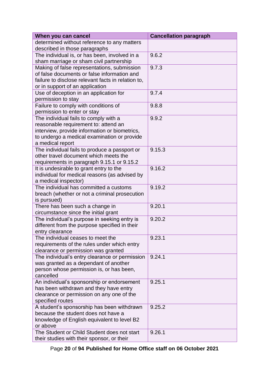| When you can cancel                                | <b>Cancellation paragraph</b> |
|----------------------------------------------------|-------------------------------|
| determined without reference to any matters        |                               |
| described in those paragraphs                      |                               |
| The individual is, or has been, involved in a      | 9.6.2                         |
| sham marriage or sham civil partnership            |                               |
| Making of false representations, submission        | 9.7.3                         |
| of false documents or false information and        |                               |
| failure to disclose relevant facts in relation to, |                               |
| or in support of an application                    |                               |
| Use of deception in an application for             | 9.7.4                         |
| permission to stay                                 |                               |
| Failure to comply with conditions of               | 9.8.8                         |
| permission to enter or stay                        |                               |
| The individual fails to comply with a              | 9.9.2                         |
| reasonable requirement to: attend an               |                               |
| interview, provide information or biometrics,      |                               |
| to undergo a medical examination or provide        |                               |
| a medical report                                   |                               |
| The individual fails to produce a passport or      | 9.15.3                        |
| other travel document which meets the              |                               |
| requirements in paragraph 9.15.1 or 9.15.2         |                               |
| It is undesirable to grant entry to the            | 9.16.2                        |
| individual for medical reasons (as advised by      |                               |
| a medical inspector)                               |                               |
| The individual has committed a customs             | 9.19.2                        |
| breach (whether or not a criminal prosecution      |                               |
| is pursued)<br>There has been such a change in     | 9.20.1                        |
| circumstance since the initial grant               |                               |
| The individual's purpose in seeking entry is       | 9.20.2                        |
| different from the purpose specified in their      |                               |
| entry clearance                                    |                               |
| The individual ceases to meet the                  | 9.23.1                        |
| requirements of the rules under which entry        |                               |
| clearance or permission was granted                |                               |
| The individual's entry clearance or permission     | 9.24.1                        |
| was granted as a dependant of another              |                               |
| person whose permission is, or has been,           |                               |
| cancelled                                          |                               |
| An individual's sponsorship or endorsement         | 9.25.1                        |
| has been withdrawn and they have entry             |                               |
| clearance or permission on any one of the          |                               |
| specified routes                                   |                               |
| A student's sponsorship has been withdrawn         | 9.25.2                        |
| because the student does not have a                |                               |
| knowledge of English equivalent to level B2        |                               |
| or above                                           |                               |
| The Student or Child Student does not start        | 9.26.1                        |
| their studies with their sponsor, or their         |                               |

Page **20** of **94 Published for Home Office staff on 06 October 2021**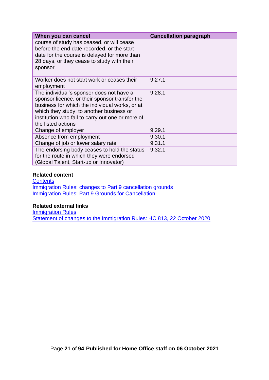| When you can cancel                                                                                                                                                                                                                                                | <b>Cancellation paragraph</b> |
|--------------------------------------------------------------------------------------------------------------------------------------------------------------------------------------------------------------------------------------------------------------------|-------------------------------|
| course of study has ceased, or will cease<br>before the end date recorded, or the start<br>date for the course is delayed for more than<br>28 days, or they cease to study with their<br>sponsor                                                                   |                               |
| Worker does not start work or ceases their<br>employment                                                                                                                                                                                                           | 9.27.1                        |
| The individual's sponsor does not have a<br>sponsor licence, or their sponsor transfer the<br>business for which the individual works, or at<br>which they study, to another business or<br>institution who fail to carry out one or more of<br>the listed actions | 9.28.1                        |
| Change of employer                                                                                                                                                                                                                                                 | 9.29.1                        |
| Absence from employment                                                                                                                                                                                                                                            | 9.30.1                        |
| Change of job or lower salary rate                                                                                                                                                                                                                                 | 9.31.1                        |
| The endorsing body ceases to hold the status<br>for the route in which they were endorsed<br>(Global Talent, Start-up or Innovator)                                                                                                                                | 9.32.1                        |

#### **Related content**

**[Contents](#page-1-0) [Immigration Rules: changes to Part 9 cancellation grounds](#page-11-0) [Immigration Rules: Part 9 Grounds for Cancellation](#page-21-0)** 

#### **Related external links**

**[Immigration Rules](https://www.gov.uk/guidance/immigration-rules/immigration-rules-part-9-grounds-for-refusal) [Statement of changes to the Immigration Rules: HC 813, 22 October 2020](https://www.gov.uk/government/publications/statement-of-changes-to-the-immigration-rules-hc-813-22-october-2020)**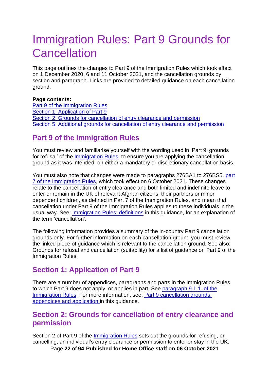# <span id="page-21-0"></span>Immigration Rules: Part 9 Grounds for **Cancellation**

This page outlines the changes to Part 9 of the Immigration Rules which took effect on 1 December 2020, 6 and 11 October 2021, and the cancellation grounds by section and paragraph. Links are provided to detailed guidance on each cancellation ground.

#### **Page contents:**

[Part 9 of the Immigration Rules](#page-21-1) [Section 1: Application of Part 9](#page-21-2) [Section 2: Grounds for cancellation of entry clearance](#page-21-3) and permission [Section 5: Additional grounds for cancellation of entry clearance](#page-25-1) and permission

## <span id="page-21-1"></span>**Part 9 of the Immigration Rules**

You must review and familiarise yourself with the wording used in 'Part 9: grounds for refusal' of the [Immigration Rules,](https://www.gov.uk/guidance/immigration-rules/immigration-rules-part-9-grounds-for-refusal) to ensure you are applying the cancellation ground as it was intended, on either a mandatory or discretionary cancellation basis.

You must also note that changes were made to paragraphs 276BA1 to 276BS5, [part](https://www.gov.uk/guidance/immigration-rules/immigration-rules-part-7-other-categories)  [7 of the Immigration Rules,](https://www.gov.uk/guidance/immigration-rules/immigration-rules-part-7-other-categories) which took effect on 6 October 2021. These changes relate to the cancellation of entry clearance and both limited and indefinite leave to enter or remain in the UK of relevant Afghan citizens, their partners or minor dependent children, as defined in Part 7 of the Immigration Rules, and mean that cancellation under Part 9 of the Immigration Rules applies to these individuals in the usual way. See: [Immigration Rules: definitions](#page-8-1) in this guidance, for an explanation of the term 'cancellation'.

The following information provides a summary of the in-country Part 9 cancellation grounds only. For further information on each cancellation ground you must review the linked piece of guidance which is relevant to the cancellation ground. See also: Grounds for refusal and cancellation (suitability) for a list of guidance on Part 9 of the Immigration Rules.

## <span id="page-21-2"></span>**Section 1: Application of Part 9**

There are a number of appendices, paragraphs and parts in the Immigration Rules, to which Part 9 does not apply, or applies in part. See [paragraph 9.1.1. of the](https://www.gov.uk/guidance/immigration-rules/immigration-rules-part-9-grounds-for-refusal)  [Immigration Rules.](https://www.gov.uk/guidance/immigration-rules/immigration-rules-part-9-grounds-for-refusal) For more information, see: [Part 9 cancellation grounds:](#page-32-0)  [appendices and application](#page-32-0) in this guidance.

#### <span id="page-21-3"></span>**Section 2: Grounds for cancellation of entry clearance and permission**

Page **22** of **94 Published for Home Office staff on 06 October 2021** Section 2 of Part 9 of the [Immigration Rules](https://www.gov.uk/guidance/immigration-rules/immigration-rules-part-9-grounds-for-refusal) sets out the grounds for refusing, or cancelling, an individual's entry clearance or permission to enter or stay in the UK.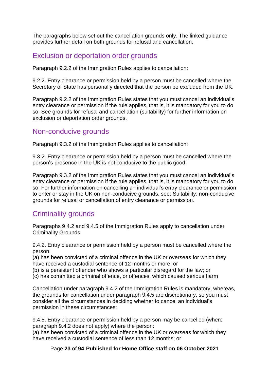The paragraphs below set out the cancellation grounds only. The linked guidance provides further detail on both grounds for refusal and cancellation.

## <span id="page-22-0"></span>Exclusion or deportation order grounds

Paragraph 9.2.2 of the Immigration Rules applies to cancellation:

9.2.2. Entry clearance or permission held by a person must be cancelled where the Secretary of State has personally directed that the person be excluded from the UK.

Paragraph 9.2.2 of the Immigration Rules states that you must cancel an individual's entry clearance or permission if the rule applies, that is, it is mandatory for you to do so. See grounds for refusal and cancellation (suitability) for further information on exclusion or deportation order grounds.

## <span id="page-22-1"></span>Non-conducive grounds

Paragraph 9.3.2 of the Immigration Rules applies to cancellation:

9.3.2. Entry clearance or permission held by a person must be cancelled where the person's presence in the UK is not conducive to the public good.

Paragraph 9.3.2 of the Immigration Rules states that you must cancel an individual's entry clearance or permission if the rule applies, that is, it is mandatory for you to do so. For further information on cancelling an individual's entry clearance or permission to enter or stay in the UK on non-conducive grounds, see: Suitability: non-conducive grounds for refusal or cancellation of entry clearance or permission.

## <span id="page-22-2"></span>Criminality grounds

Paragraphs 9.4.2 and 9.4.5 of the Immigration Rules apply to cancellation under Criminality Grounds:

9.4.2. Entry clearance or permission held by a person must be cancelled where the person:

(a) has been convicted of a criminal offence in the UK or overseas for which they have received a custodial sentence of 12 months or more; or

(b) is a persistent offender who shows a particular disregard for the law; or

(c) has committed a criminal offence, or offences, which caused serious harm

Cancellation under paragraph 9.4.2 of the Immigration Rules is mandatory, whereas, the grounds for cancellation under paragraph 9.4.5 are discretionary, so you must consider all the circumstances in deciding whether to cancel an individual's permission in these circumstances:

9.4.5. Entry clearance or permission held by a person may be cancelled (where paragraph 9.4.2 does not apply) where the person:

(a) has been convicted of a criminal offence in the UK or overseas for which they have received a custodial sentence of less than 12 months; or

Page **23** of **94 Published for Home Office staff on 06 October 2021**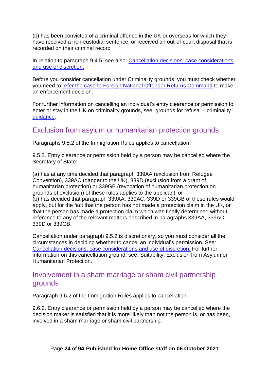(b) has been convicted of a criminal offence in the UK or overseas for which they have received a non-custodial sentence, or received an out-of-court disposal that is recorded on their criminal record

In relation to paragraph 9.4.5. see also: [Cancellation decisions: case considerations](#page-45-0)  [and use of](#page-45-0) discretion.

Before you consider cancellation under Criminality grounds, you must check whether you need to [refer the case to Foreign National Offender Returns Command](#page-59-1) to make an enforcement decision.

For further information on cancelling an individual's entry clearance or permission to enter or stay in the UK on criminality grounds, see: grounds for refusal – criminality guidance.

## <span id="page-23-0"></span>Exclusion from asylum or humanitarian protection grounds

Paragraphs 9.5.2 of the Immigration Rules applies to cancellation:

9.5.2. Entry clearance or permission held by a person may be cancelled where the Secretary of State:

(a) has at any time decided that paragraph 339AA (exclusion from Refugee Convention), 339AC (danger to the UK), 339D (exclusion from a grant of humanitarian protection) or 339GB (revocation of humanitarian protection on grounds of exclusion) of these rules applies to the applicant; or (b) has decided that paragraph 339AA, 339AC, 339D or 339GB of these rules would apply, but for the fact that the person has not made a protection claim in the UK, or that the person has made a protection claim which was finally determined without reference to any of the relevant matters described in paragraphs 339AA, 339AC, 339D or 339GB.

Cancellation under paragraph 9.5.2 is discretionary, so you must consider all the circumstances in deciding whether to cancel an individual's permission. See: [Cancellation decisions: case considerations and use of](#page-45-0) discretion. For further information on this cancellation ground, see: Suitability: Exclusion from Asylum or Humanitarian Protection.

## <span id="page-23-1"></span>Involvement in a sham marriage or sham civil partnership grounds

Paragraph 9.6.2 of the Immigration Rules applies to cancellation:

9.6.2. Entry clearance or permission held by a person may be cancelled where the decision maker is satisfied that it is more likely than not the person is, or has been, involved in a sham marriage or sham civil partnership.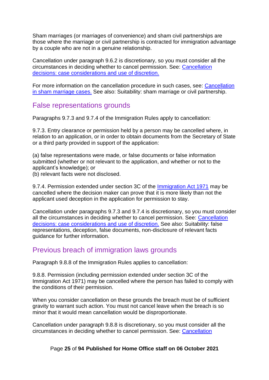Sham marriages (or marriages of convenience) and sham civil partnerships are those where the marriage or civil partnership is contracted for immigration advantage by a couple who are not in a genuine relationship.

Cancellation under paragraph 9.6.2 is discretionary, so you must consider all the circumstances in deciding whether to cancel permission. See: [Cancellation](#page-45-0)  [decisions: case considerations and use of](#page-45-0) discretion.

For more information on the cancellation procedure in such cases, see: [Cancellation](#page-59-2)  [in sham marriage cases.](#page-59-2) See also: Suitability: sham marriage or civil partnership.

#### <span id="page-24-0"></span>False representations grounds

Paragraphs 9.7.3 and 9.7.4 of the Immigration Rules apply to cancellation:

9.7.3. Entry clearance or permission held by a person may be cancelled where, in relation to an application, or in order to obtain documents from the Secretary of State or a third party provided in support of the application:

(a) false representations were made, or false documents or false information submitted (whether or not relevant to the application, and whether or not to the applicant's knowledge); or

(b) relevant facts were not disclosed.

9.7.4. Permission extended under section 3C of the [Immigration Act 1971](https://www.legislation.gov.uk/ukpga/1971/77/contents) may be cancelled where the decision maker can prove that it is more likely than not the applicant used deception in the application for permission to stay.

Cancellation under paragraphs 9.7.3 and 9.7.4 is discretionary, so you must consider all the circumstances in deciding whether to cancel permission. See: [Cancellation](#page-45-0)  [decisions: case considerations and use of](#page-45-0) discretion. See also: Suitability: false representations, deception, false documents, non-disclosure of relevant facts guidance for further information.

## <span id="page-24-1"></span>Previous breach of immigration laws grounds

Paragraph 9.8.8 of the Immigration Rules applies to cancellation:

9.8.8. Permission (including permission extended under section 3C of the Immigration Act 1971) may be cancelled where the person has failed to comply with the conditions of their permission.

When you consider cancellation on these grounds the breach must be of sufficient gravity to warrant such action. You must not cancel leave when the breach is so minor that it would mean cancellation would be disproportionate.

Cancellation under paragraph 9.8.8 is discretionary, so you must consider all the circumstances in deciding whether to cancel permission. See: [Cancellation](#page-45-0) 

Page **25** of **94 Published for Home Office staff on 06 October 2021**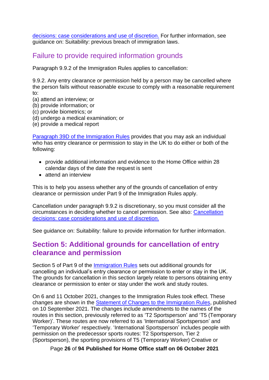[decisions: case considerations and use](#page-45-0) of discretion. For further information, see guidance on: Suitability: previous breach of immigration laws.

#### <span id="page-25-0"></span>Failure to provide required information grounds

Paragraph 9.9.2 of the Immigration Rules applies to cancellation:

9.9.2. Any entry clearance or permission held by a person may be cancelled where the person fails without reasonable excuse to comply with a reasonable requirement to:

- (a) attend an interview; or
- (b) provide information; or
- (c) provide biometrics; or
- (d) undergo a medical examination; or
- (e) provide a medical report

[Paragraph 39D of the Immigration Rules](https://www.gov.uk/guidance/immigration-rules/immigration-rules-part-1-leave-to-enter-or-stay-in-the-uk) provides that you may ask an individual who has entry clearance or permission to stay in the UK to do either or both of the following:

- provide additional information and evidence to the Home Office within 28 calendar days of the date the request is sent
- attend an interview

This is to help you assess whether any of the grounds of cancellation of entry clearance or permission under Part 9 of the Immigration Rules apply.

Cancellation under paragraph 9.9.2 is discretionary, so you must consider all the circumstances in deciding whether to cancel permission. See also: [Cancellation](#page-45-0)  [decisions: case considerations and use of](#page-45-0) discretion.

See guidance on: Suitability: failure to provide information for further information.

#### <span id="page-25-1"></span>**Section 5: Additional grounds for cancellation of entry clearance and permission**

Section 5 of Part 9 of the [Immigration Rules](https://www.gov.uk/guidance/immigration-rules/immigration-rules-part-9-grounds-for-refusal) sets out additional grounds for cancelling an individual's entry clearance or permission to enter or stay in the UK. The grounds for cancellation in this section largely relate to persons obtaining entry clearance or permission to enter or stay under the work and study routes.

On 6 and 11 October 2021, changes to the Immigration Rules took effect. These changes are shown in the [Statement of Changes to the Immigration Rules,](https://www.gov.uk/government/publications/statement-of-changes-to-the-immigration-rules-hc-617-10-september-2021) published on 10 September 2021. The changes include amendments to the names of the routes in this section, previously referred to as 'T2 Sportsperson' and 'T5 (Temporary Worker)'. These routes are now referred to as 'International Sportsperson' and 'Temporary Worker' respectively. 'International Sportsperson' includes people with permission on the predecessor sports routes: T2 Sportsperson, Tier 2 (Sportsperson), the sporting provisions of T5 (Temporary Worker) Creative or

Page **26** of **94 Published for Home Office staff on 06 October 2021**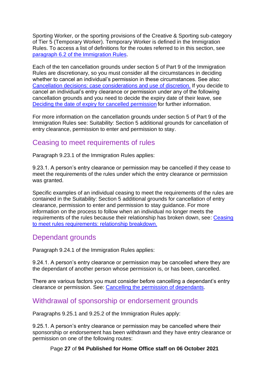Sporting Worker, or the sporting provisions of the Creative & Sporting sub-category of Tier 5 (Temporary Worker). Temporary Worker is defined in the Immigration Rules. To access a list of definitions for the routes referred to in this section, see [paragraph 6.2 of the Immigration Rules.](https://www.gov.uk/guidance/immigration-rules/immigration-rules-introduction)

Each of the ten cancellation grounds under section 5 of Part 9 of the Immigration Rules are discretionary, so you must consider all the circumstances in deciding whether to cancel an individual's permission in these circumstances. See also: [Cancellation decisions: case considerations and use of](#page-45-0) discretion. If you decide to cancel an individual's entry clearance or permission under any of the following cancellation grounds and you need to decide the expiry date of their leave, see [Deciding the date of expiry for cancelled permission](#page-49-1) for further information.

For more information on the cancellation grounds under section 5 of Part 9 of the Immigration Rules see: Suitability: Section 5 additional grounds for cancellation of entry clearance, permission to enter and permission to stay.

#### <span id="page-26-0"></span>Ceasing to meet requirements of rules

Paragraph 9.23.1 of the Immigration Rules applies:

9.23.1. A person's entry clearance or permission may be cancelled if they cease to meet the requirements of the rules under which the entry clearance or permission was granted.

Specific examples of an individual ceasing to meet the requirements of the rules are contained in the Suitability: Section 5 additional grounds for cancellation of entry clearance, permission to enter and permission to stay guidance. For more information on the process to follow when an individual no longer meets the requirements of the rules because their relationship has broken down, see: [Ceasing](#page-62-0)  [to meet rules requirements: relationship breakdown.](#page-62-0)

## <span id="page-26-1"></span>Dependant grounds

Paragraph 9.24.1 of the Immigration Rules applies:

9.24.1. A person's entry clearance or permission may be cancelled where they are the dependant of another person whose permission is, or has been, cancelled.

There are various factors you must consider before cancelling a dependant's entry clearance or permission. See: [Cancelling the permission of dependants.](#page-73-0)

## <span id="page-26-2"></span>Withdrawal of sponsorship or endorsement grounds

Paragraphs 9.25.1 and 9.25.2 of the Immigration Rules apply:

9.25.1. A person's entry clearance or permission may be cancelled where their sponsorship or endorsement has been withdrawn and they have entry clearance or permission on one of the following routes:

Page **27** of **94 Published for Home Office staff on 06 October 2021**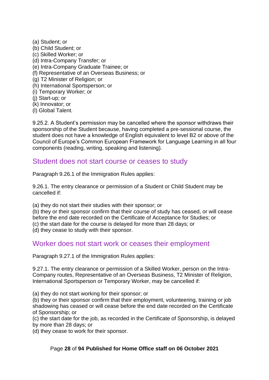- (a) Student; or (b) Child Student; or (c) Skilled Worker; or (d) Intra-Company Transfer; or (e) Intra-Company Graduate Trainee; or (f) Representative of an Overseas Business; or (g) T2 Minister of Religion; or (h) International Sportsperson; or (i) Temporary Worker; or (j) Start-up; or (k) Innovator; or
- (l) Global Talent.

9.25.2. A Student's permission may be cancelled where the sponsor withdraws their sponsorship of the Student because, having completed a pre-sessional course, the student does not have a knowledge of English equivalent to level B2 or above of the Council of Europe's Common European Framework for Language Learning in all four components (reading, writing, speaking and listening).

#### <span id="page-27-0"></span>Student does not start course or ceases to study

Paragraph 9.26.1 of the Immigration Rules applies:

9.26.1. The entry clearance or permission of a Student or Child Student may be cancelled if:

(a) they do not start their studies with their sponsor; or

(b) they or their sponsor confirm that their course of study has ceased, or will cease before the end date recorded on the Certificate of Acceptance for Studies; or (c) the start date for the course is delayed for more than 28 days; or

(d) they cease to study with their sponsor.

#### <span id="page-27-1"></span>Worker does not start work or ceases their employment

Paragraph 9.27.1 of the Immigration Rules applies:

9.27.1. The entry clearance or permission of a Skilled Worker, person on the Intra-Company routes, Representative of an Overseas Business, T2 Minister of Religion, International Sportsperson or Temporary Worker, may be cancelled if:

(a) they do not start working for their sponsor; or

(b) they or their sponsor confirm that their employment, volunteering, training or job shadowing has ceased or will cease before the end date recorded on the Certificate of Sponsorship; or

(c) the start date for the job, as recorded in the Certificate of Sponsorship, is delayed by more than 28 days; or

(d) they cease to work for their sponsor.

#### Page **28** of **94 Published for Home Office staff on 06 October 2021**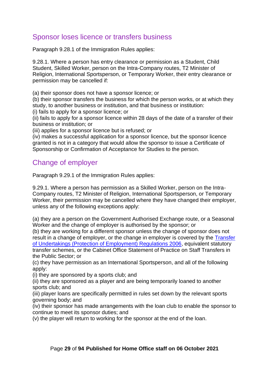# <span id="page-28-0"></span>Sponsor loses licence or transfers business

Paragraph 9.28.1 of the Immigration Rules applies:

9.28.1. Where a person has entry clearance or permission as a Student, Child Student, Skilled Worker, person on the Intra-Company routes, T2 Minister of Religion, International Sportsperson, or Temporary Worker, their entry clearance or permission may be cancelled if:

(a) their sponsor does not have a sponsor licence; or

(b) their sponsor transfers the business for which the person works, or at which they study, to another business or institution, and that business or institution:

(i) fails to apply for a sponsor licence; or

(ii) fails to apply for a sponsor licence within 28 days of the date of a transfer of their business or institution; or

(iii) applies for a sponsor licence but is refused; or

(iv) makes a successful application for a sponsor licence, but the sponsor licence granted is not in a category that would allow the sponsor to issue a Certificate of Sponsorship or Confirmation of Acceptance for Studies to the person.

## <span id="page-28-1"></span>Change of employer

Paragraph 9.29.1 of the Immigration Rules applies:

9.29.1. Where a person has permission as a Skilled Worker, person on the Intra-Company routes, T2 Minister of Religion, International Sportsperson, or Temporary Worker, their permission may be cancelled where they have changed their employer, unless any of the following exceptions apply:

(a) they are a person on the Government Authorised Exchange route, or a Seasonal Worker and the change of employer is authorised by the sponsor; or

(b) they are working for a different sponsor unless the change of sponsor does not result in a change of employer, or the change in employer is covered by the [Transfer](https://www.legislation.gov.uk/uksi/2006/246/contents/made)  [of Undertakings \(Protection of Employment\) Regulations 2006,](https://www.legislation.gov.uk/uksi/2006/246/contents/made) equivalent statutory transfer schemes, or the Cabinet Office Statement of Practice on Staff Transfers in the Public Sector; or

(c) they have permission as an International Sportsperson, and all of the following apply:

(i) they are sponsored by a sports club; and

(ii) they are sponsored as a player and are being temporarily loaned to another sports club; and

(iii) player loans are specifically permitted in rules set down by the relevant sports governing body; and

(iv) their sponsor has made arrangements with the loan club to enable the sponsor to continue to meet its sponsor duties; and

(v) the player will return to working for the sponsor at the end of the loan.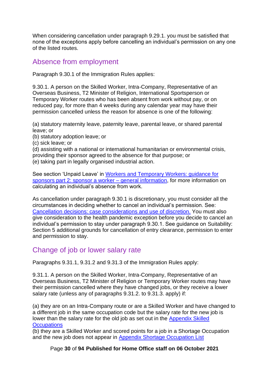When considering cancellation under paragraph 9.29.1. you must be satisfied that none of the exceptions apply before cancelling an individual's permission on any one of the listed routes.

#### <span id="page-29-0"></span>Absence from employment

Paragraph 9.30.1 of the Immigration Rules applies:

9.30.1. A person on the Skilled Worker, Intra-Company, Representative of an Overseas Business, T2 Minister of Religion, International Sportsperson or Temporary Worker routes who has been absent from work without pay, or on reduced pay, for more than 4 weeks during any calendar year may have their permission cancelled unless the reason for absence is one of the following:

(a) statutory maternity leave, paternity leave, parental leave, or shared parental leave; or

- (b) statutory adoption leave; or
- (c) sick leave; or
- (d) assisting with a national or international humanitarian or environmental crisis, providing their sponsor agreed to the absence for that purpose; or
- (e) taking part in legally organised industrial action.

See section 'Unpaid Leave' in [Workers and Temporary Workers: guidance for](https://www.gov.uk/government/publications/workers-and-temporary-workers-guidance-for-sponsors-part-2-sponsor-a-worker/workers-and-temporary-workers-guidance-for-sponsors-part-2-sponsor-a-worker-general-information-accessible-version#Unpaid-leave)  [sponsors part 2: sponsor a worker](https://www.gov.uk/government/publications/workers-and-temporary-workers-guidance-for-sponsors-part-2-sponsor-a-worker/workers-and-temporary-workers-guidance-for-sponsors-part-2-sponsor-a-worker-general-information-accessible-version#Unpaid-leave) – general information, for more information on calculating an individual's absence from work.

As cancellation under paragraph 9.30.1 is discretionary, you must consider all the circumstances in deciding whether to cancel an individual's permission. See: [Cancellation decisions: case considerations and use of](#page-45-0) discretion. You must also give consideration to the health pandemic exception before you decide to cancel an individual's permission to stay under paragraph 9.30.1. See guidance on Suitability: Section 5 additional grounds for cancellation of entry clearance, permission to enter and permission to stay.

## <span id="page-29-1"></span>Change of job or lower salary rate

Paragraphs 9.31.1, 9.31.2 and 9.31.3 of the Immigration Rules apply:

9.31.1. A person on the Skilled Worker, Intra-Company, Representative of an Overseas Business, T2 Minister of Religion or Temporary Worker routes may have their permission cancelled where they have changed jobs, or they receive a lower salary rate (unless any of paragraphs 9.31.2. to 9.31.3. apply) if:

(a) they are on an Intra-Company route or are a Skilled Worker and have changed to a different job in the same occupation code but the salary rate for the new job is lower than the salary rate for the old job as set out in the [Appendix Skilled](https://www.gov.uk/guidance/immigration-rules/immigration-rules-appendix-skilled-occupations)  **[Occupations](https://www.gov.uk/guidance/immigration-rules/immigration-rules-appendix-skilled-occupations)** 

(b) they are a Skilled Worker and scored points for a job in a Shortage Occupation and the new job does not appear in [Appendix Shortage Occupation List](https://www.gov.uk/guidance/immigration-rules/immigration-rules-appendix-shortage-occupation-list)

Page **30** of **94 Published for Home Office staff on 06 October 2021**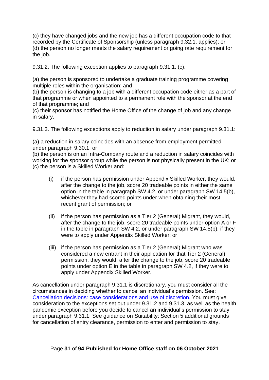(c) they have changed jobs and the new job has a different occupation code to that recorded by the Certificate of Sponsorship (unless paragraph 9.32.1. applies); or (d) the person no longer meets the salary requirement or going rate requirement for the job.

9.31.2. The following exception applies to paragraph 9.31.1. (c):

(a) the person is sponsored to undertake a graduate training programme covering multiple roles within the organisation; and

(b) the person is changing to a job with a different occupation code either as a part of that programme or when appointed to a permanent role with the sponsor at the end of that programme; and

(c) their sponsor has notified the Home Office of the change of job and any change in salary.

9.31.3. The following exceptions apply to reduction in salary under paragraph 9.31.1:

(a) a reduction in salary coincides with an absence from employment permitted under paragraph 9.30.1; or

(b) the person is on an Intra-Company route and a reduction in salary coincides with working for the sponsor group while the person is not physically present in the UK; or (c) the person is a Skilled Worker and:

- (i) if the person has permission under Appendix Skilled Worker, they would, after the change to the job, score 20 tradeable points in either the same option in the table in paragraph SW 4.2, or under paragraph SW 14.5(b), whichever they had scored points under when obtaining their most recent grant of permission; or
- (ii) if the person has permission as a Tier 2 (General) Migrant, they would, after the change to the job, score 20 tradeable points under option A or F in the table in paragraph SW 4.2, or under paragraph SW 14.5(b), if they were to apply under Appendix Skilled Worker; or
- (iii) if the person has permission as a Tier 2 (General) Migrant who was considered a new entrant in their application for that Tier 2 (General) permission, they would, after the change to the job, score 20 tradeable points under option E in the table in paragraph SW 4.2, if they were to apply under Appendix Skilled Worker.

As cancellation under paragraph 9.31.1 is discretionary, you must consider all the circumstances in deciding whether to cancel an individual's permission. See: [Cancellation decisions: case considerations and use of](#page-45-0) discretion. You must give consideration to the exceptions set out under 9.31.2 and 9.31.3, as well as the health pandemic exception before you decide to cancel an individual's permission to stay under paragraph 9.31.1. See guidance on Suitability: Section 5 additional grounds for cancellation of entry clearance, permission to enter and permission to stay.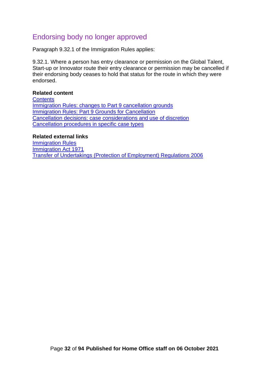# <span id="page-31-0"></span>Endorsing body no longer approved

Paragraph 9.32.1 of the Immigration Rules applies:

9.32.1. Where a person has entry clearance or permission on the Global Talent, Start-up or Innovator route their entry clearance or permission may be cancelled if their endorsing body ceases to hold that status for the route in which they were endorsed.

#### **Related content**

**[Contents](#page-1-0)** Immigration Rules: changes to [Part 9 cancellation grounds](#page-11-0) [Immigration Rules: Part 9 Grounds for Cancellation](#page-21-0) [Cancellation decisions: case considerations](#page-45-0) and use of discretion [Cancellation procedures in specific case types](#page-59-0)

#### **Related external links**

[Immigration Rules](https://www.gov.uk/guidance/immigration-rules) [Immigration Act 1971](https://www.legislation.gov.uk/ukpga/1971/77/contents) [Transfer of Undertakings \(Protection of Employment\) Regulations 2006](https://www.legislation.gov.uk/uksi/2006/246/contents/made)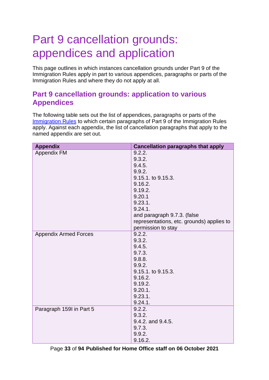# <span id="page-32-0"></span>Part 9 cancellation grounds: appendices and application

This page outlines in which instances cancellation grounds under Part 9 of the Immigration Rules apply in part to various appendices, paragraphs or parts of the Immigration Rules and where they do not apply at all.

## <span id="page-32-1"></span>**Part 9 cancellation grounds: application to various Appendices**

The following table sets out the list of appendices, paragraphs or parts of the [Immigration Rules](https://www.gov.uk/guidance/immigration-rules) to which certain paragraphs of Part 9 of the Immigration Rules apply. Against each appendix, the list of cancellation paragraphs that apply to the named appendix are set out.

| <b>Appendix</b>              | <b>Cancellation paragraphs that apply</b> |
|------------------------------|-------------------------------------------|
| <b>Appendix FM</b>           | 9.2.2.                                    |
|                              | 9.3.2.                                    |
|                              | 9.4.5.                                    |
|                              | 9.9.2.                                    |
|                              | 9.15.1. to 9.15.3.                        |
|                              | 9.16.2.                                   |
|                              | 9.19.2.                                   |
|                              | 9.20.1                                    |
|                              | 9.23.1.                                   |
|                              | 9.24.1.                                   |
|                              | and paragraph 9.7.3. (false               |
|                              | representations, etc. grounds) applies to |
|                              | permission to stay                        |
| <b>Appendix Armed Forces</b> | 9.2.2.                                    |
|                              | 9.3.2.                                    |
|                              | 9.4.5.                                    |
|                              | 9.7.3.                                    |
|                              | 9.8.8.                                    |
|                              | 9.9.2.                                    |
|                              | 9.15.1. to 9.15.3.                        |
|                              | 9.16.2.                                   |
|                              | 9.19.2.                                   |
|                              | 9.20.1.                                   |
|                              | 9.23.1.                                   |
|                              | 9.24.1.                                   |
| Paragraph 159I in Part 5     | 9.2.2.                                    |
|                              | 9.3.2.                                    |
|                              | 9.4.2. and 9.4.5.                         |
|                              | 9.7.3.                                    |
|                              | 9.9.2.                                    |
|                              | 9.16.2.                                   |

Page **33** of **94 Published for Home Office staff on 06 October 2021**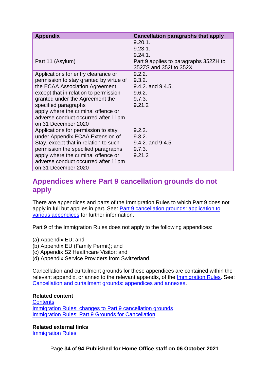| <b>Appendix</b>                         | <b>Cancellation paragraphs that apply</b>                       |
|-----------------------------------------|-----------------------------------------------------------------|
|                                         | $9.20.1$ .                                                      |
|                                         | 9.23.1.                                                         |
|                                         | $9.24.1$ .                                                      |
| Part 11 (Asylum)                        | Part 9 applies to paragraphs 352ZH to<br>352ZS and 352I to 352X |
| Applications for entry clearance or     | 9.2.2.                                                          |
| permission to stay granted by virtue of | 9.3.2.                                                          |
| the ECAA Association Agreement,         | 9.4.2. and 9.4.5.                                               |
| except that in relation to permission   | 9.6.2.                                                          |
| granted under the Agreement the         | 9.7.3.                                                          |
| specified paragraphs                    | 9.21.2                                                          |
| apply where the criminal offence or     |                                                                 |
| adverse conduct occurred after 11pm     |                                                                 |
| on 31 December 2020                     |                                                                 |
| Applications for permission to stay     | 9.2.2.                                                          |
| under Appendix ECAA Extension of        | 9.3.2.                                                          |
| Stay, except that in relation to such   | 9.4.2. and 9.4.5.                                               |
| permission the specified paragraphs     | 9.7.3.                                                          |
| apply where the criminal offence or     | 9.21.2                                                          |
| adverse conduct occurred after 11pm     |                                                                 |
| on 31 December 2020                     |                                                                 |

## <span id="page-33-0"></span>**Appendices where Part 9 cancellation grounds do not apply**

There are appendices and parts of the Immigration Rules to which Part 9 does not apply in full but applies in part. See: **Part 9 cancellation grounds: application to** [various appendices](#page-32-1) for further information.

Part 9 of the Immigration Rules does not apply to the following appendices:

- (a) Appendix EU; and
- (b) Appendix EU (Family Permit); and
- (c) Appendix S2 Healthcare Visitor; and
- (d) Appendix Service Providers from Switzerland.

Cancellation and curtailment grounds for these appendices are contained within the relevant appendix, or annex to the relevant appendix, of the [Immigration Rules.](https://www.gov.uk/guidance/immigration-rules/immigration-rules-index) See: [Cancellation and curtailment grounds: appendices and annexes.](#page-34-0)

#### **Related content**

**[Contents](#page-1-0)** [Immigration Rules: changes to Part 9 cancellation grounds](#page-11-0) [Immigration Rules: Part 9 Grounds for Cancellation](#page-21-0)

#### **Related external links**

[Immigration Rules](https://www.gov.uk/guidance/immigration-rules)

Page **34** of **94 Published for Home Office staff on 06 October 2021**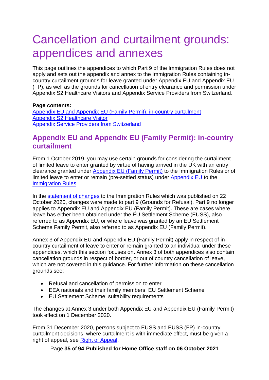# <span id="page-34-0"></span>Cancellation and curtailment grounds: appendices and annexes

This page outlines the appendices to which Part 9 of the Immigration Rules does not apply and sets out the appendix and annex to the Immigration Rules containing incountry curtailment grounds for leave granted under Appendix EU and Appendix EU (FP), as well as the grounds for cancellation of entry clearance and permission under Appendix S2 Healthcare Visitors and Appendix Service Providers from Switzerland.

#### **Page contents:**

[Appendix EU and Appendix EU \(Family Permit\): in-country curtailment](#page-34-1) [Appendix S2 Healthcare Visitor](#page-42-1) [Appendix Service Providers from Switzerland](#page-43-1)

## <span id="page-34-1"></span>**Appendix EU and Appendix EU (Family Permit): in-country curtailment**

From 1 October 2019, you may use certain grounds for considering the curtailment of limited leave to enter granted by virtue of having arrived in the UK with an entry clearance granted under [Appendix EU \(Family Permit\)](https://www.gov.uk/guidance/immigration-rules/appendix-eu-family-permit) to the Immigration Rules or of limited leave to enter or remain (pre-settled status) under [Appendix EU](https://www.gov.uk/guidance/immigration-rules/immigration-rules-appendix-eu) to the [Immigration Rules.](https://www.gov.uk/guidance/immigration-rules)

In the [statement of changes](https://www.gov.uk/government/publications/statement-of-changes-to-the-immigration-rules-hc-813-22-october-2020) to the Immigration Rules which was published on 22 October 2020, changes were made to part 9 (Grounds for Refusal). Part 9 no longer applies to Appendix EU and Appendix EU (Family Permit). These are cases where leave has either been obtained under the EU Settlement Scheme (EUSS), also referred to as Appendix EU, or where leave was granted by an EU Settlement Scheme Family Permit, also referred to as Appendix EU (Family Permit).

Annex 3 of Appendix EU and Appendix EU (Family Permit) apply in respect of incountry curtailment of leave to enter or remain granted to an individual under these appendices, which this section focuses on. Annex 3 of both appendices also contain cancellation grounds in respect of border, or out of country cancellation of leave, which are not covered in this guidance. For further information on these cancellation grounds see:

- Refusal and cancellation of permission to enter
- EEA nationals and their family members: EU Settlement Scheme
- EU Settlement Scheme: suitability requirements

The changes at Annex 3 under both Appendix EU and Appendix EU (Family Permit) took effect on 1 December 2020.

From 31 December 2020, persons subject to EUSS and EUSS (FP) in-country curtailment decisions, where curtailment is with immediate effect, must be given a right of appeal, see [Right of Appeal.](#page-35-0)

Page **35** of **94 Published for Home Office staff on 06 October 2021**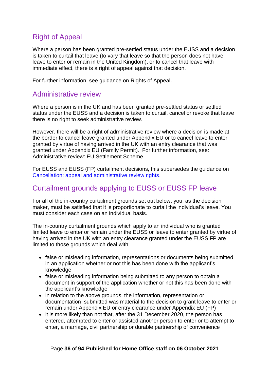# <span id="page-35-0"></span>Right of Appeal

Where a person has been granted pre-settled status under the EUSS and a decision is taken to curtail that leave (to vary that leave so that the person does not have leave to enter or remain in the United Kingdom), or to cancel that leave with immediate effect, there is a right of appeal against that decision.

For further information, see guidance on Rights of Appeal.

#### <span id="page-35-1"></span>Administrative review

Where a person is in the UK and has been granted pre-settled status or settled status under the EUSS and a decision is taken to curtail, cancel or revoke that leave there is no right to seek administrative review.

However, there will be a right of administrative review where a decision is made at the border to cancel leave granted under Appendix EU or to cancel leave to enter granted by virtue of having arrived in the UK with an entry clearance that was granted under Appendix EU (Family Permit). For further information, see: Administrative review: EU Settlement Scheme.

For EUSS and EUSS (FP) curtailment decisions, this supersedes the guidance on [Cancellation: appeal and administrative review rights.](#page-9-1)

## <span id="page-35-2"></span>Curtailment grounds applying to EUSS or EUSS FP leave

For all of the in-country curtailment grounds set out below, you, as the decision maker, must be satisfied that it is proportionate to curtail the individual's leave. You must consider each case on an individual basis.

The in-country curtailment grounds which apply to an individual who is granted limited leave to enter or remain under the EUSS or leave to enter granted by virtue of having arrived in the UK with an entry clearance granted under the EUSS FP are limited to those grounds which deal with:

- false or misleading information, representations or documents being submitted in an application whether or not this has been done with the applicant's knowledge
- false or misleading information being submitted to any person to obtain a document in support of the application whether or not this has been done with the applicant's knowledge
- in relation to the above grounds, the information, representation or documentation submitted was material to the decision to grant leave to enter or remain under Appendix EU or entry clearance under Appendix EU (FP)
- it is more likely than not that, after the 31 December 2020, the person has entered, attempted to enter or assisted another person to enter or to attempt to enter, a marriage, civil partnership or durable partnership of convenience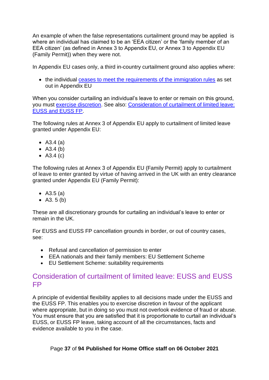An example of when the false representations curtailment ground may be applied is where an individual has claimed to be an 'EEA citizen' or the 'family member of an EEA citizen' (as defined in Annex 3 to Appendix EU, or Annex 3 to Appendix EU (Family Permit)) when they were not.

In Appendix EU cases only, a third in-country curtailment ground also applies where:

• the individual [ceases to meet the requirements of the immigration rules](#page-26-0) as set out in Appendix EU

When you consider curtailing an individual's leave to enter or remain on this ground, you must [exercise discretion.](#page-45-0) See also: Consideration of [curtailment of limited leave:](#page-36-0)  [EUSS and EUSS FP.](#page-36-0)

The following rules at Annex 3 of Appendix EU apply to curtailment of limited leave granted under Appendix EU:

- A3.4 (a)
- A3.4 (b)
- A3.4 (c)

The following rules at Annex 3 of Appendix EU (Family Permit) apply to curtailment of leave to enter granted by virtue of having arrived in the UK with an entry clearance granted under Appendix EU (Family Permit):

- A3.5 (a)
- A3. 5 (b)

These are all discretionary grounds for curtailing an individual's leave to enter or remain in the UK.

For EUSS and EUSS FP cancellation grounds in border, or out of country cases, see:

- Refusal and cancellation of permission to enter
- EEA nationals and their family members: EU Settlement Scheme
- EU Settlement Scheme: suitability requirements

## <span id="page-36-0"></span>Consideration of curtailment of limited leave: EUSS and EUSS FP

A principle of evidential flexibility applies to all decisions made under the EUSS and the EUSS FP. This enables you to exercise discretion in favour of the applicant where appropriate, but in doing so you must not overlook evidence of fraud or abuse. You must ensure that you are satisfied that it is proportionate to curtail an individual's EUSS, or EUSS FP leave, taking account of all the circumstances, facts and evidence available to you in the case.

#### Page **37** of **94 Published for Home Office staff on 06 October 2021**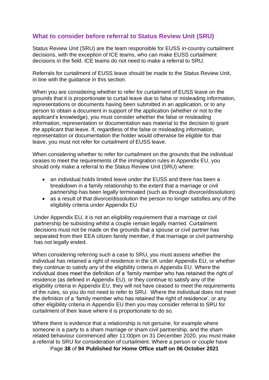## <span id="page-37-0"></span>**What to consider before referral to Status Review Unit (SRU)**

Status Review Unit (SRU) are the team responsible for EUSS in-country curtailment decisions, with the exception of ICE teams, who can make EUSS curtailment decisions in the field. ICE teams do not need to make a referral to SRU.

Referrals for curtailment of EUSS leave should be made to the Status Review Unit, in line with the guidance in this section.

When you are considering whether to refer for curtailment of EUSS leave on the grounds that it is proportionate to curtail leave due to false or misleading information, representations or documents having been submitted in an application, or to any person to obtain a document in support of the application (whether or not to the applicant's knowledge), you must consider whether the false or misleading information, representation or documentation was material to the decision to grant the applicant that leave. If, regardless of the false or misleading information, representation or documentation the holder would otherwise be eligible for that leave, you must not refer for curtailment of EUSS leave.

When considering whether to refer for curtailment on the grounds that the individual ceases to meet the requirements of the immigration rules in Appendix EU, you should only make a referral to the Status Review Unit (SRU) where:

- an individual holds limited leave under the EUSS and there has been a breakdown in a family relationship to the extent that a marriage or civil partnership has been legally terminated (such as through divorce/dissolution)
- as a result of that divorce/dissolution the person no longer satisfies any of the eligibility criteria under Appendix EU

Under Appendix EU, it is not an eligibility requirement that a marriage or civil partnership be subsisting whilst a couple remain legally married. Curtailment decisions must not be made on the grounds that a spouse or civil partner has separated from their EEA citizen family member, if that marriage or civil partnership has not legally ended.

When considering referring such a case to SRU, you must assess whether the individual has retained a right of residence in the UK under Appendix EU, or whether they continue to satisfy any of the eligibility criteria in Appendix EU. Where the individual does meet the definition of a 'family member who has retained the right of residence (as defined in Appendix EU), or they continue to satisfy any of the eligibility criteria in Appendix EU, they will not have ceased to meet the requirements of the rules, so you do not need to refer to SRU. Where the individual does not meet the definition of a 'family member who has retained the right of residence', or any other eligibility criteria in Appendix EU then you may consider referral to SRU for curtailment of their leave where it is proportionate to do so.

Page **38** of **94 Published for Home Office staff on 06 October 2021** Where there is evidence that a relationship is not genuine, for example where someone is a party to a sham marriage or sham civil partnership, and the sham related behaviour commenced after 11:00pm on 31 December 2020, you must make a referral to SRU for consideration of curtailment. Where a person or couple have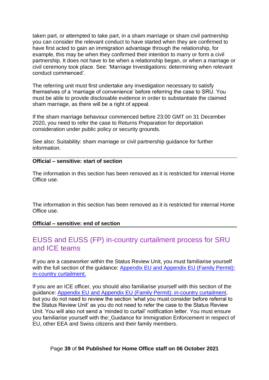taken part, or attempted to take part, in a sham marriage or sham civil partnership you can consider the relevant conduct to have started when they are confirmed to have first acted to gain an immigration advantage through the relationship, for example, this may be when they confirmed their intention to marry or form a civil partnership. It does not have to be when a relationship began, or when a marriage or civil ceremony took place. See: 'Marriage Investigations: determining when relevant conduct commenced'.

The referring unit must first undertake any investigation necessary to satisfy themselves of a 'marriage of convenience' before referring the case to SRU. You must be able to provide disclosable evidence in order to substantiate the claimed sham marriage, as there will be a right of appeal.

If the sham marriage behaviour commenced before 23:00 GMT on 31 December 2020, you need to refer the case to Returns Preparation for deportation consideration under public policy or security grounds.

See also: Suitability: sham marriage or civil partnership guidance for further information.

#### **Official – sensitive: start of section**

The information in this section has been removed as it is restricted for internal Home Office use.

The information in this section has been removed as it is restricted for internal Home Office use.

#### **Official – sensitive: end of section**

# EUSS and EUSS (FP) in-country curtailment process for SRU and ICE teams

If you are a caseworker within the Status Review Unit, you must familiarise yourself with the full section of the guidance: Appendix EU and Appendix EU (Family Permit): [in-country curtailment.](#page-34-0)

If you are an ICE officer, you should also familiarise yourself with this section of the guidance: [Appendix EU and Appendix EU \(Family Permit\): in-country curtailment,](#page-34-0) but you do not need to review the section 'what you must consider before referral to the Status Review Unit' as you do not need to refer the case to the Status Review Unit. You will also not send a 'minded to curtail' notification letter. You must ensure you familiarise yourself with the: Guidance for Immigration Enforcement in respect of EU, other EEA and Swiss citizens and their family members.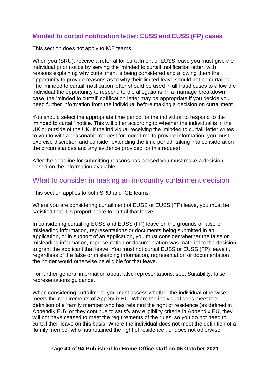## **Minded to curtail notification letter: EUSS and EUSS (FP) cases**

This section does not apply to ICE teams.

When you (SRU), receive a referral for curtailment of EUSS leave you must give the individual prior notice by serving the 'minded to curtail' notification letter, with reasons explaining why curtailment is being considered and allowing them the opportunity to provide reasons as to why their limited leave should not be curtailed. The 'minded to curtail' notification letter should be used in all fraud cases to allow the individual the opportunity to respond to the allegations. In a marriage breakdown case, the 'minded to curtail' notification letter may be appropriate if you decide you need further information from the individual before making a decision on curtailment.

You should select the appropriate time period for the individual to respond to the 'minded to curtail' notice. This will differ according to whether the individual is in the UK or outside of the UK. If the individual receiving the 'minded to curtail' letter writes to you to with a reasonable request for more time to provide information, you must exercise discretion and consider extending the time period, taking into consideration the circumstances and any evidence provided for this request.

After the deadline for submitting reasons has passed you must make a decision based on the information available.

## What to consider in making an in-country curtailment decision

This section applies to both SRU and ICE teams.

Where you are considering curtailment of EUSS or EUSS (FP) leave, you must be satisfied that it is proportionate to curtail that leave.

In considering curtailing EUSS and EUSS (FP) leave on the grounds of false or misleading information, representations or documents being submitted in an application, or in support of an application, you must consider whether the false or misleading information, representation or documentation was material to the decision to grant the applicant that leave. You must not curtail EUSS or EUSS (FP) leave if, regardless of the false or misleading information, representation or documentation the holder would otherwise be eligible for that leave.

For further general information about false representations, see: Suitability: false representations guidance.

When considering curtailment, you must assess whether the individual otherwise meets the requirements of Appendix EU. Where the individual does meet the definition of a 'family member who has retained the right of residence (as defined in Appendix EU), or they continue to satisfy any eligibility criteria in Appendix EU, they will not have ceased to meet the requirements of the rules, so you do not need to curtail their leave on this basis. Where the individual does not meet the definition of a 'family member who has retained the right of residence', or does not otherwise

#### Page **40** of **94 Published for Home Office staff on 06 October 2021**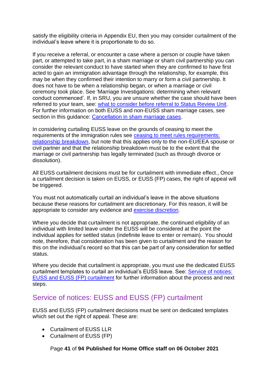satisfy the eligibility criteria in Appendix EU, then you may consider curtailment of the individual's leave where it is proportionate to do so.

If you receive a referral, or encounter a case where a person or couple have taken part, or attempted to take part, in a sham marriage or sham civil partnership you can consider the relevant conduct to have started when they are confirmed to have first acted to gain an immigration advantage through the relationship, for example, this may be when they confirmed their intention to marry or form a civil partnership. It does not have to be when a relationship began, or when a marriage or civil ceremony took place. See 'Marriage Investigations: determining when relevant conduct commenced'. If, in SRU, you are unsure whether the case should have been referred to your team, see: [what to consider before referral to Status Review Unit.](#page-37-0) For further information on both EUSS and non-EUSS sham marriage cases, see section in this quidance: [Cancellation in sham marriage cases.](#page-59-0)

In considering curtailing EUSS leave on the grounds of ceasing to meet the requirements of the immigration rules see [ceasing to meet rules requirements:](#page-62-0)  [relationship breakdown,](#page-62-0) but note that this applies only to the non-EU/EEA spouse or civil partner and that the relationship breakdown must be to the extent that the marriage or civil partnership has legally terminated (such as through divorce or dissolution).

All EUSS curtailment decisions must be for curtailment with immediate effect., Once a curtailment decision is taken on EUSS, or EUSS (FP) cases, the right of appeal will be triggered.

You must not automatically curtail an individual's leave in the above situations because these reasons for curtailment are discretionary. For this reason, it will be appropriate to consider any evidence and [exercise discretion.](#page-45-0)

Where you decide that curtailment is not appropriate, the continued eligibility of an individual with limited leave under the EUSS will be considered at the point the individual applies for settled status (indefinite leave to enter or remain). You should note, therefore, that consideration has been given to curtailment and the reason for this on the individual's record so that this can be part of any consideration for settled status.

Where you decide that curtailment is appropriate, you must use the dedicated EUSS curtailment templates to curtail an individual's EUSS leave. See: [Service of notices:](#page-40-0)  EUSS [and EUSS \(FP\)](#page-40-0) curtailment for further information about the process and next steps.

# <span id="page-40-0"></span>Service of notices: EUSS and EUSS (FP) curtailment

EUSS and EUSS (FP) curtailment decisions must be sent on dedicated templates which set out the right of appeal. These are:

- Curtailment of EUSS LLR
- Curtailment of EUSS (FP)

Page **41** of **94 Published for Home Office staff on 06 October 2021**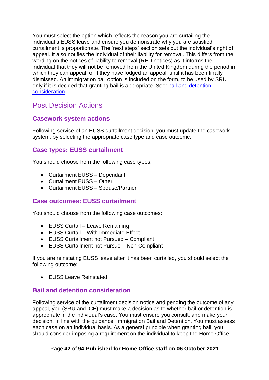You must select the option which reflects the reason you are curtailing the individual's EUSS leave and ensure you demonstrate why you are satisfied curtailment is proportionate. The 'next steps' section sets out the individual's right of appeal. It also notifies the individual of their liability for removal. This differs from the wording on the notices of liability to removal (RED notices) as it informs the individual that they will not be removed from the United Kingdom during the period in which they can appeal, or if they have lodged an appeal, until it has been finally dismissed. An immigration bail option is included on the form, to be used by SRU only if it is decided that granting bail is appropriate. See: [bail and detention](#page-41-0)  [consideration.](#page-41-0)

# <span id="page-41-1"></span>Post Decision Actions

## **Casework system actions**

Following service of an EUSS curtailment decision, you must update the casework system, by selecting the appropriate case type and case outcome.

## **Case types: EUSS curtailment**

You should choose from the following case types:

- Curtailment EUSS Dependant
- Curtailment EUSS Other
- Curtailment EUSS Spouse/Partner

#### **Case outcomes: EUSS curtailment**

You should choose from the following case outcomes:

- EUSS Curtail Leave Remaining
- EUSS Curtail With Immediate Effect
- EUSS Curtailment not Pursued Compliant
- EUSS Curtailment not Pursue Non-Compliant

If you are reinstating EUSS leave after it has been curtailed, you should select the following outcome:

• EUSS Leave Reinstated

## <span id="page-41-0"></span>**Bail and detention consideration**

Following service of the curtailment decision notice and pending the outcome of any appeal, you (SRU and ICE) must make a decision as to whether bail or detention is appropriate in the individual's case. You must ensure you consult, and make your decision, in line with the guidance: Immigration Bail and Detention. You must assess each case on an individual basis. As a general principle when granting bail, you should consider imposing a requirement on the individual to keep the Home Office

#### Page **42** of **94 Published for Home Office staff on 06 October 2021**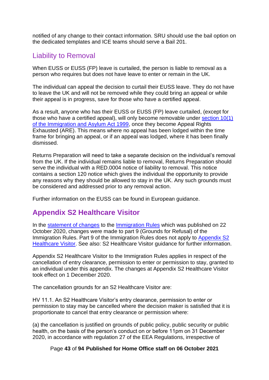notified of any change to their contact information. SRU should use the bail option on the dedicated templates and ICE teams should serve a Bail 201.

# Liability to Removal

When EUSS or EUSS (FP) leave is curtailed, the person is liable to removal as a person who requires but does not have leave to enter or remain in the UK.

The individual can appeal the decision to curtail their EUSS leave. They do not have to leave the UK and will not be removed while they could bring an appeal or while their appeal is in progress, save for those who have a certified appeal.

As a result, anyone who has their EUSS or EUSS (FP) leave curtailed, (except for those who have a certified appeal), will only become removable under [section 10\(1\)](https://www.legislation.gov.uk/ukpga/1999/33/section/10)  [of the Immigration and Asylum Act 1999,](https://www.legislation.gov.uk/ukpga/1999/33/section/10) once they become Appeal Rights Exhausted (ARE). This means where no appeal has been lodged within the time frame for bringing an appeal, or if an appeal was lodged, where it has been finally dismissed.

Returns Preparation will need to take a separate decision on the individual's removal from the UK. If the individual remains liable to removal, Returns Preparation should serve the individual with a RED.0004 notice of liability to removal. This notice contains a section 120 notice which gives the individual the opportunity to provide any reasons why they should be allowed to stay in the UK. Any such grounds must be considered and addressed prior to any removal action.

Further information on the EUSS can be found in European guidance.

# <span id="page-42-0"></span>**Appendix S2 Healthcare Visitor**

In the [statement of changes](https://www.gov.uk/government/publications/statement-of-changes-to-the-immigration-rules-hc-813-22-october-2020) to the [Immigration Rules](https://www.gov.uk/guidance/immigration-rules) which was published on 22 October 2020, changes were made to part 9 (Grounds for Refusal) of the Immigration Rules. Part 9 of the Immigration Rules does not apply to [Appendix S2](https://www.gov.uk/guidance/immigration-rules/immigration-rules-appendix-s2-healthcare-visitor)  [Healthcare Visitor.](https://www.gov.uk/guidance/immigration-rules/immigration-rules-appendix-s2-healthcare-visitor) See also: S2 Healthcare Visitor guidance for further information.

Appendix S2 Healthcare Visitor to the Immigration Rules applies in respect of the cancellation of entry clearance, permission to enter or permission to stay, granted to an individual under this appendix. The changes at Appendix S2 Healthcare Visitor took effect on 1 December 2020.

The cancellation grounds for an S2 Healthcare Visitor are:

HV 11.1. An S2 Healthcare Visitor's entry clearance, permission to enter or permission to stay may be cancelled where the decision maker is satisfied that it is proportionate to cancel that entry clearance or permission where:

(a) the cancellation is justified on grounds of public policy, public security or public health, on the basis of the person's conduct on or before 11pm on 31 December 2020, in accordance with regulation 27 of the EEA Regulations, irrespective of

Page **43** of **94 Published for Home Office staff on 06 October 2021**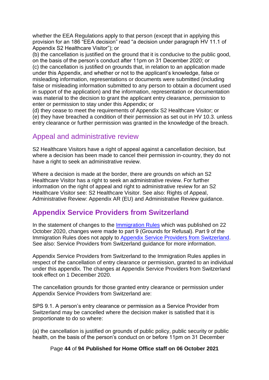whether the EEA Regulations apply to that person (except that in applying this provision for an 186 "EEA decision" read "a decision under paragraph HV 11.1 of Appendix S2 Healthcare Visitor"); or

(b) the cancellation is justified on the ground that it is conducive to the public good, on the basis of the person's conduct after 11pm on 31 December 2020; or (c) the cancellation is justified on grounds that, in relation to an application made under this Appendix, and whether or not to the applicant's knowledge, false or misleading information, representations or documents were submitted (including false or misleading information submitted to any person to obtain a document used in support of the application) and the information, representation or documentation was material to the decision to grant the applicant entry clearance, permission to enter or permission to stay under this Appendix; or

(d) they cease to meet the requirements of Appendix S2 Healthcare Visitor; or (e) they have breached a condition of their permission as set out in HV 10.3. unless entry clearance or further permission was granted in the knowledge of the breach.

## Appeal and administrative review

S2 Healthcare Visitors have a right of appeal against a cancellation decision, but where a decision has been made to cancel their permission in-country, they do not have a right to seek an administrative review.

Where a decision is made at the border, there are grounds on which an S2 Healthcare Visitor has a right to seek an administrative review. For further information on the right of appeal and right to administrative review for an S2 Healthcare Visitor see: S2 Healthcare Visitor. See also: Rights of Appeal, Administrative Review: Appendix AR (EU) and Administrative Review guidance.

# <span id="page-43-0"></span>**Appendix Service Providers from Switzerland**

In the statement of changes to the [Immigration Rules](https://www.gov.uk/guidance/immigration-rules) which was published on 22 October 2020, changes were made to part 9 (Grounds for Refusal). Part 9 of the Immigration Rules does not apply to [Appendix Service Providers from Switzerland.](https://www.gov.uk/guidance/immigration-rules/immigration-rules-appendix-service-providers-from-switzerland) See also: Service Providers from Switzerland guidance for more information.

Appendix Service Providers from Switzerland to the Immigration Rules applies in respect of the cancellation of entry clearance or permission, granted to an individual under this appendix. The changes at Appendix Service Providers from Switzerland took effect on 1 December 2020.

The cancellation grounds for those granted entry clearance or permission under Appendix Service Providers from Switzerland are:

SPS 9.1. A person's entry clearance or permission as a Service Provider from Switzerland may be cancelled where the decision maker is satisfied that it is proportionate to do so where:

(a) the cancellation is justified on grounds of public policy, public security or public health, on the basis of the person's conduct on or before 11pm on 31 December

Page **44** of **94 Published for Home Office staff on 06 October 2021**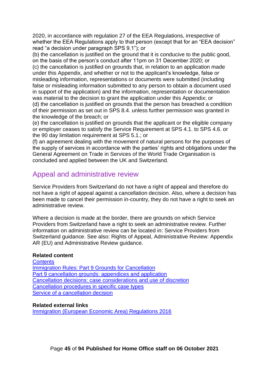2020, in accordance with regulation 27 of the EEA Regulations, irrespective of whether the EEA Regulations apply to that person (except that for an "EEA decision" read "a decision under paragraph SPS 9.1"); or

(b) the cancellation is justified on the ground that it is conducive to the public good, on the basis of the person's conduct after 11pm on 31 December 2020; or

(c) the cancellation is justified on grounds that, in relation to an application made under this Appendix, and whether or not to the applicant's knowledge, false or misleading information, representations or documents were submitted (including false or misleading information submitted to any person to obtain a document used in support of the application) and the information, representation or documentation was material to the decision to grant the application under this Appendix; or (d) the cancellation is justified on grounds that the person has breached a condition

of their permission as set out in SPS 8.4. unless further permission was granted in the knowledge of the breach; or

(e) the cancellation is justified on grounds that the applicant or the eligible company or employer ceases to satisfy the Service Requirement at SPS 4.1. to SPS 4.6. or the 90 day limitation requirement at SPS 5.1.; or

(f) an agreement dealing with the movement of natural persons for the purposes of the supply of services in accordance with the parties' rights and obligations under the General Agreement on Trade in Services of the World Trade Organisation is concluded and applied between the UK and Switzerland.

# Appeal and administrative review

Service Providers from Switzerland do not have a right of appeal and therefore do not have a right of appeal against a cancellation decision. Also, where a decision has been made to cancel their permission in-country, they do not have a right to seek an administrative review.

Where a decision is made at the border, there are grounds on which Service Providers from Switzerland have a right to seek an administrative review. Further information on administrative review can be located in: Service Providers from Switzerland guidance. See also: Rights of Appeal, Administrative Review: Appendix AR (EU) and Administrative Review guidance.

#### **Related content**

**[Contents](#page-1-0)** [Immigration Rules: Part 9 Grounds for Cancellation](#page-21-0) [Part 9 cancellation grounds: appendices and application](#page-32-0) [Cancellation decisions: case considerations and use of](#page-45-0) discretion [Cancellation procedures in specific case types](#page-59-1) Service of [a cancellation decision](#page-77-0)

#### **Related external links**

[Immigration \(European Economic Area\) Regulations 2016](https://www.legislation.gov.uk/uksi/2016/1052/made)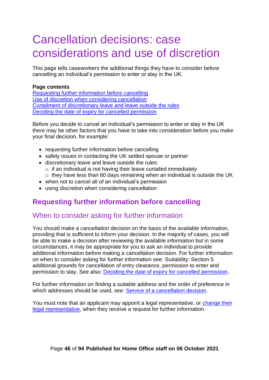# <span id="page-45-0"></span>Cancellation decisions: case considerations and use of discretion

This page tells caseworkers the additional things they have to consider before cancelling an individual's permission to enter or stay in the UK.

#### **Page contents**

[Requesting further information before cancelling](#page-45-1) Use of [discretion when considering cancellation](#page-46-0) Curtailment [of discretionary leave and leave outside the rules](#page-49-0) [Deciding the date of expiry for cancelled permission](#page-49-1)

Before you decide to cancel an individual's permission to enter or stay in the UK there may be other factors that you have to take into consideration before you make your final decision, for example:

- requesting further information before cancelling
- safety issues in contacting the UK settled spouse or partner
- discretionary leave and leave outside the rules:
	- $\circ$  if an individual is not having their leave curtailed immediately
	- o they have less than 60 days remaining when an individual is outside the UK
- when not to cancel all of an individual's permission
- using discretion when considering cancellation

# <span id="page-45-1"></span>**Requesting further information before cancelling**

## When to consider asking for further information

You should make a cancellation decision on the basis of the available information, providing that is sufficient to inform your decision. In the majority of cases, you will be able to make a decision after reviewing the available information but in some circumstances, it may be appropriate for you to ask an individual to provide additional information before making a cancellation decision. For further information on when to consider asking for further information see: Suitability: Section 5 additional grounds for cancellation of entry clearance, permission to enter and permission to stay. See also: [Deciding the date of expiry for cancelled permission.](#page-49-1)

For further information on finding a suitable address and the order of preference in which addresses should be used, see: [Service of a cancellation decision.](#page-77-0)

You must note that an applicant may appoint a legal representative, or [change their](#page-92-0)  [legal representative,](#page-92-0) when they receive a request for further information.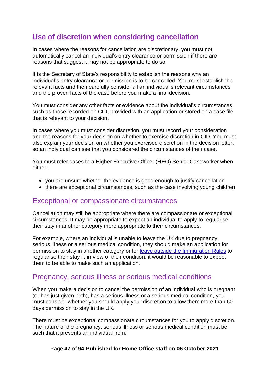# <span id="page-46-0"></span>**Use of discretion when considering cancellation**

In cases where the reasons for cancellation are discretionary, you must not automatically cancel an individual's entry clearance or permission if there are reasons that suggest it may not be appropriate to do so.

It is the Secretary of State's responsibility to establish the reasons why an individual's entry clearance or permission is to be cancelled. You must establish the relevant facts and then carefully consider all an individual's relevant circumstances and the proven facts of the case before you make a final decision.

You must consider any other facts or evidence about the individual's circumstances, such as those recorded on CID, provided with an application or stored on a case file that is relevant to your decision.

In cases where you must consider discretion, you must record your consideration and the reasons for your decision on whether to exercise discretion in CID. You must also explain your decision on whether you exercised discretion in the decision letter, so an individual can see that you considered the circumstances of their case.

You must refer cases to a Higher Executive Officer (HEO) Senior Caseworker when either:

- you are unsure whether the evidence is good enough to justify cancellation
- there are exceptional circumstances, such as the case involving young children

## Exceptional or compassionate circumstances

Cancellation may still be appropriate where there are compassionate or exceptional circumstances. It may be appropriate to expect an individual to apply to regularise their stay in another category more appropriate to their circumstances.

For example, where an individual is unable to leave the UK due to pregnancy, serious illness or a serious medical condition, they should make an application for permission to stay in another category or for [leave outside the Immigration Rules](#page-49-0) to regularise their stay if, in view of their condition, it would be reasonable to expect them to be able to make such an application.

## Pregnancy, serious illness or serious medical conditions

When you make a decision to cancel the permission of an individual who is pregnant (or has just given birth), has a serious illness or a serious medical condition, you must consider whether you should apply your discretion to allow them more than 60 days permission to stay in the UK.

There must be exceptional compassionate circumstances for you to apply discretion. The nature of the pregnancy, serious illness or serious medical condition must be such that it prevents an individual from:

#### Page **47** of **94 Published for Home Office staff on 06 October 2021**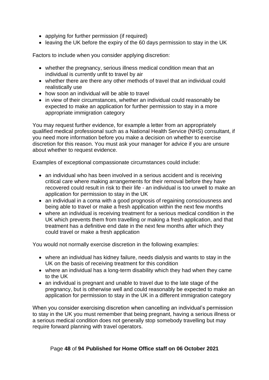- applying for further permission (if required)
- leaving the UK before the expiry of the 60 days permission to stay in the UK

Factors to include when you consider applying discretion:

- whether the pregnancy, serious illness medical condition mean that an individual is currently unfit to travel by air
- whether there are there any other methods of travel that an individual could realistically use
- how soon an individual will be able to travel
- in view of their circumstances, whether an individual could reasonably be expected to make an application for further permission to stay in a more appropriate immigration category

You may request further evidence, for example a letter from an appropriately qualified medical professional such as a National Health Service (NHS) consultant, if you need more information before you make a decision on whether to exercise discretion for this reason. You must ask your manager for advice if you are unsure about whether to request evidence.

Examples of exceptional compassionate circumstances could include:

- an individual who has been involved in a serious accident and is receiving critical care where making arrangements for their removal before they have recovered could result in risk to their life - an individual is too unwell to make an application for permission to stay in the UK
- an individual in a coma with a good prognosis of regaining consciousness and being able to travel or make a fresh application within the next few months
- where an individual is receiving treatment for a serious medical condition in the UK which prevents them from travelling or making a fresh application, and that treatment has a definitive end date in the next few months after which they could travel or make a fresh application

You would not normally exercise discretion in the following examples:

- where an individual has kidney failure, needs dialysis and wants to stay in the UK on the basis of receiving treatment for this condition
- where an individual has a long-term disability which they had when they came to the UK
- an individual is pregnant and unable to travel due to the late stage of the pregnancy, but is otherwise well and could reasonably be expected to make an application for permission to stay in the UK in a different immigration category

When you consider exercising discretion when cancelling an individual's permission to stay in the UK you must remember that being pregnant, having a serious illness or a serious medical condition does not generally stop somebody travelling but may require forward planning with travel operators.

#### Page **48** of **94 Published for Home Office staff on 06 October 2021**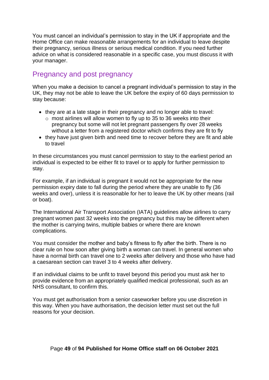You must cancel an individual's permission to stay in the UK if appropriate and the Home Office can make reasonable arrangements for an individual to leave despite their pregnancy, serious illness or serious medical condition. If you need further advice on what is considered reasonable in a specific case, you must discuss it with your manager.

# Pregnancy and post pregnancy

When you make a decision to cancel a pregnant individual's permission to stay in the UK, they may not be able to leave the UK before the expiry of 60 days permission to stay because:

- they are at a late stage in their pregnancy and no longer able to travel:
	- o most airlines will allow women to fly up to 35 to 36 weeks into their pregnancy but some will not let pregnant passengers fly over 28 weeks without a letter from a registered doctor which confirms they are fit to fly
- they have just given birth and need time to recover before they are fit and able to travel

In these circumstances you must cancel permission to stay to the earliest period an individual is expected to be either fit to travel or to apply for further permission to stay.

For example, if an individual is pregnant it would not be appropriate for the new permission expiry date to fall during the period where they are unable to fly (36 weeks and over), unless it is reasonable for her to leave the UK by other means (rail or boat).

The International Air Transport Association (IATA) guidelines allow airlines to carry pregnant women past 32 weeks into the pregnancy but this may be different when the mother is carrying twins, multiple babies or where there are known complications.

You must consider the mother and baby's fitness to fly after the birth. There is no clear rule on how soon after giving birth a woman can travel. In general women who have a normal birth can travel one to 2 weeks after delivery and those who have had a caesarean section can travel 3 to 4 weeks after delivery.

If an individual claims to be unfit to travel beyond this period you must ask her to provide evidence from an appropriately qualified medical professional, such as an NHS consultant, to confirm this.

You must get authorisation from a senior caseworker before you use discretion in this way. When you have authorisation, the decision letter must set out the full reasons for your decision.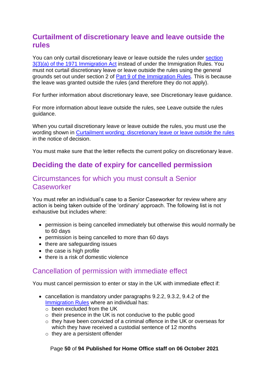# <span id="page-49-0"></span>**Curtailment of discretionary leave and leave outside the rules**

You can only curtail discretionary leave or leave outside the rules under section [3\(3\)\(a\) of the 1971 Immigration Act](http://www.legislation.gov.uk/ukpga/1971/77/section/3) instead of under the Immigration Rules. You must not curtail discretionary leave or leave outside the rules using the general grounds set out under section 2 of **Part 9 of the Immigration Rules**. This is because the leave was granted outside the rules (and therefore they do not apply).

For further information about discretionary leave, see Discretionary leave guidance.

For more information about leave outside the rules, see Leave outside the rules guidance.

When you curtail discretionary leave or leave outside the rules, you must use the wording shown in [Curtailment wording: discretionary leave or leave outside the rules](#page-86-0) in the notice of decision.

You must make sure that the letter reflects the current policy on discretionary leave.

# <span id="page-49-1"></span>**Deciding the date of expiry for cancelled permission**

## Circumstances for which you must consult a Senior **Caseworker**

You must refer an individual's case to a Senior Caseworker for review where any action is being taken outside of the 'ordinary' approach. The following list is not exhaustive but includes where:

- permission is being cancelled immediately but otherwise this would normally be to 60 days
- permission is being cancelled to more than 60 days
- there are safeguarding issues
- the case is high profile
- there is a risk of domestic violence

# Cancellation of permission with immediate effect

You must cancel permission to enter or stay in the UK with immediate effect if:

- cancellation is mandatory under paragraphs 9.2.2, 9.3.2, 9.4.2 of the [Immigration Rules](https://www.gov.uk/guidance/immigration-rules/immigration-rules-part-9-grounds-for-refusal) where an individual has:
	- $\circ$  been excluded from the UK
	- o their presence in the UK is not conducive to the public good
	- o they have been convicted of a criminal offence in the UK or overseas for which they have received a custodial sentence of 12 months
	- $\circ$  they are a persistent offender

#### Page **50** of **94 Published for Home Office staff on 06 October 2021**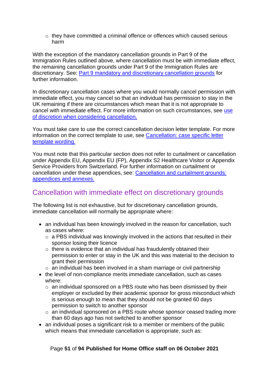$\circ$  they have committed a criminal offence or offences which caused serious harm

With the exception of the mandatory cancellation grounds in Part 9 of the Immigration Rules outlined above, where cancellation must be with immediate effect, the remaining cancellation grounds under Part 9 of the Immigration Rules are discretionary. See: [Part 9 mandatory and discretionary cancellation grounds](#page-18-0) for further information.

In discretionary cancellation cases where you would normally cancel permission with immediate effect, you may cancel so that an individual has permission to stay in the UK remaining if there are circumstances which mean that it is not appropriate to cancel with immediate effect. For more information on such circumstances, see use [of discretion when considering cancellation.](#page-46-0)

You must take care to use the correct cancellation decision letter template. For more information on the correct template to use, see [Cancellation: case specific letter](#page-85-0)  [template wording.](#page-85-0)

You must note that this particular section does not refer to curtailment or cancellation under Appendix EU, Appendix EU (FP), Appendix S2 Healthcare Visitor or Appendix Service Providers from Switzerland. For further information on curtailment or cancellation under these appendices, see: [Cancellation and curtailment grounds:](#page-34-1)  [appendices and annexes.](#page-34-1)

# Cancellation with immediate effect on discretionary grounds

The following list is not exhaustive, but for discretionary cancellation grounds, immediate cancellation will normally be appropriate where:

- an individual has been knowingly involved in the reason for cancellation, such as cases where:
	- o a PBS individual was knowingly involved in the actions that resulted in their sponsor losing their licence
	- $\circ$  there is evidence that an individual has fraudulently obtained their permission to enter or stay in the UK and this was material to the decision to grant their permission
	- o an individual has been involved in a sham marriage or civil partnership
- the level of non-compliance merits immediate cancellation, such as cases where:
	- $\circ$  an individual sponsored on a PBS route who has been dismissed by their employer or excluded by their academic sponsor for gross misconduct which is serious enough to mean that they should not be granted 60 days permission to switch to another sponsor
	- o an individual sponsored on a PBS route whose sponsor ceased trading more than 60 days ago has not switched to another sponsor
- an individual poses a significant risk to a member or members of the public which means that immediate cancellation is appropriate, such as:

#### Page **51** of **94 Published for Home Office staff on 06 October 2021**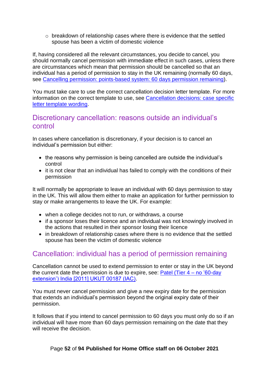o breakdown of relationship cases where there is evidence that the settled spouse has been a victim of domestic violence

If, having considered all the relevant circumstances, you decide to cancel, you should normally cancel permission with immediate effect in such cases, unless there are circumstances which mean that permission should be cancelled so that an individual has a period of permission to stay in the UK remaining (normally 60 days, see [Cancelling permission: points-based system: 60 days permission remaining\)](#page-52-0).

You must take care to use the correct cancellation decision letter template. For more information on the correct template to use, see [Cancellation decisions: case specific](#page-85-0)  [letter template wording.](#page-85-0)

## Discretionary cancellation: reasons outside an individual's control

In cases where cancellation is discretionary, if your decision is to cancel an individual's permission but either:

- the reasons why permission is being cancelled are outside the individual's control
- it is not clear that an individual has failed to comply with the conditions of their permission

It will normally be appropriate to leave an individual with 60 days permission to stay in the UK. This will allow them either to make an application for further permission to stay or make arrangements to leave the UK. For example:

- when a college decides not to run, or withdraws, a course
- if a sponsor loses their licence and an individual was not knowingly involved in the actions that resulted in their sponsor losing their licence
- in breakdown of relationship cases where there is no evidence that the settled spouse has been the victim of domestic violence

# Cancellation: individual has a period of permission remaining

Cancellation cannot be used to extend permission to enter or stay in the UK beyond the current date the permission is due to expire, see:  $Patel (Tier 4 – no '60-day$ [extension'\) India \[2011\] UKUT 00187 \(IAC\).](http://www.bailii.org/cgi-bin/markup.cgi?doc=/uk/cases/UKUT/IAC/2011/00187_ukut_iac_jnp_india.html&query=UKUT+and+00187+and+(IAC)&method=boolean)

You must never cancel permission and give a new expiry date for the permission that extends an individual's permission beyond the original expiry date of their permission.

It follows that if you intend to cancel permission to 60 days you must only do so if an individual will have more than 60 days permission remaining on the date that they will receive the decision.

#### Page **52** of **94 Published for Home Office staff on 06 October 2021**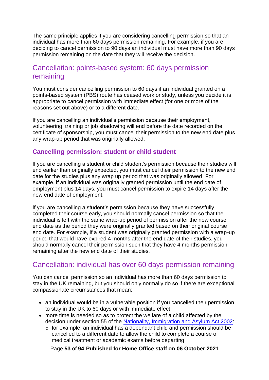The same principle applies if you are considering cancelling permission so that an individual has more than 60 days permission remaining. For example, if you are deciding to cancel permission to 90 days an individual must have more than 90 days permission remaining on the date that they will receive the decision.

# <span id="page-52-0"></span>Cancellation: points-based system: 60 days permission remaining

You must consider cancelling permission to 60 days if an individual granted on a points-based system (PBS) route has ceased work or study, unless you decide it is appropriate to cancel permission with immediate effect (for one or more of the reasons set out above) or to a different date.

If you are cancelling an individual's permission because their employment, volunteering, training or job shadowing will end before the date recorded on the certificate of sponsorship, you must cancel their permission to the new end date plus any wrap-up period that was originally allowed.

#### **Cancelling permission: student or child student**

If you are cancelling a student or child student's permission because their studies will end earlier than originally expected, you must cancel their permission to the new end date for the studies plus any wrap up period that was originally allowed. For example, if an individual was originally granted permission until the end date of employment plus 14 days, you must cancel permission to expire 14 days after the new end date of employment.

If you are cancelling a student's permission because they have successfully completed their course early, you should normally cancel permission so that the individual is left with the same wrap-up period of permission after the new course end date as the period they were originally granted based on their original course end date. For example, if a student was originally granted permission with a wrap-up period that would have expired 4 months after the end date of their studies, you should normally cancel their permission such that they have 4 months permission remaining after the new end date of their studies.

# Cancellation: individual has over 60 days permission remaining

You can cancel permission so an individual has more than 60 days permission to stay in the UK remaining, but you should only normally do so if there are exceptional compassionate circumstances that mean:

- an individual would be in a vulnerable position if you cancelled their permission to stay in the UK to 60 days or with immediate effect
- more time is needed so as to protect the welfare of a child affected by the decision under section 55 of the [Nationality, Immigration and Asylum Act 2002:](https://www.legislation.gov.uk/ukpga/2002/41/contents)
	- o for example, an individual has a dependant child and permission should be cancelled to a different date to allow the child to complete a course of medical treatment or academic exams before departing

Page **53** of **94 Published for Home Office staff on 06 October 2021**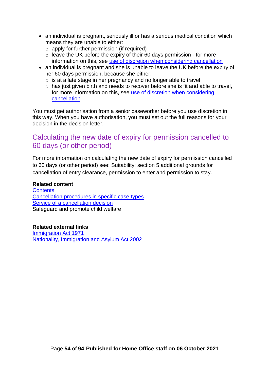- an individual is pregnant, seriously ill or has a serious medical condition which means they are unable to either:
	- $\circ$  apply for further permission (if required)
	- $\circ$  leave the UK before the expiry of their 60 days permission for more information on this, see [use of discretion when considering cancellation](#page-46-0)
- an individual is pregnant and she is unable to leave the UK before the expiry of her 60 days permission, because she either:
	- o is at a late stage in her pregnancy and no longer able to travel
	- o has just given birth and needs to recover before she is fit and able to travel, for more information on this, see [use of discretion when considering](#page-46-0)  [cancellation](#page-46-0)

You must get authorisation from a senior caseworker before you use discretion in this way. When you have authorisation, you must set out the full reasons for your decision in the decision letter.

## Calculating the new date of expiry for permission cancelled to 60 days (or other period)

For more information on calculating the new date of expiry for permission cancelled to 60 days (or other period) see: Suitability: section 5 additional grounds for cancellation of entry clearance, permission to enter and permission to stay.

#### **Related content**

**[Contents](#page-1-0)** [Cancellation procedures in specific case types](#page-59-1) Service of [a cancellation decision](#page-77-0) Safeguard and promote child welfare

**Related external links** [Immigration Act 1971](https://www.legislation.gov.uk/ukpga/1971/77/contents) [Nationality, Immigration and Asylum Act 2002](https://www.legislation.gov.uk/ukpga/2002/41/contents)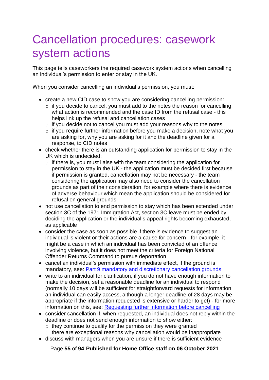# Cancellation procedures: casework system actions

This page tells caseworkers the required casework system actions when cancelling an individual's permission to enter or stay in the UK.

When you consider cancelling an individual's permission, you must:

- create a new CID case to show you are considering cancelling permission:
	- $\circ$  if you decide to cancel, you must add to the notes the reason for cancelling, what action is recommended and the case ID from the refusal case - this helps link up the refusal and cancellation cases
	- $\circ$  if you decide not to cancel you must add your reasons why to the notes
	- o if you require further information before you make a decision, note what you are asking for, why you are asking for it and the deadline given for a response, to CID notes
- check whether there is an outstanding application for permission to stay in the UK which is undecided:
	- o if there is, you must liaise with the team considering the application for permission to stay in the UK - the application must be decided first because if permission is granted, cancellation may not be necessary - the team considering the application may also need to consider the cancellation grounds as part of their consideration, for example where there is evidence of adverse behaviour which mean the application should be considered for refusal on general grounds
- not use cancellation to end permission to stay which has been extended under section 3C of the 1971 Immigration Act, section 3C leave must be ended by deciding the application or the individual's appeal rights becoming exhausted, as applicable
- consider the case as soon as possible if there is evidence to suggest an individual is violent or their actions are a cause for concern - for example, it might be a case in which an individual has been convicted of an offence involving violence, but it does not meet the criteria for Foreign National Offender Returns Command to pursue deportation
- cancel an individual's permission with immediate effect, if the ground is mandatory, see: [Part 9 mandatory and discretionary cancellation grounds](#page-18-0)
- write to an individual for clarification, if you do not have enough information to make the decision, set a reasonable deadline for an individual to respond (normally 10 days will be sufficient for straightforward requests for information an individual can easily access, although a longer deadline of 28 days may be appropriate if the information requested is extensive or harder to get) - for more information on this, see: [Requesting further information before cancelling](#page-45-1)
- consider cancellation if, when requested, an individual does not reply within the deadline or does not send enough information to show either:
	- o they continue to qualify for the permission they were granted
	- $\circ$  there are exceptional reasons why cancellation would be inappropriate
- discuss with managers when you are unsure if there is sufficient evidence

Page **55** of **94 Published for Home Office staff on 06 October 2021**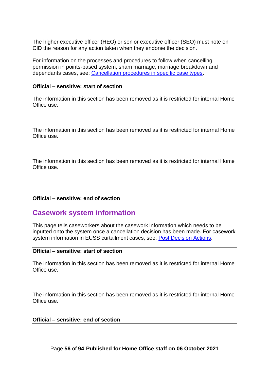The higher executive officer (HEO) or senior executive officer (SEO) must note on CID the reason for any action taken when they endorse the decision.

For information on the processes and procedures to follow when cancelling permission in points-based system, sham marriage, marriage breakdown and dependants cases, see: [Cancellation procedures in specific case types.](#page-59-1)

#### **Official – sensitive: start of section**

The information in this section has been removed as it is restricted for internal Home Office use.

The information in this section has been removed as it is restricted for internal Home Office use.

The information in this section has been removed as it is restricted for internal Home Office use.

#### **Official – sensitive: end of section**

## **Casework system information**

This page tells caseworkers about the casework information which needs to be inputted onto the system once a cancellation decision has been made. For casework system information in EUSS curtailment cases, see: [Post Decision Actions.](#page-41-1)

#### **Official – sensitive: start of section**

The information in this section has been removed as it is restricted for internal Home Office use.

The information in this section has been removed as it is restricted for internal Home Office use.

#### **Official – sensitive: end of section**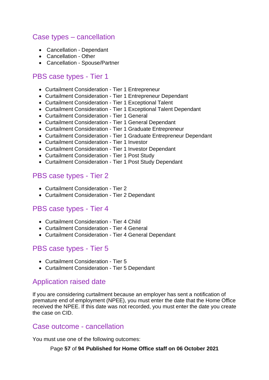# Case types – cancellation

- Cancellation Dependant
- Cancellation Other
- Cancellation Spouse/Partner

## PBS case types - Tier 1

- Curtailment Consideration Tier 1 Entrepreneur
- Curtailment Consideration Tier 1 Entrepreneur Dependant
- Curtailment Consideration Tier 1 Exceptional Talent
- Curtailment Consideration Tier 1 Exceptional Talent Dependant
- Curtailment Consideration Tier 1 General
- Curtailment Consideration Tier 1 General Dependant
- Curtailment Consideration Tier 1 Graduate Entrepreneur
- Curtailment Consideration Tier 1 Graduate Entrepreneur Dependant
- Curtailment Consideration Tier 1 Investor
- Curtailment Consideration Tier 1 Investor Dependant
- Curtailment Consideration Tier 1 Post Study
- Curtailment Consideration Tier 1 Post Study Dependant

## PBS case types - Tier 2

- Curtailment Consideration Tier 2
- Curtailment Consideration Tier 2 Dependant

## PBS case types - Tier 4

- Curtailment Consideration Tier 4 Child
- Curtailment Consideration Tier 4 General
- Curtailment Consideration Tier 4 General Dependant

## PBS case types - Tier 5

- Curtailment Consideration Tier 5
- Curtailment Consideration Tier 5 Dependant

# Application raised date

If you are considering curtailment because an employer has sent a notification of premature end of employment (NPEE), you must enter the date that the Home Office received the NPEE. If this date was not recorded, you must enter the date you create the case on CID.

## Case outcome - cancellation

You must use one of the following outcomes:

Page **57** of **94 Published for Home Office staff on 06 October 2021**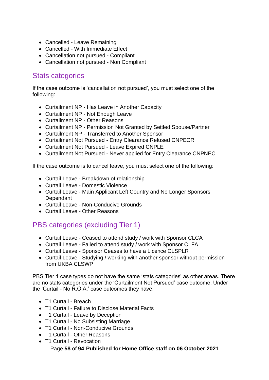- Cancelled Leave Remaining
- Cancelled With Immediate Effect
- Cancellation not pursued Compliant
- Cancellation not pursued Non Compliant

# Stats categories

If the case outcome is 'cancellation not pursued', you must select one of the following:

- Curtailment NP Has Leave in Another Capacity
- Curtailment NP Not Enough Leave
- Curtailment NP Other Reasons
- Curtailment NP Permission Not Granted by Settled Spouse/Partner
- Curtailment NP Transferred to Another Sponsor
- Curtailment Not Pursued Entry Clearance Refused CNPECR
- Curtailment Not Pursued Leave Expired CNPLE
- Curtailment Not Pursued Never applied for Entry Clearance CNPNEC

If the case outcome is to cancel leave, you must select one of the following:

- Curtail Leave Breakdown of relationship
- Curtail Leave Domestic Violence
- Curtail Leave Main Applicant Left Country and No Longer Sponsors **Dependant**
- Curtail Leave Non-Conducive Grounds
- Curtail Leave Other Reasons

# PBS categories (excluding Tier 1)

- Curtail Leave Ceased to attend study / work with Sponsor CLCA
- Curtail Leave Failed to attend study / work with Sponsor CLFA
- Curtail Leave Sponsor Ceases to have a Licence CLSPLR
- Curtail Leave Studying / working with another sponsor without permission from UKBA CLSWP

PBS Tier 1 case types do not have the same 'stats categories' as other areas. There are no stats categories under the 'Curtailment Not Pursued' case outcome. Under the 'Curtail - No R.O.A.' case outcomes they have:

- T1 Curtail Breach
- T1 Curtail Failure to Disclose Material Facts
- T1 Curtail Leave by Deception
- T1 Curtail No Subsisting Marriage
- T1 Curtail Non-Conducive Grounds
- T1 Curtail Other Reasons
- T1 Curtail Revocation

Page **58** of **94 Published for Home Office staff on 06 October 2021**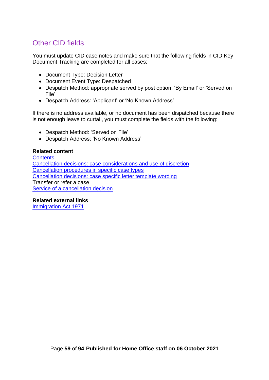# Other CID fields

You must update CID case notes and make sure that the following fields in CID Key Document Tracking are completed for all cases:

- Document Type: Decision Letter
- Document Event Type: Despatched
- Despatch Method: appropriate served by post option, 'By Email' or 'Served on File'
- Despatch Address: 'Applicant' or 'No Known Address'

If there is no address available, or no document has been dispatched because there is not enough leave to curtail, you must complete the fields with the following:

- Despatch Method: 'Served on File'
- Despatch Address: 'No Known Address'

#### **Related content**

**[Contents](#page-1-0)** [Cancellation decisions: case considerations and use of](#page-45-0) discretion [Cancellation procedures in specific case types](#page-59-1) [Cancellation decisions: case specific letter template wording](#page-85-0) Transfer or refer a case Service of [a cancellation decision](#page-77-0)

#### **Related external links**

[Immigration Act 1971](https://www.legislation.gov.uk/ukpga/1971/77/contents)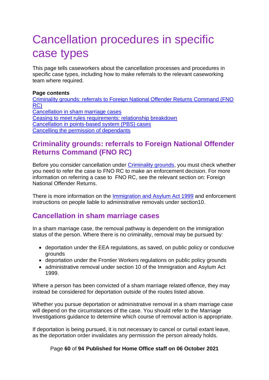# <span id="page-59-1"></span>Cancellation procedures in specific case types

This page tells caseworkers about the cancellation processes and procedures in specific case types, including how to make referrals to the relevant caseworking team where required.

#### **Page contents**

[Criminality grounds: referrals to Foreign National Offender Returns Command \(FNO](#page-59-2)  [RC\)](#page-59-2)  [Cancellation in sham marriage cases](#page-59-0) [Ceasing to meet rules requirements: relationship breakdown](#page-62-0) [Cancellation in points-based system \(PBS\) cases](#page-70-0) [Cancelling the permission of dependants](#page-73-0)

# <span id="page-59-2"></span>**Criminality grounds: referrals to Foreign National Offender Returns Command (FNO RC)**

Before you consider cancellation under [Criminality grounds,](#page-22-0) you must check whether you need to refer the case to FNO RC to make an enforcement decision. For more information on referring a case to FNO RC, see the relevant section on: Foreign National Offender Returns.

There is more information on the [Immigration and Asylum Act 1999](http://www.legislation.gov.uk/ukpga/1999/33/contents) and enforcement instructions on people liable to administrative removals under section10.

# <span id="page-59-0"></span>**Cancellation in sham marriage cases**

In a sham marriage case, the removal pathway is dependent on the immigration status of the person. Where there is no criminality, removal may be pursued by:

- deportation under the EEA regulations, as saved, on public policy or conducive grounds
- deportation under the Frontier Workers regulations on public policy grounds
- administrative removal under section 10 of the Immigration and Asylum Act 1999.

Where a person has been convicted of a sham marriage related offence, they may instead be considered for deportation outside of the routes listed above.

Whether you pursue deportation or administrative removal in a sham marriage case will depend on the circumstances of the case. You should refer to the Marriage Investigations guidance to determine which course of removal action is appropriate.

If deportation is being pursued, it is not necessary to cancel or curtail extant leave, as the deportation order invalidates any permission the person already holds.

#### Page **60** of **94 Published for Home Office staff on 06 October 2021**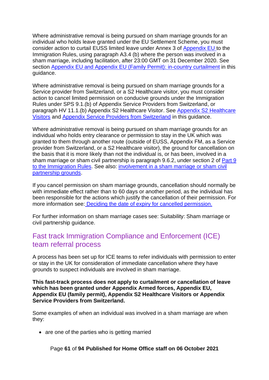Where administrative removal is being pursued on sham marriage grounds for an individual who holds leave granted under the EU Settlement Scheme, you must consider action to curtail EUSS limited leave under Annex 3 of [Appendix EU t](https://www.gov.uk/guidance/immigration-rules/immigration-rules-appendix-eu)o the Immigration Rules, using paragraph A3.4 (b) where the person was involved in a sham marriage, including facilitation, after 23:00 GMT on 31 December 2020. See section [Appendix EU and Appendix EU \(Family Permit\): in-country curtailment](#page-34-0) in this guidance.

Where administrative removal is being pursued on sham marriage grounds for a Service provider from Switzerland, or a S2 Healthcare visitor, you must consider action to cancel limited permission on conducive grounds under the Immigration Rules under SPS 9.1.(b) of Appendix Service Providers from Switzerland, or paragraph HV 11.1.(b) Appendix S2 Healthcare Visitor. See [Appendix S2 Healthcare](#page-42-0)  [Visitors](#page-42-0) and [Appendix Service Providers from Switzerland](#page-43-0) in this guidance.

Where administrative removal is being pursued on sham marriage grounds for an individual who holds entry clearance or permission to stay in the UK which was granted to them through another route (outside of EUSS, Appendix FM, as a Service provider from Switzerland, or a S2 Healthcare visitor), the ground for cancellation on the basis that it is more likely than not the individual is, or has been, involved in a sham marriage or sham civil partnership is paragraph 9.6.2, under section 2 of [Part 9](https://www.gov.uk/guidance/immigration-rules/immigration-rules-part-9-grounds-for-refusal)  [to the Immigration Rules.](https://www.gov.uk/guidance/immigration-rules/immigration-rules-part-9-grounds-for-refusal) See also: [involvement in a sham marriage or sham civil](#page-23-0)  [partnership grounds.](#page-23-0)

If you cancel permission on sham marriage grounds, cancellation should normally be with immediate effect rather than to 60 days or another period, as the individual has been responsible for the actions which justify the cancellation of their permission. For more information see: [Deciding the date of expiry for cancelled permission.](#page-49-1)

For further information on sham marriage cases see: Suitability: Sham marriage or civil partnership guidance.

# Fast track Immigration Compliance and Enforcement (ICE) team referral process

A process has been set up for ICE teams to refer individuals with permission to enter or stay in the UK for consideration of immediate cancellation where they have grounds to suspect individuals are involved in sham marriage.

**This fast-track process does not apply to curtailment or cancellation of leave which has been granted under Appendix Armed forces, Appendix EU, Appendix EU (family permit), Appendix S2 Healthcare Visitors or Appendix Service Providers from Switzerland.** 

Some examples of when an individual was involved in a sham marriage are when they:

• are one of the parties who is getting married

Page **61** of **94 Published for Home Office staff on 06 October 2021**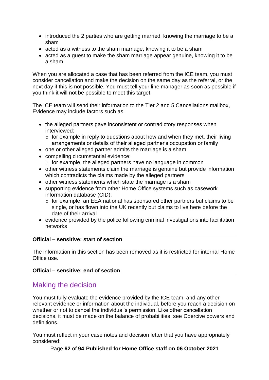- introduced the 2 parties who are getting married, knowing the marriage to be a sham
- acted as a witness to the sham marriage, knowing it to be a sham
- acted as a guest to make the sham marriage appear genuine, knowing it to be a sham

When you are allocated a case that has been referred from the ICE team, you must consider cancellation and make the decision on the same day as the referral, or the next day if this is not possible. You must tell your line manager as soon as possible if you think it will not be possible to meet this target.

The ICE team will send their information to the Tier 2 and 5 Cancellations mailbox, Evidence may include factors such as:

- the alleged partners gave inconsistent or contradictory responses when interviewed:
	- $\circ$  for example in reply to questions about how and when they met, their living arrangements or details of their alleged partner's occupation or family
- one or other alleged partner admits the marriage is a sham
- compelling circumstantial evidence:
- o for example, the alleged partners have no language in common • other witness statements claim the marriage is genuine but provide information
- which contradicts the claims made by the alleged partners
- other witness statements which state the marriage is a sham
- supporting evidence from other Home Office systems such as casework information database (CID):
	- $\circ$  for example, an EEA national has sponsored other partners but claims to be single, or has flown into the UK recently but claims to live here before the date of their arrival
- evidence provided by the police following criminal investigations into facilitation networks

#### **Official – sensitive: start of section**

The information in this section has been removed as it is restricted for internal Home Office use.

#### **Official – sensitive: end of section**

## Making the decision

You must fully evaluate the evidence provided by the ICE team, and any other relevant evidence or information about the individual, before you reach a decision on whether or not to cancel the individual's permission. Like other cancellation decisions, it must be made on the balance of probabilities, see Coercive powers and definitions.

You must reflect in your case notes and decision letter that you have appropriately considered:

Page **62** of **94 Published for Home Office staff on 06 October 2021**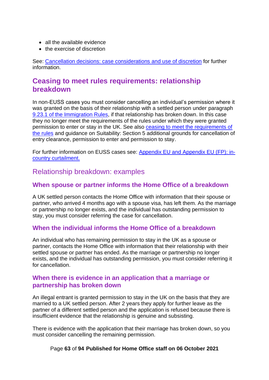- all the available evidence
- the exercise of discretion

See: [Cancellation decisions: case considerations](#page-45-0) and use of discretion for further information.

# <span id="page-62-0"></span>**Ceasing to meet rules requirements: relationship breakdown**

In non-EUSS cases you must consider cancelling an individual's permission where it was granted on the basis of their relationship with a settled person under paragraph 9.23.1 of the [Immigration Rules,](https://www.gov.uk/guidance/immigration-rules/immigration-rules-part-9-grounds-for-refusal) if that relationship has broken down. In this case they no longer meet the requirements of the rules under which they were granted permission to enter or stay in the UK. See also [ceasing to meet the requirements of](#page-26-0)  [the rules](#page-26-0) and guidance on Suitability: Section 5 additional grounds for cancellation of entry clearance, permission to enter and permission to stay.

For further information on EUSS cases see: [Appendix EU and Appendix EU \(FP\): in](#page-34-0)[country curtailment.](#page-34-0)

## Relationship breakdown: examples

#### **When spouse or partner informs the Home Office of a breakdown**

A UK settled person contacts the Home Office with information that their spouse or partner, who arrived 4 months ago with a spouse visa, has left them. As the marriage or partnership no longer exists, and the individual has outstanding permission to stay, you must consider referring the case for cancellation.

#### **When the individual informs the Home Office of a breakdown**

An individual who has remaining permission to stay in the UK as a spouse or partner, contacts the Home Office with information that their relationship with their settled spouse or partner has ended. As the marriage or partnership no longer exists, and the individual has outstanding permission, you must consider referring it for cancellation.

#### **When there is evidence in an application that a marriage or partnership has broken down**

An illegal entrant is granted permission to stay in the UK on the basis that they are married to a UK settled person. After 2 years they apply for further leave as the partner of a different settled person and the application is refused because there is insufficient evidence that the relationship is genuine and subsisting.

There is evidence with the application that their marriage has broken down, so you must consider cancelling the remaining permission.

#### Page **63** of **94 Published for Home Office staff on 06 October 2021**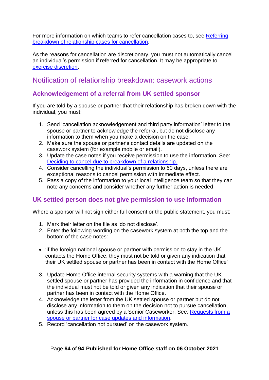For more information on which teams to refer cancellation cases to, see Referring [breakdown of relationship cases for cancellation.](#page-64-0)

As the reasons for cancellation are discretionary, you must not automatically cancel an individual's permission if referred for cancellation. It may be appropriate to [exercise discretion.](#page-45-0)

## Notification of relationship breakdown: casework actions

## **Acknowledgement of a referral from UK settled sponsor**

If you are told by a spouse or partner that their relationship has broken down with the individual, you must:

- 1. Send 'cancellation acknowledgement and third party information' letter to the spouse or partner to acknowledge the referral, but do not disclose any information to them when you make a decision on the case.
- 2. Make sure the spouse or partner's contact details are updated on the casework system (for example mobile or email).
- 3. Update the case notes if you receive permission to use the information. See: [Deciding to cancel due to breakdown of a relationship.](#page-65-0)
- 4. Consider cancelling the individual's permission to 60 days, unless there are exceptional reasons to cancel permission with immediate effect.
- 5. Pass a copy of the information to your local intelligence team so that they can note any concerns and consider whether any further action is needed.

## <span id="page-63-0"></span>**UK settled person does not give permission to use information**

Where a sponsor will not sign either full consent or the public statement, you must:

- 1. Mark their letter on the file as 'do not disclose'.
- 2. Enter the following wording on the casework system at both the top and the bottom of the case notes:
- 'if the foreign national spouse or partner with permission to stay in the UK contacts the Home Office, they must not be told or given any indication that their UK settled spouse or partner has been in contact with the Home Office'
- 3. Update Home Office internal security systems with a warning that the UK settled spouse or partner has provided the information in confidence and that the individual must not be told or given any indication that their spouse or partner has been in contact with the Home Office.
- 4. Acknowledge the letter from the UK settled spouse or partner but do not disclose any information to them on the decision not to pursue cancellation, unless this has been agreed by a Senior Caseworker. See: [Requests from a](#page-67-0)  [spouse or partner for case](#page-67-0) updates and information.
- 5. Record 'cancellation not pursued' on the casework system.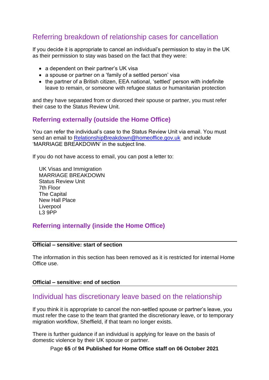# <span id="page-64-0"></span>Referring breakdown of relationship cases for cancellation

If you decide it is appropriate to cancel an individual's permission to stay in the UK as their permission to stay was based on the fact that they were:

- a dependent on their partner's UK visa
- a spouse or partner on a 'family of a settled person' visa
- the partner of a British citizen, EEA national, 'settled' person with indefinite leave to remain, or someone with refugee status or humanitarian protection

and they have separated from or divorced their spouse or partner, you must refer their case to the Status Review Unit.

#### **Referring externally (outside the Home Office)**

You can refer the individual's case to the Status Review Unit via email. You must send an email to [RelationshipBreakdown@homeoffice.gov.uk](mailto:RelationshipBreakdown@homeoffice.gov.uk) and include 'MARRIAGE BREAKDOWN' in the subject line.

If you do not have access to email, you can post a letter to:

UK Visas and Immigration MARRIAGE BREAKDOWN Status Review Unit 7th Floor The Capital New Hall Place Liverpool L3 9PP

## **Referring internally (inside the Home Office)**

#### **Official – sensitive: start of section**

The information in this section has been removed as it is restricted for internal Home Office use.

#### **Official – sensitive: end of section**

## Individual has discretionary leave based on the relationship

If you think it is appropriate to cancel the non-settled spouse or partner's leave, you must refer the case to the team that granted the discretionary leave, or to temporary migration workflow, Sheffield, if that team no longer exists.

There is further guidance if an individual is applying for leave on the basis of domestic violence by their UK spouse or partner.

Page **65** of **94 Published for Home Office staff on 06 October 2021**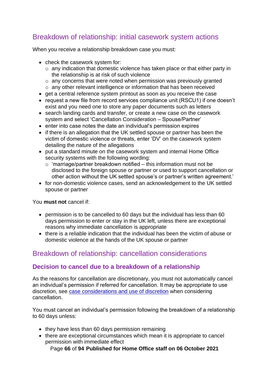# Breakdown of relationship: initial casework system actions

When you receive a relationship breakdown case you must:

- check the casework system for:
	- o any indication that domestic violence has taken place or that either party in the relationship is at risk of such violence
	- o any concerns that were noted when permission was previously granted
	- o any other relevant intelligence or information that has been received
- get a central reference system printout as soon as you receive the case
- request a new file from record services compliance unit (RSCU1) if one doesn't exist and you need one to store any paper documents such as letters
- search landing cards and transfer, or create a new case on the casework system and select 'Cancellation Consideration – Spouse/Partner'
- enter into case notes the date an individual's permission expires
- if there is an allegation that the UK settled spouse or partner has been the victim of domestic violence or threats, enter 'DV' on the casework system detailing the nature of the allegations
- put a standard minute on the casework system and internal Home Office security systems with the following wording:
	- $\circ$  'marriage/partner breakdown notified this information must not be disclosed to the foreign spouse or partner or used to support cancellation or other action without the UK settled spouse's or partner's written agreement.'
- for non-domestic violence cases, send an acknowledgement to the UK settled spouse or partner

You **must not** cancel if:

- permission is to be cancelled to 60 days but the individual has less than 60 days permission to enter or stay in the UK left, unless there are exceptional reasons why immediate cancellation is appropriate
- there is a reliable indication that the individual has been the victim of abuse or domestic violence at the hands of the UK spouse or partner

## Breakdown of relationship: cancellation considerations

#### <span id="page-65-0"></span>**Decision to cancel due to a breakdown of a relationship**

As the reasons for cancellation are discretionary, you must not automatically cancel an individual's permission if referred for cancellation. It may be appropriate to use discretion, see [case considerations and use of](#page-45-0) discretion when considering cancellation.

You must cancel an individual's permission following the breakdown of a relationship to 60 days unless:

- they have less than 60 days permission remaining
- there are exceptional circumstances which mean it is appropriate to cancel permission with immediate effect

Page **66** of **94 Published for Home Office staff on 06 October 2021**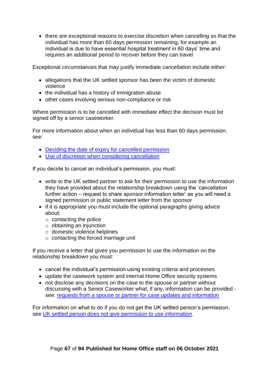• there are exceptional reasons to exercise discretion when cancelling so that the individual has more than 60 days permission remaining, for example an individual is due to have essential hospital treatment in 60 days' time and requires an additional period to recover before they can travel

Exceptional circumstances that may justify immediate cancellation include either:

- allegations that the UK settled sponsor has been the victim of domestic violence
- the individual has a history of immigration abuse
- other cases involving serious non-compliance or risk

Where permission is to be cancelled with immediate effect the decision must be signed off by a senior caseworker.

For more information about when an individual has less than 60 days permission, see:

- [Deciding the date of expiry for cancelled permission](#page-49-1)
- [Use of discretion when considering cancellation](#page-46-0)

If you decide to cancel an individual's permission, you must:

- write to the UK settled partner to ask for their permission to use the information they have provided about the relationship breakdown using the 'cancellation further action – request to share sponsor information letter' as you will need a signed permission or public statement letter from the sponsor
- if it is appropriate you must include the optional paragraphs giving advice about:
	- $\circ$  contacting the police
	- $\circ$  obtaining an injunction
	- o domestic violence helplines
	- $\circ$  contacting the forced marriage unit

If you receive a letter that gives you permission to use the information on the relationship breakdown you must:

- cancel the individual's permission using existing criteria and processes
- update the casework system and internal Home Office security systems
- not disclose any decisions on the case to the spouse or partner without discussing with a Senior Caseworker what, if any, information can be provided see: [requests from a spouse or partner for case updates and information](#page-67-1)

For information on what to do if you do not get the UK settled person's permission, see [UK settled person does not give permission to use information.](#page-63-0)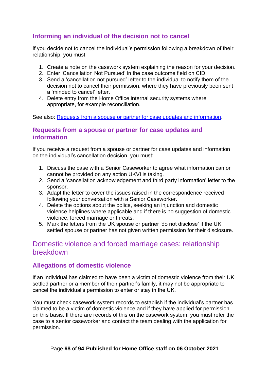## <span id="page-67-2"></span>**Informing an individual of the decision not to cancel**

If you decide not to cancel the individual's permission following a breakdown of their relationship, you must:

- 1. Create a note on the casework system explaining the reason for your decision.
- 2. Enter 'Cancellation Not Pursued' in the case outcome field on CID.
- 3. Send a 'cancellation not pursued' letter to the individual to notify them of the decision not to cancel their permission, where they have previously been sent a 'minded to cancel' letter.
- <span id="page-67-1"></span>4. Delete entry from the Home Office internal security systems where appropriate, for example reconciliation.

See also: [Requests from a spouse or partner for case updates and information.](#page-67-0)

#### <span id="page-67-0"></span>**Requests from a spouse or partner for case updates and information**

If you receive a request from a spouse or partner for case updates and information on the individual's cancellation decision, you must:

- 1. Discuss the case with a Senior Caseworker to agree what information can or cannot be provided on any action UKVI is taking.
- 2. Send a 'cancellation acknowledgement and third party information' letter to the sponsor.
- 3. Adapt the letter to cover the issues raised in the correspondence received following your conversation with a Senior Caseworker.
- 4. Delete the options about the police, seeking an injunction and domestic violence helplines where applicable and if there is no suggestion of domestic violence, forced marriage or threats.
- 5. Mark the letters from the UK spouse or partner 'do not disclose' if the UK settled spouse or partner has not given written permission for their disclosure.

## Domestic violence and forced marriage cases: relationship breakdown

## <span id="page-67-3"></span>**Allegations of domestic violence**

If an individual has claimed to have been a victim of domestic violence from their UK settled partner or a member of their partner's family, it may not be appropriate to cancel the individual's permission to enter or stay in the UK.

You must check casework system records to establish if the individual's partner has claimed to be a victim of domestic violence and if they have applied for permission on this basis. If there are records of this on the casework system, you must refer the case to a senior caseworker and contact the team dealing with the application for permission.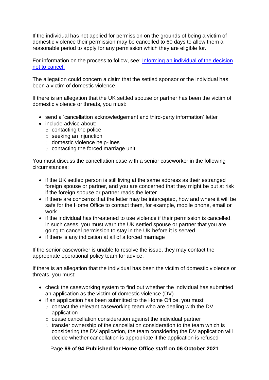If the individual has not applied for permission on the grounds of being a victim of domestic violence their permission may be cancelled to 60 days to allow them a reasonable period to apply for any permission which they are eligible for.

For information on the process to follow, see: [Informing an individual of the decision](#page-67-2)  [not to cancel.](#page-67-2)

The allegation could concern a claim that the settled sponsor or the individual has been a victim of domestic violence.

If there is an allegation that the UK settled spouse or partner has been the victim of domestic violence or threats, you must:

- send a 'cancellation acknowledgement and third-party information' letter
- include advice about:
	- $\circ$  contacting the police
	- o seeking an injunction
	- o domestic violence help-lines
	- o contacting the forced marriage unit

You must discuss the cancellation case with a senior caseworker in the following circumstances:

- if the UK settled person is still living at the same address as their estranged foreign spouse or partner, and you are concerned that they might be put at risk if the foreign spouse or partner reads the letter
- if there are concerns that the letter may be intercepted, how and where it will be safe for the Home Office to contact them, for example, mobile phone, email or work
- if the individual has threatened to use violence if their permission is cancelled, in such cases, you must warn the UK settled spouse or partner that you are going to cancel permission to stay in the UK before it is served
- if there is any indication at all of a forced marriage

If the senior caseworker is unable to resolve the issue, they may contact the appropriate operational policy team for advice.

If there is an allegation that the individual has been the victim of domestic violence or threats, you must:

- check the caseworking system to find out whether the individual has submitted an application as the victim of domestic violence (DV)
- if an application has been submitted to the Home Office, you must:
	- o contact the relevant caseworking team who are dealing with the DV application
	- o cease cancellation consideration against the individual partner
	- o transfer ownership of the cancellation consideration to the team which is considering the DV application, the team considering the DV application will decide whether cancellation is appropriate if the application is refused

Page **69** of **94 Published for Home Office staff on 06 October 2021**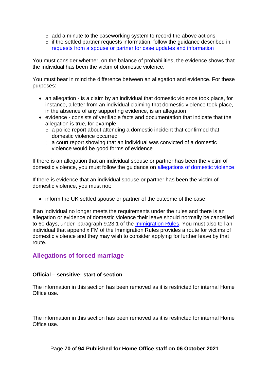- o add a minute to the caseworking system to record the above actions
- o if the settled partner requests information, follow the guidance described in [requests from a spouse or partner for case updates and information](#page-67-1)

You must consider whether, on the balance of probabilities, the evidence shows that the individual has been the victim of domestic violence.

You must bear in mind the difference between an allegation and evidence. For these purposes:

- an allegation is a claim by an individual that domestic violence took place, for instance, a letter from an individual claiming that domestic violence took place, in the absence of any supporting evidence, is an allegation
- evidence consists of verifiable facts and documentation that indicate that the allegation is true, for example:
	- $\circ$  a police report about attending a domestic incident that confirmed that domestic violence occurred
	- o a court report showing that an individual was convicted of a domestic violence would be good forms of evidence

If there is an allegation that an individual spouse or partner has been the victim of domestic violence, you must follow the guidance on [allegations of domestic violence.](#page-67-3)

If there is evidence that an individual spouse or partner has been the victim of domestic violence, you must not:

• inform the UK settled spouse or partner of the outcome of the case

If an individual no longer meets the requirements under the rules and there is an allegation or evidence of domestic violence their leave should normally be cancelled to 60 days, under paragraph 9.23.1 of the [Immigration Rules.](https://www.gov.uk/guidance/immigration-rules/immigration-rules-part-9-grounds-for-refusal) You must also tell an individual that appendix FM of the Immigration Rules provides a route for victims of domestic violence and they may wish to consider applying for further leave by that route.

## **Allegations of forced marriage**

#### **Official – sensitive: start of section**

The information in this section has been removed as it is restricted for internal Home Office use.

The information in this section has been removed as it is restricted for internal Home Office use.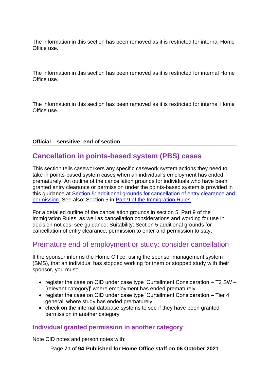The information in this section has been removed as it is restricted for internal Home Office use.

The information in this section has been removed as it is restricted for internal Home Office use.

The information in this section has been removed as it is restricted for internal Home Office use.

#### **Official – sensitive: end of section**

# <span id="page-70-0"></span>**Cancellation in points-based system (PBS) cases**

This section tells caseworkers any specific casework system actions they need to take in points-based system cases when an individual's employment has ended prematurely. An outline of the cancellation grounds for individuals who have been granted entry clearance or permission under the points-based system is provided in this guidance at [Section 5: additional grounds for cancellation of entry clearance and](#page-25-0)  [permission.](#page-25-0) See also: Section 5 in [Part 9 of the Immigration Rules.](https://www.gov.uk/guidance/immigration-rules/immigration-rules-part-9-grounds-for-refusal)

For a detailed outline of the cancellation grounds in section 5, Part 9 of the Immigration Rules, as well as cancellation considerations and wording for use in decision notices, see guidance: Suitability: Section 5 additional grounds for cancellation of entry clearance, permission to enter and permission to stay.

## Premature end of employment or study: consider cancellation

If the sponsor informs the Home Office, using the sponsor management system (SMS), that an individual has stopped working for them or stopped study with their sponsor, you must:

- register the case on CID under case type 'Curtailment Consideration T2 SW [relevant category]' where employment has ended prematurely
- register the case on CID under case type 'Curtailment Consideration Tier 4 general' where study has ended prematurely
- check on the internal database systems to see if they have been granted permission in another category

#### **Individual granted permission in another category**

Note CID notes and person notes with:

Page **71** of **94 Published for Home Office staff on 06 October 2021**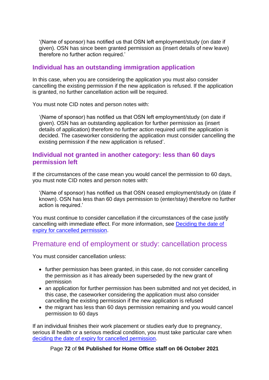'(Name of sponsor) has notified us that OSN left employment/study (on date if given). OSN has since been granted permission as (insert details of new leave) therefore no further action required.'

## **Individual has an outstanding immigration application**

In this case, when you are considering the application you must also consider cancelling the existing permission if the new application is refused. If the application is granted, no further cancellation action will be required.

You must note CID notes and person notes with:

'(Name of sponsor) has notified us that OSN left employment/study (on date if given). OSN has an outstanding application for further permission as (insert details of application) therefore no further action required until the application is decided. The caseworker considering the application must consider cancelling the existing permission if the new application is refused'.

#### **Individual not granted in another category: less than 60 days permission left**

If the circumstances of the case mean you would cancel the permission to 60 days, you must note CID notes and person notes with:

'(Name of sponsor) has notified us that OSN ceased employment/study on (date if known). OSN has less than 60 days permission to (enter/stay) therefore no further action is required.'

You must continue to consider cancellation if the circumstances of the case justify cancelling with immediate effect. For more information, see [Deciding the date of](#page-49-1)  [expiry for cancelled permission.](#page-49-1)

## Premature end of employment or study: cancellation process

You must consider cancellation unless:

- further permission has been granted, in this case, do not consider cancelling the permission as it has already been superseded by the new grant of permission
- an application for further permission has been submitted and not yet decided, in this case, the caseworker considering the application must also consider cancelling the existing permission if the new application is refused
- the migrant has less than 60 days permission remaining and you would cancel permission to 60 days

If an individual finishes their work placement or studies early due to pregnancy, serious ill health or a serious medical condition, you must take particular care when [deciding the date of expiry for cancelled permission.](#page-49-1)

#### Page **72** of **94 Published for Home Office staff on 06 October 2021**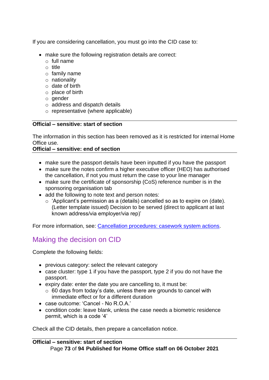If you are considering cancellation, you must go into the CID case to:

- make sure the following registration details are correct:
	- $\circ$  full name
	- o title
	- o family name
	- o nationality
	- o date of birth
	- o place of birth
	- o gender
	- o address and dispatch details
	- o representative (where applicable)

#### **Official – sensitive: start of section**

The information in this section has been removed as it is restricted for internal Home Office use.

#### **Official – sensitive: end of section**

- make sure the passport details have been inputted if you have the passport
- make sure the notes confirm a higher executive officer (HEO) has authorised the cancellation, if not you must return the case to your line manager
- make sure the certificate of sponsorship (CoS) reference number is in the sponsoring organisation tab
- add the following to note text and person notes:
	- $\circ$  'Applicant's permission as a (details) cancelled so as to expire on (date). (Letter template issued) Decision to be served (direct to applicant at last known address/via employer/via rep)'

For more information, see: [Cancellation procedures: casework system actions.](#page-54-0)

## Making the decision on CID

Complete the following fields:

- previous category: select the relevant category
- case cluster: type 1 if you have the passport, type 2 if you do not have the passport.
- expiry date: enter the date you are cancelling to, it must be:
	- $\circ$  60 days from today's date, unless there are grounds to cancel with immediate effect or for a different duration
- case outcome: 'Cancel No R.O.A.'
- condition code: leave blank, unless the case needs a biometric residence permit, which is a code '4'

Check all the CID details, then prepare a cancellation notice.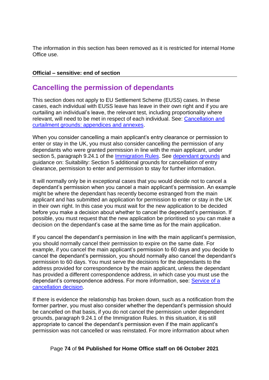The information in this section has been removed as it is restricted for internal Home Office use.

#### **Official – sensitive: end of section**

# **Cancelling the permission of dependants**

This section does not apply to EU Settlement Scheme (EUSS) cases. In these cases, each individual with EUSS leave has leave in their own right and if you are curtailing an individual's leave, the relevant test, including proportionality where relevant, will need to be met in respect of each individual. See: [Cancellation and](#page-34-0)  curtailment [grounds: appendices and annexes.](#page-34-0)

When you consider cancelling a main applicant's entry clearance or permission to enter or stay in the UK, you must also consider cancelling the permission of any dependants who were granted permission in line with the main applicant, under section 5, paragraph 9.24.1 of the [Immigration Rules.](https://www.gov.uk/guidance/immigration-rules/immigration-rules-part-9-grounds-for-refusal) See [dependant grounds](#page-26-0) and guidance on: Suitability: Section 5 additional grounds for cancellation of entry clearance, permission to enter and permission to stay for further information.

It will normally only be in exceptional cases that you would decide not to cancel a dependant's permission when you cancel a main applicant's permission. An example might be where the dependant has recently become estranged from the main applicant and has submitted an application for permission to enter or stay in the UK in their own right. In this case you must wait for the new application to be decided before you make a decision about whether to cancel the dependant's permission. If possible, you must request that the new application be prioritised so you can make a decision on the dependant's case at the same time as for the main application.

If you cancel the dependant's permission in line with the main applicant's permission, you should normally cancel their permission to expire on the same date. For example, if you cancel the main applicant's permission to 60 days and you decide to cancel the dependant's permission, you should normally also cancel the dependant's permission to 60 days. You must serve the decisions for the dependants to the address provided for correspondence by the main applicant, unless the dependant has provided a different correspondence address, in which case you must use the dependant's correspondence address. For more information, see: [Service of a](#page-77-0)  [cancellation decision.](#page-77-0)

If there is evidence the relationship has broken down, such as a notification from the former partner, you must also consider whether the dependant's permission should be cancelled on that basis, if you do not cancel the permission under dependent grounds, paragraph 9.24.1 of the Immigration Rules. In this situation, it is still appropriate to cancel the dependant's permission even if the main applicant's permission was not cancelled or was reinstated. For more information about when

#### Page **74** of **94 Published for Home Office staff on 06 October 2021**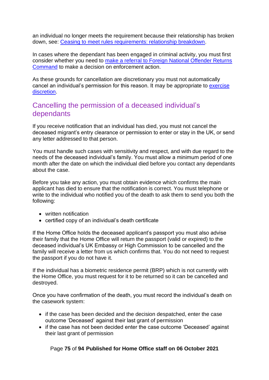an individual no longer meets the requirement because their relationship has broken down, see: [Ceasing to meet rules requirements: relationship breakdown.](#page-62-0)

In cases where the dependant has been engaged in criminal activity, you must first consider whether you need to make a referral to [Foreign National Offender Returns](#page-59-0)  [Command](#page-59-0) to make a decision on enforcement action.

As these grounds for cancellation are discretionary you must not automatically cancel an individual's permission for this reason. It may be appropriate to [exercise](#page-45-0)  [discretion.](#page-45-0)

### Cancelling the permission of a deceased individual's dependants

If you receive notification that an individual has died, you must not cancel the deceased migrant's entry clearance or permission to enter or stay in the UK, or send any letter addressed to that person.

You must handle such cases with sensitivity and respect, and with due regard to the needs of the deceased individual's family. You must allow a minimum period of one month after the date on which the individual died before you contact any dependants about the case.

Before you take any action, you must obtain evidence which confirms the main applicant has died to ensure that the notification is correct. You must telephone or write to the individual who notified you of the death to ask them to send you both the following:

- written notification
- certified copy of an individual's death certificate

If the Home Office holds the deceased applicant's passport you must also advise their family that the Home Office will return the passport (valid or expired) to the deceased individual's UK Embassy or High Commission to be cancelled and the family will receive a letter from us which confirms that. You do not need to request the passport if you do not have it.

If the individual has a biometric residence permit (BRP) which is not currently with the Home Office, you must request for it to be returned so it can be cancelled and destroyed.

Once you have confirmation of the death, you must record the individual's death on the casework system:

- if the case has been decided and the decision despatched, enter the case outcome 'Deceased' against their last grant of permission
- if the case has not been decided enter the case outcome 'Deceased' against their last grant of permission

#### Page **75** of **94 Published for Home Office staff on 06 October 2021**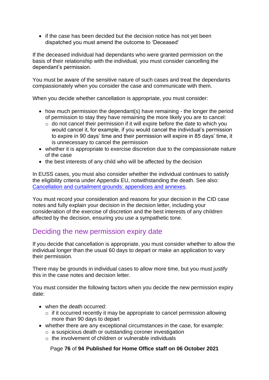• if the case has been decided but the decision notice has not yet been dispatched you must amend the outcome to 'Deceased'

If the deceased individual had dependants who were granted permission on the basis of their relationship with the individual, you must consider cancelling the dependant's permission.

You must be aware of the sensitive nature of such cases and treat the dependants compassionately when you consider the case and communicate with them.

When you decide whether cancellation is appropriate, you must consider:

- how much permission the dependant(s) have remaining the longer the period of permission to stay they have remaining the more likely you are to cancel:
	- $\circ$  do not cancel their permission if it will expire before the date to which you would cancel it, for example, if you would cancel the individual's permission to expire in 90 days' time and their permission will expire in 85 days' time, it is unnecessary to cancel the permission
- whether it is appropriate to exercise discretion due to the compassionate nature of the case
- the best interests of any child who will be affected by the decision

In EUSS cases, you must also consider whether the individual continues to satisfy the eligibility criteria under Appendix EU, notwithstanding the death. See also: [Cancellation and curtailment grounds: appendices and annexes.](#page-34-0)

You must record your consideration and reasons for your decision in the CID case notes and fully explain your decision in the decision letter, including your consideration of the exercise of discretion and the best interests of any children affected by the decision, ensuring you use a sympathetic tone.

### Deciding the new permission expiry date

If you decide that cancellation is appropriate, you must consider whether to allow the individual longer than the usual 60 days to depart or make an application to vary their permission.

There may be grounds in individual cases to allow more time, but you must justify this in the case notes and decision letter.

You must consider the following factors when you decide the new permission expiry date:

- when the death occurred:
	- $\circ$  if it occurred recently it may be appropriate to cancel permission allowing more than 90 days to depart
- whether there are any exceptional circumstances in the case, for example:
	- o a suspicious death or outstanding coroner investigation
	- o the involvement of children or vulnerable individuals

#### Page **76** of **94 Published for Home Office staff on 06 October 2021**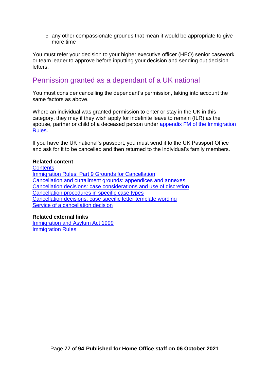o any other compassionate grounds that mean it would be appropriate to give more time

You must refer your decision to your higher executive officer (HEO) senior casework or team leader to approve before inputting your decision and sending out decision letters.

# Permission granted as a dependant of a UK national

You must consider cancelling the dependant's permission, taking into account the same factors as above.

Where an individual was granted permission to enter or stay in the UK in this category, they may if they wish apply for indefinite leave to remain (ILR) as the spouse, partner or child of a deceased person under [appendix FM of the Immigration](https://www.gov.uk/guidance/immigration-rules/immigration-rules-appendix-fm-family-members)  [Rules.](https://www.gov.uk/guidance/immigration-rules/immigration-rules-appendix-fm-family-members)

If you have the UK national's passport, you must send it to the UK Passport Office and ask for it to be cancelled and then returned to the individual's family members.

#### **Related content**

**[Contents](#page-1-0) [Immigration Rules: Part 9 Grounds for Cancellation](#page-21-0)** [Cancellation and curtailment grounds: appendices and annexes](#page-34-0) [Cancellation decisions: case considerations and use of discretion](#page-45-0) [Cancellation procedures in specific case types](#page-59-1) [Cancellation decisions: case specific letter template wording](#page-85-0) Service of [a cancellation decision](#page-77-0)

#### **Related external links**

Immigration [and Asylum Act 1999](https://www.legislation.gov.uk/ukpga/1999/33/contents) [Immigration Rules](https://www.gov.uk/guidance/immigration-rules)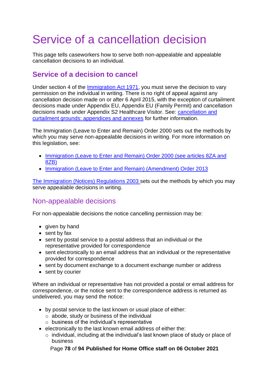# <span id="page-77-0"></span>Service of a cancellation decision

This page tells caseworkers how to serve both non-appealable and appealable cancellation decisions to an individual.

# **Service of a decision to cancel**

Under section 4 of the [Immigration Act 1971,](https://www.legislation.gov.uk/ukpga/1971/77/contents) you must serve the decision to vary permission on the individual in writing. There is no right of appeal against any cancellation decision made on or after 6 April 2015, with the exception of curtailment decisions made under Appendix EU, Appendix EU (Family Permit) and cancellation decisions made under Appendix S2 Healthcare Visitor. See: [cancellation and](#page-34-0)  [curtailment grounds: appendices and annexes](#page-34-0) for further information.

The Immigration (Leave to Enter and Remain) Order 2000 sets out the methods by which you may serve non-appealable decisions in writing. For more information on this legislation, see:

- Immigration (Leave to Enter and Remain) Order 2000 (see articles 8ZA and [8ZB\)](http://www.legislation.gov.uk/uksi/2000/1161/contents/made)
- [Immigration \(Leave to Enter and Remain\) \(Amendment\) Order 2013](http://www.legislation.gov.uk/uksi/2013/1749/introduction/made)

[The Immigration \(Notices\) Regulations 2003](https://www.legislation.gov.uk/uksi/2003/658/regulation/7/made) sets out the methods by which you may serve appealable decisions in writing.

### Non-appealable decisions

For non-appealable decisions the notice cancelling permission may be:

- given by hand
- sent by fax
- sent by postal service to a postal address that an individual or the representative provided for correspondence
- sent electronically to an email address that an individual or the representative provided for correspondence
- sent by document exchange to a document exchange number or address
- sent by courier

Where an individual or representative has not provided a postal or email address for correspondence, or the notice sent to the correspondence address is returned as undelivered, you may send the notice:

- by postal service to the last known or usual place of either:
	- o abode, study or business of the individual
	- $\circ$  business of the individual's representative
- electronically to the last known email address of either the:
	- o individual, including at the individual's last known place of study or place of business

Page **78** of **94 Published for Home Office staff on 06 October 2021**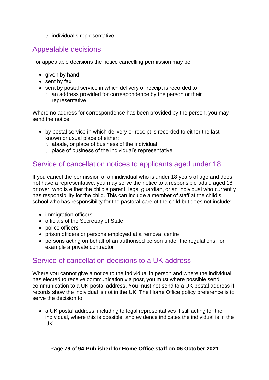o individual's representative

# Appealable decisions

For appealable decisions the notice cancelling permission may be:

- given by hand
- sent by fax
- sent by postal service in which delivery or receipt is recorded to:
	- o an address provided for correspondence by the person or their representative

Where no address for correspondence has been provided by the person, you may send the notice:

- by postal service in which delivery or receipt is recorded to either the last known or usual place of either:
	- o abode, or place of business of the individual
	- $\circ$  place of business of the individual's representative

# Service of cancellation notices to applicants aged under 18

If you cancel the permission of an individual who is under 18 years of age and does not have a representative, you may serve the notice to a responsible adult, aged 18 or over, who is either the child's parent, legal guardian, or an individual who currently has responsibility for the child. This can include a member of staff at the child's school who has responsibility for the pastoral care of the child but does not include:

- immigration officers
- officials of the Secretary of State
- police officers
- prison officers or persons employed at a removal centre
- persons acting on behalf of an authorised person under the regulations, for example a private contractor

### <span id="page-78-0"></span>Service of cancellation decisions to a UK address

Where you cannot give a notice to the individual in person and where the individual has elected to receive communication via post, you must where possible send communication to a UK postal address. You must not send to a UK postal address if records show the individual is not in the UK. The Home Office policy preference is to serve the decision to:

• a UK postal address, including to legal representatives if still acting for the individual, where this is possible, and evidence indicates the individual is in the UK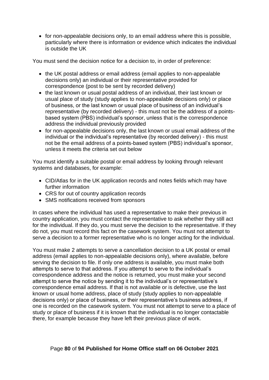• for non-appealable decisions only, to an email address where this is possible, particularly where there is information or evidence which indicates the individual is outside the UK

You must send the decision notice for a decision to, in order of preference:

- the UK postal address or email address (email applies to non-appealable decisions only) an individual or their representative provided for correspondence (post to be sent by recorded delivery)
- the last known or usual postal address of an individual, their last known or usual place of study (study applies to non-appealable decisions only) or place of business, or the last known or usual place of business of an individual's representative (by recorded delivery) - this must not be the address of a pointsbased system (PBS) individual's sponsor, unless that is the correspondence address the individual previously provided
- for non-appealable decisions only, the last known or usual email address of the individual or the individual's representative (by recorded delivery) - this must not be the email address of a points-based system (PBS) individual's sponsor, unless it meets the criteria set out below

You must identify a suitable postal or email address by looking through relevant systems and databases, for example:

- CID/Atlas for in the UK application records and notes fields which may have further information
- CRS for out of country application records
- SMS notifications received from sponsors

In cases where the individual has used a representative to make their previous in country application, you must contact the representative to ask whether they still act for the individual. If they do, you must serve the decision to the representative. If they do not, you must record this fact on the casework system. You must not attempt to serve a decision to a former representative who is no longer acting for the individual.

You must make 2 attempts to serve a cancellation decision to a UK postal or email address (email applies to non-appealable decisions only), where available, before serving the decision to file. If only one address is available, you must make both attempts to serve to that address. If you attempt to serve to the individual's correspondence address and the notice is returned, you must make your second attempt to serve the notice by sending it to the individual's or representative's correspondence email address. If that is not available or is defective, use the last known or usual home address, place of study (study applies to non-appealable decisions only) or place of business, or their representative's business address, if one is recorded on the casework system. You must not attempt to serve to a place of study or place of business if it is known that the individual is no longer contactable there, for example because they have left their previous place of work.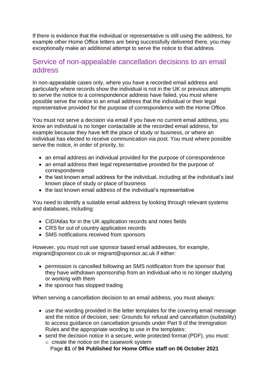If there is evidence that the individual or representative is still using the address, for example other Home Office letters are being successfully delivered there, you may exceptionally make an additional attempt to serve the notice to that address.

### <span id="page-80-0"></span>Service of non-appealable cancellation decisions to an email address

In non-appealable cases only, where you have a recorded email address and particularly where records show the individual is not in the UK or previous attempts to serve the notice to a correspondence address have failed, you must where possible serve the notice to an email address that the individual or their legal representative provided for the purpose of correspondence with the Home Office.

You must not serve a decision via email if you have no current email address, you know an individual is no longer contactable at the recorded email address, for example because they have left the place of study or business, or where an individual has elected to receive communication via post. You must where possible serve the notice, in order of priority, to:

- an email address an individual provided for the purpose of correspondence
- an email address their legal representative provided for the purpose of correspondence
- the last known email address for the individual, including at the individual's last known place of study or place of business
- the last known email address of the individual's representative

You need to identify a suitable email address by looking through relevant systems and databases, including:

- CID/Atlas for in the UK application records and notes fields
- CRS for out of country application records
- SMS notifications received from sponsors

However, you must not use sponsor based email addresses, for example, migrant@sponsor.co.uk or migrant@sponsor.ac.uk if either:

- permission is cancelled following an SMS notification from the sponsor that they have withdrawn sponsorship from an individual who is no longer studying or working with them
- the sponsor has stopped trading

When serving a cancellation decision to an email address, you must always:

- use the wording provided in the letter templates for the covering email message and the notice of decision, see: Grounds for refusal and cancellation (suitability) to access guidance on cancellation grounds under Part 9 of the Immigration Rules and the appropriate wording to use in the templates:
- send the decision notice in a secure, write protected format (PDF), you must: o create the notice on the casework system
	- Page **81** of **94 Published for Home Office staff on 06 October 2021**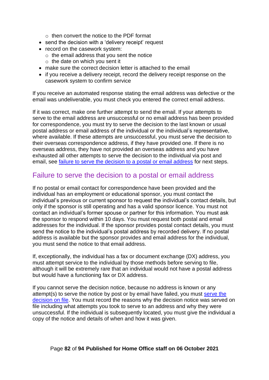- $\circ$  then convert the notice to the PDF format
- send the decision with a 'delivery receipt' request
- record on the casework system:
	- $\circ$  the email address that you sent the notice
	- $\circ$  the date on which you sent it
- make sure the correct decision letter is attached to the email
- if you receive a delivery receipt, record the delivery receipt response on the casework system to confirm service

If you receive an automated response stating the email address was defective or the email was undeliverable, you must check you entered the correct email address.

If it was correct, make one further attempt to send the email. If your attempts to serve to the email address are unsuccessful or no email address has been provided for correspondence, you must try to serve the decision to the last known or usual postal address or email address of the individual or the individual's representative, where available. If these attempts are unsuccessful, you must serve the decision to their overseas correspondence address, if they have provided one. If there is no overseas address, they have not provided an overseas address and you have exhausted all other attempts to serve the decision to the individual via post and email, see [failure to serve the decision to a postal or email address](#page-81-0) for next steps.

### <span id="page-81-0"></span>Failure to serve the decision to a postal or email address

If no postal or email contact for correspondence have been provided and the individual has an employment or educational sponsor, you must contact the individual's previous or current sponsor to request the individual's contact details, but only if the sponsor is still operating and has a valid sponsor licence. You must not contact an individual's former spouse or partner for this information. You must ask the sponsor to respond within 10 days. You must request both postal and email addresses for the individual. If the sponsor provides postal contact details, you must send the notice to the individual's postal address by recorded delivery. If no postal address is available but the sponsor provides and email address for the individual, you must send the notice to that email address.

If, exceptionally, the individual has a fax or document exchange (DX) address, you must attempt service to the individual by those methods before serving to file, although it will be extremely rare that an individual would not have a postal address but would have a functioning fax or DX address.

If you cannot serve the decision notice, because no address is known or any attempt(s) to serve the notice by post or by email have failed, you must [serve the](#page-82-0)  [decision on file.](#page-82-0) You must record the reasons why the decision notice was served on file including what attempts you took to serve to an address and why they were unsuccessful. If the individual is subsequently located, you must give the individual a copy of the notice and details of when and how it was given.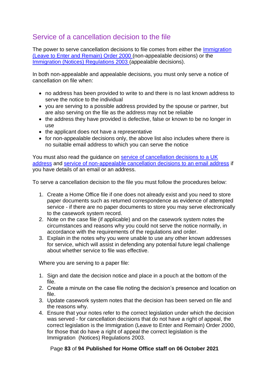# <span id="page-82-0"></span>Service of a cancellation decision to the file

The power to serve cancellation decisions to file comes from either the [Immigration](http://www.legislation.gov.uk/uksi/2000/1161/contents/made)  [\(Leave to Enter and Remain\) Order 2000](http://www.legislation.gov.uk/uksi/2000/1161/contents/made) (non-appealable decisions) or the [Immigration \(Notices\) Regulations 2003](https://www.legislation.gov.uk/uksi/2003/658/regulation/7/made) (appealable decisions).

In both non-appealable and appealable decisions, you must only serve a notice of cancellation on file when:

- no address has been provided to write to and there is no last known address to serve the notice to the individual
- you are serving to a possible address provided by the spouse or partner, but are also serving on the file as the address may not be reliable
- the address they have provided is defective, false or known to be no longer in use
- the applicant does not have a representative
- for non-appealable decisions only, the above list also includes where there is no suitable email address to which you can serve the notice

You must also read the guidance on [service of cancellation decisions to a UK](#page-78-0)  [address](#page-78-0) and [service of non-appealable cancellation decisions to an email address](#page-80-0) if you have details of an email or an address.

To serve a cancellation decision to the file you must follow the procedures below:

- 1. Create a Home Office file if one does not already exist and you need to store paper documents such as returned correspondence as evidence of attempted service - if there are no paper documents to store you may serve electronically to the casework system record.
- 2. Note on the case file (if applicable) and on the casework system notes the circumstances and reasons why you could not serve the notice normally, in accordance with the requirements of the regulations and order.
- 3. Explain in the notes why you were unable to use any other known addresses for service, which will assist in defending any potential future legal challenge about whether service to file was effective.

Where you are serving to a paper file:

- 1. Sign and date the decision notice and place in a pouch at the bottom of the file.
- 2. Create a minute on the case file noting the decision's presence and location on file.
- 3. Update casework system notes that the decision has been served on file and the reasons why.
- 4. Ensure that your notes refer to the correct legislation under which the decision was served - for cancellation decisions that do not have a right of appeal, the correct legislation is the Immigration (Leave to Enter and Remain) Order 2000, for those that do have a right of appeal the correct legislation is the Immigration (Notices) Regulations 2003.

#### Page **83** of **94 Published for Home Office staff on 06 October 2021**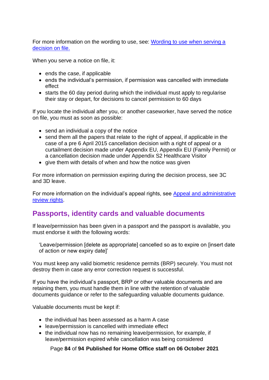For more information on the wording to use, see: [Wording to use when serving a](#page-86-0)  [decision on file.](#page-86-0)

When you serve a notice on file, it:

- ends the case, if applicable
- ends the individual's permission, if permission was cancelled with immediate effect
- starts the 60 day period during which the individual must apply to regularise their stay or depart, for decisions to cancel permission to 60 days

If you locate the individual after you, or another caseworker, have served the notice on file, you must as soon as possible:

- send an individual a copy of the notice
- send them all the papers that relate to the right of appeal, if applicable in the case of a pre 6 April 2015 cancellation decision with a right of appeal or a curtailment decision made under Appendix EU, Appendix EU (Family Permit) or a cancellation decision made under Appendix S2 Healthcare Visitor
- give them with details of when and how the notice was given

For more information on permission expiring during the decision process, see 3C and 3D leave.

For more information on the individual's appeal rights, see [Appeal and administrative](#page-9-0)  [review rights.](#page-9-0)

## **Passports, identity cards and valuable documents**

If leave/permission has been given in a passport and the passport is available, you must endorse it with the following words:

'Leave/permission [delete as appropriate] cancelled so as to expire on [insert date of action or new expiry date]'

You must keep any valid biometric residence permits (BRP) securely. You must not destroy them in case any error correction request is successful.

If you have the individual's passport, BRP or other valuable documents and are retaining them, you must handle them in line with the retention of valuable documents guidance or refer to the safeguarding valuable documents guidance.

Valuable documents must be kept if:

- the individual has been assessed as a harm A case
- leave/permission is cancelled with immediate effect
- the individual now has no remaining leave/permission, for example, if leave/permission expired while cancellation was being considered

Page **84** of **94 Published for Home Office staff on 06 October 2021**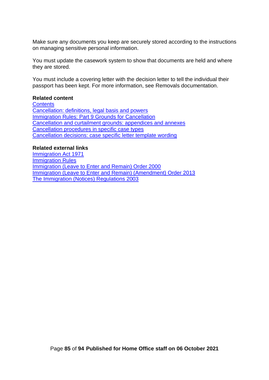Make sure any documents you keep are securely stored according to the instructions on managing sensitive personal information.

You must update the casework system to show that documents are held and where they are stored.

You must include a covering letter with the decision letter to tell the individual their passport has been kept. For more information, see Removals documentation.

#### **Related content**

**[Contents](#page-1-0)** [Cancellation: definitions, legal basis and powers](#page-7-0) [Immigration Rules: Part 9 Grounds for Cancellation](#page-21-0) [Cancellation and curtailment grounds: appendices and annexes](#page-34-0) [Cancellation procedures in specific case types](#page-59-1) [Cancellation decisions: case specific letter template wording](#page-85-0)

#### **Related external links**

[Immigration Act 1971](https://www.legislation.gov.uk/ukpga/1971/77/contents) [Immigration Rules](https://www.gov.uk/guidance/immigration-rules) [Immigration \(Leave to Enter and Remain\) Order 2000](http://www.legislation.gov.uk/uksi/2000/1161/contents/made)  [Immigration \(Leave to Enter and Remain\) \(Amendment\) Order 2013](http://www.legislation.gov.uk/uksi/2013/1749/introduction/made) [The Immigration \(Notices\) Regulations 2003](https://www.legislation.gov.uk/uksi/2003/658/regulation/7/made)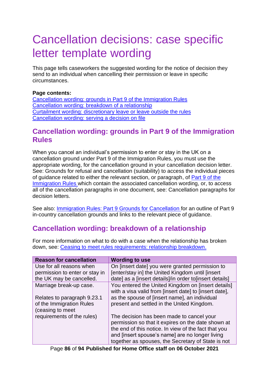# <span id="page-85-0"></span>Cancellation decisions: case specific letter template wording

This page tells caseworkers the suggested wording for the notice of decision they send to an individual when cancelling their permission or leave in specific circumstances.

#### **Page contents:**

[Cancellation wording: grounds in Part 9 of the Immigration Rules](#page-85-1) [Cancellation wording: breakdown of a relationship](#page-85-2) [Curtailment wording: discretionary leave or leave outside the rules](#page-86-1) [Cancellation wording: serving a decision on](#page-86-0) file

# <span id="page-85-1"></span>**Cancellation wording: grounds in Part 9 of the Immigration Rules**

When you cancel an individual's permission to enter or stay in the UK on a cancellation ground under Part 9 of the Immigration Rules, you must use the appropriate wording, for the cancellation ground in your cancellation decision letter. See: Grounds for refusal and cancellation (suitability) to access the individual pieces of guidance related to either the relevant section, or paragraph, of [Part 9 of the](https://www.gov.uk/guidance/immigration-rules/immigration-rules-part-9-grounds-for-refusal)  [Immigration Rules](https://www.gov.uk/guidance/immigration-rules/immigration-rules-part-9-grounds-for-refusal) which contain the associated cancellation wording, or, to access all of the cancellation paragraphs in one document, see: Cancellation paragraphs for decision letters.

See also: [Immigration Rules: Part 9 Grounds for Cancellation f](#page-21-0)or an outline of Part 9 in-country cancellation grounds and links to the relevant piece of guidance.

# <span id="page-85-2"></span>**Cancellation wording: breakdown of a relationship**

For more information on what to do with a case when the relationship has broken down, see: [Ceasing to meet rules requirements: relationship breakdown.](#page-62-0)

| <b>Reason for cancellation</b>               | <b>Wording to use</b>                                                                                        |
|----------------------------------------------|--------------------------------------------------------------------------------------------------------------|
| Use for all reasons when                     | On linsert datel you were granted permission to                                                              |
| permission to enter or stay in               | [enter/stay in] the United Kingdom until [insert]                                                            |
| the UK may be cancelled.                     | date] as a [insert details]/in order to[insert details]                                                      |
| Marriage break-up case.                      | You entered the United Kingdom on [insert details]<br>with a visa valid from [insert date] to [insert date], |
| Relates to paragraph 9.23.1                  | as the spouse of [insert name], an individual                                                                |
| of the Immigration Rules<br>(ceasing to meet | present and settled in the United Kingdom.                                                                   |
| requirements of the rules)                   | The decision has been made to cancel your                                                                    |
|                                              | permission so that it expires on the date shown at                                                           |
|                                              | the end of this notice. In view of the fact that you                                                         |
|                                              | and [insert spouse's name] are no longer living                                                              |
|                                              | together as spouses, the Secretary of State is not                                                           |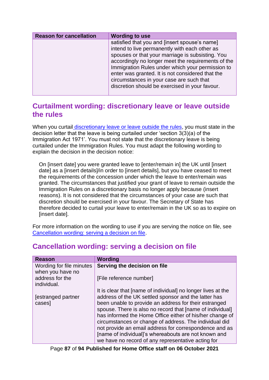| <b>Reason for cancellation</b> | <b>Wording to use</b>                                                                                                                                                                                                                                                                                                                                                                                          |
|--------------------------------|----------------------------------------------------------------------------------------------------------------------------------------------------------------------------------------------------------------------------------------------------------------------------------------------------------------------------------------------------------------------------------------------------------------|
|                                | satisfied that you and [insert spouse's name]<br>intend to live permanently with each other as<br>spouses or that your marriage is subsisting. You<br>accordingly no longer meet the requirements of the<br>Immigration Rules under which your permission to<br>enter was granted. It is not considered that the<br>circumstances in your case are such that<br>discretion should be exercised in your favour. |

# <span id="page-86-1"></span>**Curtailment wording: discretionary leave or leave outside the rules**

When you curtail [discretionary leave or leave outside the rules,](#page-49-0) you must state in the decision letter that the leave is being curtailed under 'section 3(3)(a) of the Immigration Act 1971'. You must not state that the discretionary leave is being curtailed under the Immigration Rules. You must adapt the following wording to explain the decision in the decision notice:

On [insert date] you were granted leave to [enter/remain in] the UK until [insert date] as a linsert details]/in order to linsert details], but you have ceased to meet the requirements of the concession under which the leave to enter/remain was granted. The circumstances that justified your grant of leave to remain outside the Immigration Rules on a discretionary basis no longer apply because (insert reasons). It is not considered that the circumstances of your case are such that discretion should be exercised in your favour. The Secretary of State has therefore decided to curtail your leave to enter/remain in the UK so as to expire on [insert date].

For more information on the wording to use if you are serving the notice on file, see [Cancellation wording: serving a decision on file.](#page-86-0)

| <b>Reason</b>                                | Wording                                                                                                                                                                                                                                                                                                                                                                                                                                                                  |
|----------------------------------------------|--------------------------------------------------------------------------------------------------------------------------------------------------------------------------------------------------------------------------------------------------------------------------------------------------------------------------------------------------------------------------------------------------------------------------------------------------------------------------|
| Wording for file minutes<br>when you have no | Serving the decision on file                                                                                                                                                                                                                                                                                                                                                                                                                                             |
| address for the<br>individual.               | [File reference number]                                                                                                                                                                                                                                                                                                                                                                                                                                                  |
|                                              | It is clear that [name of individual] no longer lives at the                                                                                                                                                                                                                                                                                                                                                                                                             |
| estranged partner<br>cases]                  | address of the UK settled sponsor and the latter has<br>been unable to provide an address for their estranged<br>spouse. There is also no record that [name of individual]<br>has informed the Home Office either of his/her change of<br>circumstances or change of address. The individual did<br>not provide an email address for correspondence and as<br>[name of individual]'s whereabouts are not known and<br>we have no record of any representative acting for |

# <span id="page-86-0"></span>**Cancellation wording: serving a decision on file**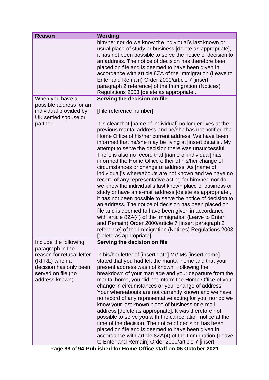| <b>Reason</b>                                                                                                                     | <b>Wording</b>                                                                                                                                                                                                                                                                                                                                                                                                                                                                                                                                                                                                                                                                                                                                                                                                                                                                                                                                                                                                                                                                                                    |
|-----------------------------------------------------------------------------------------------------------------------------------|-------------------------------------------------------------------------------------------------------------------------------------------------------------------------------------------------------------------------------------------------------------------------------------------------------------------------------------------------------------------------------------------------------------------------------------------------------------------------------------------------------------------------------------------------------------------------------------------------------------------------------------------------------------------------------------------------------------------------------------------------------------------------------------------------------------------------------------------------------------------------------------------------------------------------------------------------------------------------------------------------------------------------------------------------------------------------------------------------------------------|
|                                                                                                                                   | him/her nor do we know the individual's last known or<br>usual place of study or business [delete as appropriate],<br>it has not been possible to serve the notice of decision to<br>an address. The notice of decision has therefore been<br>placed on file and is deemed to have been given in<br>accordance with article 8ZA of the Immigration (Leave to<br>Enter and Remain) Order 2000/article 7 [insert<br>paragraph 2 reference] of the Immigration (Notices)<br>Regulations 2003 [delete as appropriate].                                                                                                                                                                                                                                                                                                                                                                                                                                                                                                                                                                                                |
| When you have a                                                                                                                   | Serving the decision on file                                                                                                                                                                                                                                                                                                                                                                                                                                                                                                                                                                                                                                                                                                                                                                                                                                                                                                                                                                                                                                                                                      |
| possible address for an<br>individual provided by<br>UK settled spouse or                                                         | [File reference number]                                                                                                                                                                                                                                                                                                                                                                                                                                                                                                                                                                                                                                                                                                                                                                                                                                                                                                                                                                                                                                                                                           |
| partner.                                                                                                                          | It is clear that [name of individual] no longer lives at the<br>previous marital address and he/she has not notified the<br>Home Office of his/her current address. We have been<br>informed that he/she may be living at [insert details]. My<br>attempt to serve the decision there was unsuccessful.<br>There is also no record that [name of individual] has<br>informed the Home Office either of his/her change of<br>circumstances or change of address. As [name of<br>individual]'s whereabouts are not known and we have no<br>record of any representative acting for him/her, nor do<br>we know the individual's last known place of business or<br>study or have an e-mail address [delete as appropriate],<br>it has not been possible to serve the notice of decision to<br>an address. The notice of decision has been placed on<br>file and is deemed to have been given in accordance<br>with article 8ZA(4) of the Immigration (Leave to Enter<br>and Remain) Order 2000/article 7 [insert paragraph 2<br>reference] of the Immigration (Notices) Regulations 2003<br>[delete as appropriate]. |
| Include the following                                                                                                             | Serving the decision on file                                                                                                                                                                                                                                                                                                                                                                                                                                                                                                                                                                                                                                                                                                                                                                                                                                                                                                                                                                                                                                                                                      |
| paragraph in the<br>reason for refusal letter<br>(RFRL) when a<br>decision has only been<br>served on file (no<br>address known). | In his/her letter of [insert date] Mr/ Ms [insert name]<br>stated that you had left the marital home and that your<br>present address was not known. Following the<br>breakdown of your marriage and your departure from the<br>marital home, you did not inform the Home Office of your<br>change in circumstances or your change of address.<br>Your whereabouts are not currently known and we have<br>no record of any representative acting for you, nor do we<br>know your last known place of business or e-mail<br>address [delete as appropriate]. It was therefore not<br>possible to serve you with the cancellation notice at the<br>time of the decision. The notice of decision has been<br>placed on file and is deemed to have been given in<br>accordance with article 8ZA(4) of the Immigration (Leave<br>to Enter and Remain) Order 2000/article 7 [insert                                                                                                                                                                                                                                     |

Page **88** of **94 Published for Home Office staff on 06 October 2021**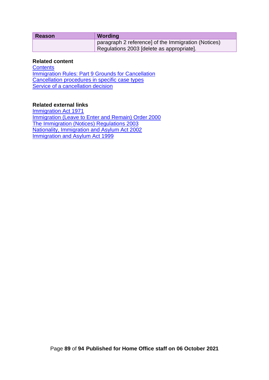| <b>Reason</b> | Wording                                             |
|---------------|-----------------------------------------------------|
|               | paragraph 2 reference] of the Immigration (Notices) |
|               | Regulations 2003 [delete as appropriate].           |

#### **Related content**

**[Contents](#page-1-0)** [Immigration Rules: Part 9 Grounds for](#page-21-0) Cancellation [Cancellation procedures in specific case types](#page-59-1) Service of [a cancellation decision](#page-77-0)

#### **Related external links**

[Immigration Act 1971](http://www.legislation.gov.uk/ukpga/1971/77/contents) Immigration [\(Leave to Enter and Remain\) Order 2000](http://www.legislation.gov.uk/uksi/2000/1161/contents/made) [The Immigration \(Notices\) Regulations 2003](http://www.legislation.gov.uk/uksi/2003/658/contents/made) [Nationality, Immigration and Asylum Act 2002](http://www.legislation.gov.uk/ukpga/2002/41/contents) [Immigration and Asylum Act 1999](http://www.legislation.gov.uk/ukpga/1999/33/contents)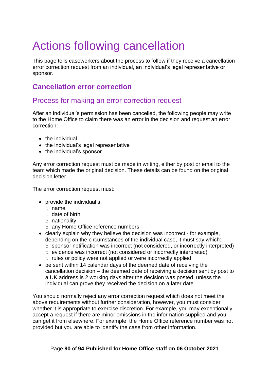# Actions following cancellation

This page tells caseworkers about the process to follow if they receive a cancellation error correction request from an individual, an individual's legal representative or sponsor.

# **Cancellation error correction**

### Process for making an error correction request

After an individual's permission has been cancelled, the following people may write to the Home Office to claim there was an error in the decision and request an error correction:

- the individual
- the individual's legal representative
- the individual's sponsor

Any error correction request must be made in writing, either by post or email to the team which made the original decision. These details can be found on the original decision letter.

The error correction request must:

- provide the individual's:
	- o name
	- $\circ$  date of birth
	- o nationality
	- o any Home Office reference numbers
- clearly explain why they believe the decision was incorrect for example, depending on the circumstances of the individual case, it must say which:
	- o sponsor notification was incorrect (not considered, or incorrectly interpreted)
	- o evidence was incorrect (not considered or incorrectly interpreted)
	- o rules or policy were not applied or were incorrectly applied
- be sent within 14 calendar days of the deemed date of receiving the cancellation decision – the deemed date of receiving a decision sent by post to a UK address is 2 working days after the decision was posted, unless the individual can prove they received the decision on a later date

You should normally reject any error correction request which does not meet the above requirements without further consideration, however, you must consider whether it is appropriate to exercise discretion. For example, you may exceptionally accept a request if there are minor omissions in the information supplied and you can get it from elsewhere. For example, the Home Office reference number was not provided but you are able to identify the case from other information.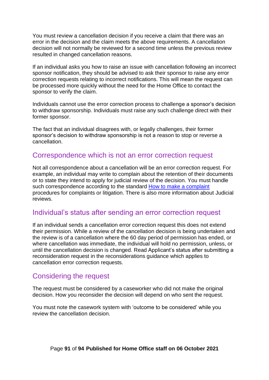You must review a cancellation decision if you receive a claim that there was an error in the decision and the claim meets the above requirements. A cancellation decision will not normally be reviewed for a second time unless the previous review resulted in changed cancellation reasons.

If an individual asks you how to raise an issue with cancellation following an incorrect sponsor notification, they should be advised to ask their sponsor to raise any error correction requests relating to incorrect notifications. This will mean the request can be processed more quickly without the need for the Home Office to contact the sponsor to verify the claim.

Individuals cannot use the error correction process to challenge a sponsor's decision to withdraw sponsorship. Individuals must raise any such challenge direct with their former sponsor.

The fact that an individual disagrees with, or legally challenges, their former sponsor's decision to withdraw sponsorship is not a reason to stop or reverse a cancellation.

### Correspondence which is not an error correction request

Not all correspondence about a cancellation will be an error correction request. For example, an individual may write to complain about the retention of their documents or to state they intend to apply for judicial review of the decision. You must handle such correspondence according to the standard [How to make a complaint](https://www.gov.uk/government/organisations/uk-visas-and-immigration/about/complaints-procedure) procedures for complaints or litigation. There is also more information about Judicial reviews.

### Individual's status after sending an error correction request

If an individual sends a cancellation error correction request this does not extend their permission. While a review of the cancellation decision is being undertaken and the review is of a cancellation where the 60 day period of permission has ended, or where cancellation was immediate, the individual will hold no permission, unless, or until the cancellation decision is changed. Read Applicant's status after submitting a reconsideration request in the reconsiderations guidance which applies to cancellation error correction requests.

### Considering the request

The request must be considered by a caseworker who did not make the original decision. How you reconsider the decision will depend on who sent the request.

You must note the casework system with 'outcome to be considered' while you review the cancellation decision.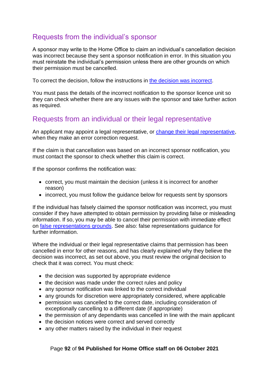# Requests from the individual's sponsor

A sponsor may write to the Home Office to claim an individual's cancellation decision was incorrect because they sent a sponsor notification in error. In this situation you must reinstate the individual's permission unless there are other grounds on which their permission must be cancelled.

To correct the decision, follow the instructions in [the decision was incorrect.](#page-92-0)

You must pass the details of the incorrect notification to the sponsor licence unit so they can check whether there are any issues with the sponsor and take further action as required.

## Requests from an individual or their legal representative

An applicant may appoint a legal representative, or [change their legal representative,](#page-92-1) when they make an error correction request.

If the claim is that cancellation was based on an incorrect sponsor notification, you must contact the sponsor to check whether this claim is correct.

If the sponsor confirms the notification was:

- correct, you must maintain the decision (unless it is incorrect for another reason)
- incorrect, you must follow the guidance below for requests sent by sponsors

If the individual has falsely claimed the sponsor notification was incorrect, you must consider if they have attempted to obtain permission by providing false or misleading information. If so, you may be able to cancel their permission with immediate effect on [false representations grounds.](#page-24-0) See also: false representations guidance for further information.

Where the individual or their legal representative claims that permission has been cancelled in error for other reasons, and has clearly explained why they believe the decision was incorrect, as set out above, you must review the original decision to check that it was correct. You must check:

- the decision was supported by appropriate evidence
- the decision was made under the correct rules and policy
- any sponsor notification was linked to the correct individual
- any grounds for discretion were appropriately considered, where applicable
- permission was cancelled to the correct date, including consideration of exceptionally cancelling to a different date (if appropriate)
- the permission of any dependants was cancelled in line with the main applicant
- the decision notices were correct and served correctly
- any other matters raised by the individual in their request

#### Page **92** of **94 Published for Home Office staff on 06 October 2021**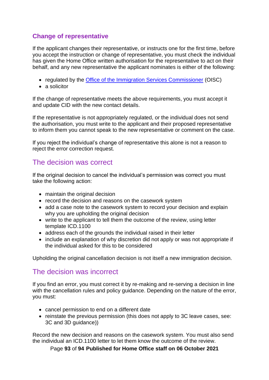### <span id="page-92-1"></span>**Change of representative**

If the applicant changes their representative, or instructs one for the first time, before you accept the instruction or change of representative, you must check the individual has given the Home Office written authorisation for the representative to act on their behalf, and any new representative the applicant nominates is either of the following:

- regulated by the [Office of the Immigration Services Commissioner](https://www.gov.uk/government/organisations/office-of-the-immigration-services-commissioner) (OISC)
- a solicitor

If the change of representative meets the above requirements, you must accept it and update CID with the new contact details.

If the representative is not appropriately regulated, or the individual does not send the authorisation, you must write to the applicant and their proposed representative to inform them you cannot speak to the new representative or comment on the case.

If you reject the individual's change of representative this alone is not a reason to reject the error correction request.

### The decision was correct

If the original decision to cancel the individual's permission was correct you must take the following action:

- maintain the original decision
- record the decision and reasons on the casework system
- add a case note to the casework system to record your decision and explain why you are upholding the original decision
- write to the applicant to tell them the outcome of the review, using letter template ICD.1100
- address each of the grounds the individual raised in their letter
- include an explanation of why discretion did not apply or was not appropriate if the individual asked for this to be considered

Upholding the original cancellation decision is not itself a new immigration decision.

### <span id="page-92-0"></span>The decision was incorrect

If you find an error, you must correct it by re-making and re-serving a decision in line with the cancellation rules and policy guidance. Depending on the nature of the error, you must:

- cancel permission to end on a different date
- reinstate the previous permission (this does not apply to 3C leave cases, see: 3C and 3D guidance))

Record the new decision and reasons on the casework system. You must also send the individual an ICD.1100 letter to let them know the outcome of the review.

Page **93** of **94 Published for Home Office staff on 06 October 2021**